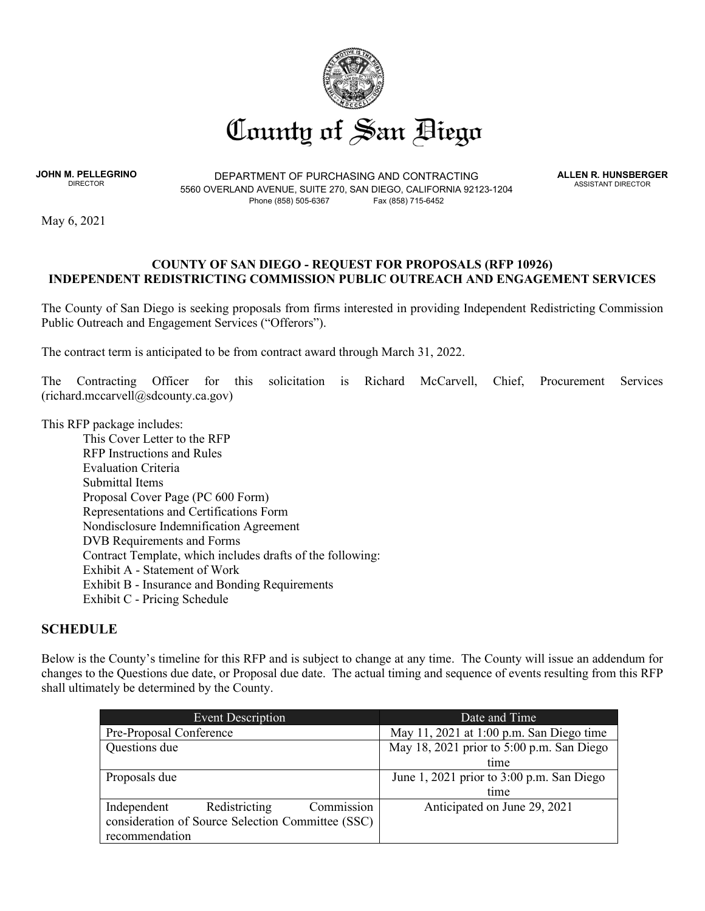

**JOHN M. PELLEGRINO**

DEPARTMENT OF PURCHASING AND CONTRACTING 5560 OVERLAND AVENUE, SUITE 270, SAN DIEGO, CALIFORNIA 92123-1204 Phone (858) 505-6367 Fax (858) 715-6452

**ALLEN R. HUNSBERGER** ASSISTANT DIRECTOR

May 6, 2021

#### **COUNTY OF SAN DIEGO - REQUEST FOR PROPOSALS (RFP 10926) INDEPENDENT REDISTRICTING COMMISSION PUBLIC OUTREACH AND ENGAGEMENT SERVICES**

The County of San Diego is seeking proposals from firms interested in providing Independent Redistricting Commission Public Outreach and Engagement Services ("Offerors").

The contract term is anticipated to be from contract award through March 31, 2022.

The Contracting Officer for this solicitation is Richard McCarvell, Chief, Procurement Services (richard.mccarvell@sdcounty.ca.gov)

This RFP package includes:

This Cover Letter to the RFP RFP Instructions and Rules Evaluation Criteria Submittal Items Proposal Cover Page (PC 600 Form) Representations and Certifications Form Nondisclosure Indemnification Agreement DVB Requirements and Forms Contract Template, which includes drafts of the following: Exhibit A - Statement of Work Exhibit B - Insurance and Bonding Requirements Exhibit C - Pricing Schedule

#### **SCHEDULE**

Below is the County's timeline for this RFP and is subject to change at any time. The County will issue an addendum for changes to the Questions due date, or Proposal due date. The actual timing and sequence of events resulting from this RFP shall ultimately be determined by the County.

| Event Description                                 | Date and Time                             |
|---------------------------------------------------|-------------------------------------------|
| Pre-Proposal Conference                           | May 11, 2021 at 1:00 p.m. San Diego time  |
| Questions due                                     | May 18, 2021 prior to 5:00 p.m. San Diego |
|                                                   | time                                      |
| Proposals due                                     | June 1, 2021 prior to 3:00 p.m. San Diego |
|                                                   | time                                      |
| Commission<br>Redistricting<br>Independent        | Anticipated on June 29, 2021              |
| consideration of Source Selection Committee (SSC) |                                           |
| recommendation                                    |                                           |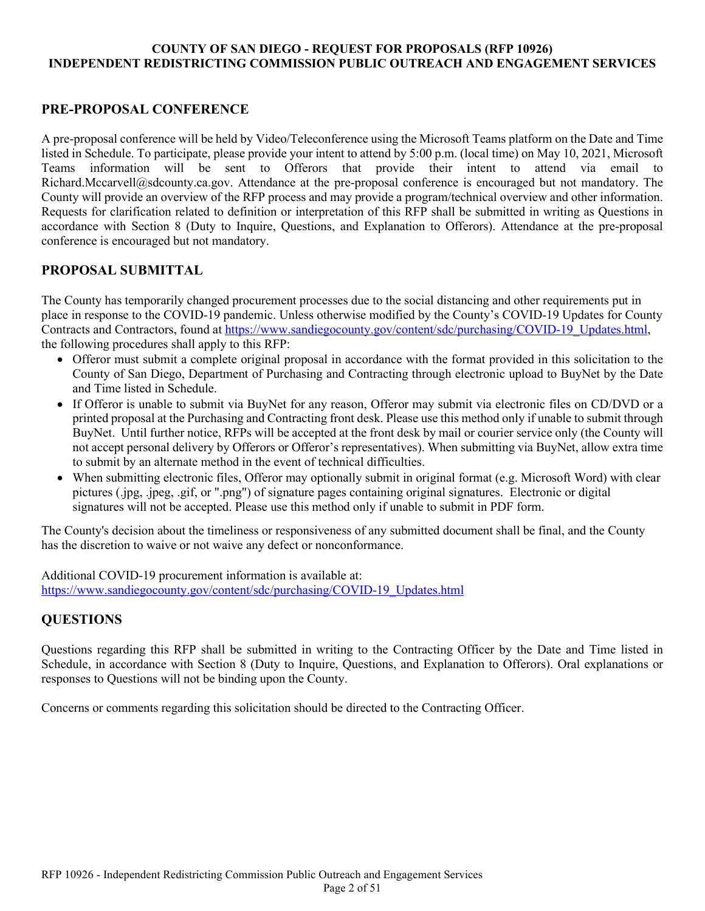# **PRE-PROPOSAL CONFERENCE**

A pre-proposal conference will be held by Video/Teleconference using the Microsoft Teams platform on the Date and Time listed in Schedule. To participate, please provide your intent to attend by 5:00 p.m. (local time) on May 10, 2021, Microsoft Teams information will be sent to Offerors that provide their intent to attend via email to Richard.Mccarvell@sdcounty.ca.gov. Attendance at the pre-proposal conference is encouraged but not mandatory. The County will provide an overview of the RFP process and may provide a program/technical overview and other information. Requests for clarification related to definition or interpretation of this RFP shall be submitted in writing as Questions in accordance with Section 8 (Duty to Inquire, Questions, and Explanation to Offerors). Attendance at the pre-proposal conference is encouraged but not mandatory.

# **PROPOSAL SUBMITTAL**

The County has temporarily changed procurement processes due to the social distancing and other requirements put in place in response to the COVID-19 pandemic. Unless otherwise modified by the County's COVID-19 Updates for County Contracts and Contractors, found at [https://www.sandiegocounty.gov/content/sdc/purchasing/COVID-19\\_Updates.html,](https://www.sandiegocounty.gov/content/sdc/purchasing/COVID-19_Updates.html) the following procedures shall apply to this RFP:

- Offeror must submit a complete original proposal in accordance with the format provided in this solicitation to the County of San Diego, Department of Purchasing and Contracting through electronic upload to BuyNet by the Date and Time listed in Schedule.
- If Offeror is unable to submit via BuyNet for any reason, Offeror may submit via electronic files on CD/DVD or a printed proposal at the Purchasing and Contracting front desk. Please use this method only if unable to submit through BuyNet. Until further notice, RFPs will be accepted at the front desk by mail or courier service only (the County will not accept personal delivery by Offerors or Offeror's representatives). When submitting via BuyNet, allow extra time to submit by an alternate method in the event of technical difficulties.
- When submitting electronic files, Offeror may optionally submit in original format (e.g. Microsoft Word) with clear pictures (.jpg, .jpeg, .gif, or ".png") of signature pages containing original signatures. Electronic or digital signatures will not be accepted. Please use this method only if unable to submit in PDF form.

The County's decision about the timeliness or responsiveness of any submitted document shall be final, and the County has the discretion to waive or not waive any defect or nonconformance.

Additional COVID-19 procurement information is available at: [https://www.sandiegocounty.gov/content/sdc/purchasing/COVID-19\\_Updates.html](https://www.sandiegocounty.gov/content/sdc/purchasing/COVID-19_Updates.html) 

# **QUESTIONS**

Questions regarding this RFP shall be submitted in writing to the Contracting Officer by the Date and Time listed in Schedule, in accordance with Section 8 (Duty to Inquire, Questions, and Explanation to Offerors). Oral explanations or responses to Questions will not be binding upon the County.

Concerns or comments regarding this solicitation should be directed to the Contracting Officer.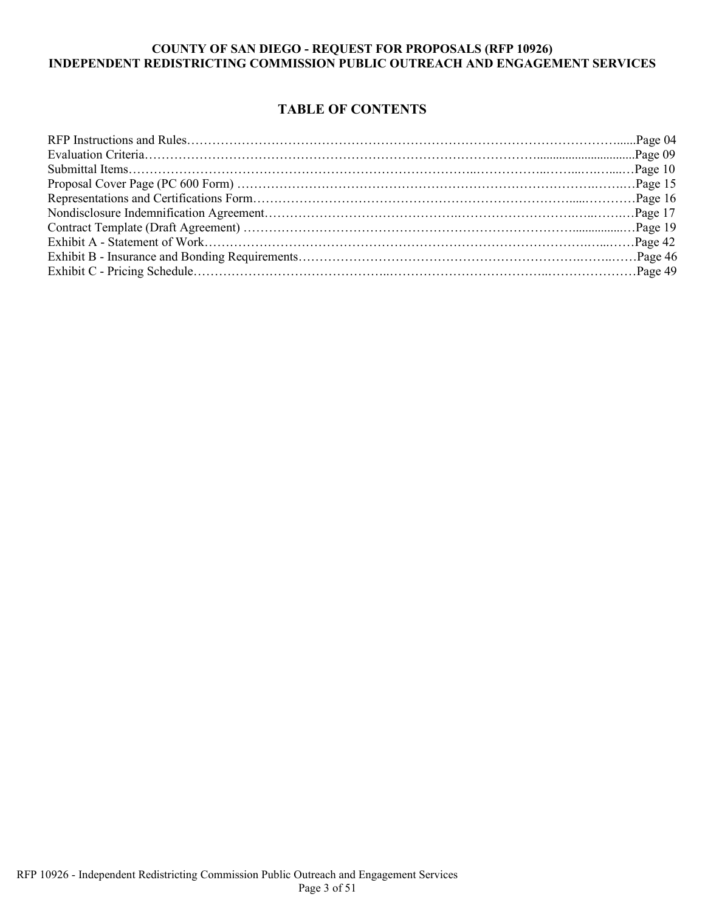# **TABLE OF CONTENTS**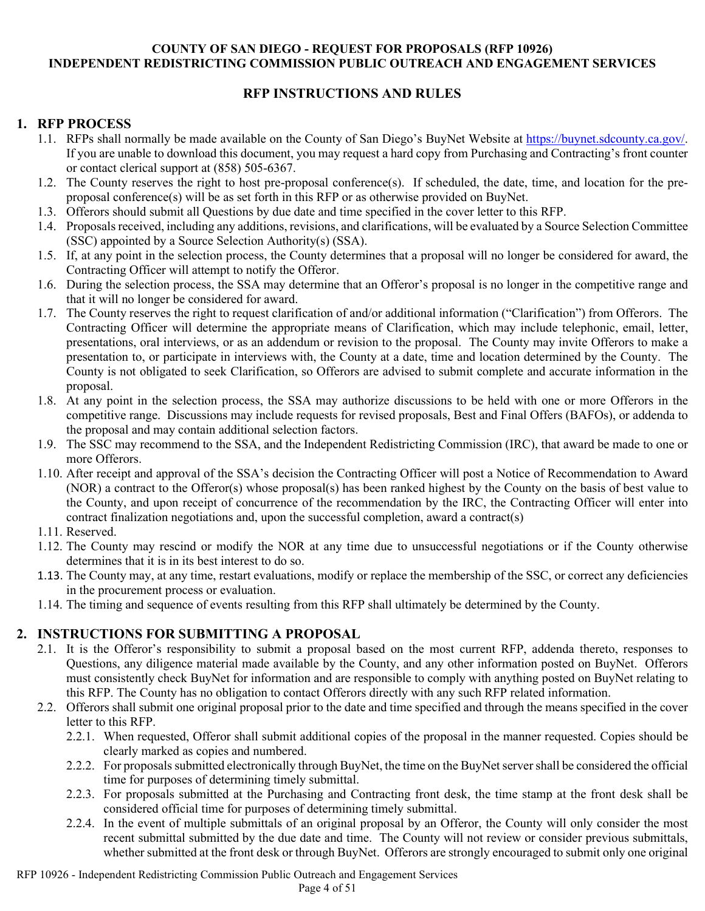# **RFP INSTRUCTIONS AND RULES**

# **1. RFP PROCESS**

- 1.1. RFPs shall normally be made available on the County of San Diego's BuyNet Website at [https://buynet.sdcounty.ca.gov/.](https://buynet.sdcounty.ca.gov/) If you are unable to download this document, you may request a hard copy from Purchasing and Contracting's front counter or contact clerical support at (858) 505-6367.
- 1.2. The County reserves the right to host pre-proposal conference(s). If scheduled, the date, time, and location for the preproposal conference(s) will be as set forth in this RFP or as otherwise provided on BuyNet.
- 1.3. Offerors should submit all Questions by due date and time specified in the cover letter to this RFP.
- 1.4. Proposals received, including any additions, revisions, and clarifications, will be evaluated by a Source Selection Committee (SSC) appointed by a Source Selection Authority(s) (SSA).
- 1.5. If, at any point in the selection process, the County determines that a proposal will no longer be considered for award, the Contracting Officer will attempt to notify the Offeror.
- 1.6. During the selection process, the SSA may determine that an Offeror's proposal is no longer in the competitive range and that it will no longer be considered for award.
- 1.7. The County reserves the right to request clarification of and/or additional information ("Clarification") from Offerors. The Contracting Officer will determine the appropriate means of Clarification, which may include telephonic, email, letter, presentations, oral interviews, or as an addendum or revision to the proposal. The County may invite Offerors to make a presentation to, or participate in interviews with, the County at a date, time and location determined by the County. The County is not obligated to seek Clarification, so Offerors are advised to submit complete and accurate information in the proposal.
- 1.8. At any point in the selection process, the SSA may authorize discussions to be held with one or more Offerors in the competitive range. Discussions may include requests for revised proposals, Best and Final Offers (BAFOs), or addenda to the proposal and may contain additional selection factors.
- 1.9. The SSC may recommend to the SSA, and the Independent Redistricting Commission (IRC), that award be made to one or more Offerors.
- 1.10. After receipt and approval of the SSA's decision the Contracting Officer will post a Notice of Recommendation to Award (NOR) a contract to the Offeror(s) whose proposal(s) has been ranked highest by the County on the basis of best value to the County, and upon receipt of concurrence of the recommendation by the IRC, the Contracting Officer will enter into contract finalization negotiations and, upon the successful completion, award a contract(s)
- 1.11. Reserved.
- 1.12. The County may rescind or modify the NOR at any time due to unsuccessful negotiations or if the County otherwise determines that it is in its best interest to do so.
- 1.13. The County may, at any time, restart evaluations, modify or replace the membership of the SSC, or correct any deficiencies in the procurement process or evaluation.
- 1.14. The timing and sequence of events resulting from this RFP shall ultimately be determined by the County.

# **2. INSTRUCTIONS FOR SUBMITTING A PROPOSAL**

- 2.1. It is the Offeror's responsibility to submit a proposal based on the most current RFP, addenda thereto, responses to Questions, any diligence material made available by the County, and any other information posted on BuyNet. Offerors must consistently check BuyNet for information and are responsible to comply with anything posted on BuyNet relating to this RFP. The County has no obligation to contact Offerors directly with any such RFP related information.
- 2.2. Offerors shall submit one original proposal prior to the date and time specified and through the means specified in the cover letter to this RFP.
	- 2.2.1. When requested, Offeror shall submit additional copies of the proposal in the manner requested. Copies should be clearly marked as copies and numbered.
	- 2.2.2. For proposals submitted electronically through BuyNet, the time on the BuyNet server shall be considered the official time for purposes of determining timely submittal.
	- 2.2.3. For proposals submitted at the Purchasing and Contracting front desk, the time stamp at the front desk shall be considered official time for purposes of determining timely submittal.
	- 2.2.4. In the event of multiple submittals of an original proposal by an Offeror, the County will only consider the most recent submittal submitted by the due date and time. The County will not review or consider previous submittals, whether submitted at the front desk or through BuyNet. Offerors are strongly encouraged to submit only one original

RFP 10926 - Independent Redistricting Commission Public Outreach and Engagement Services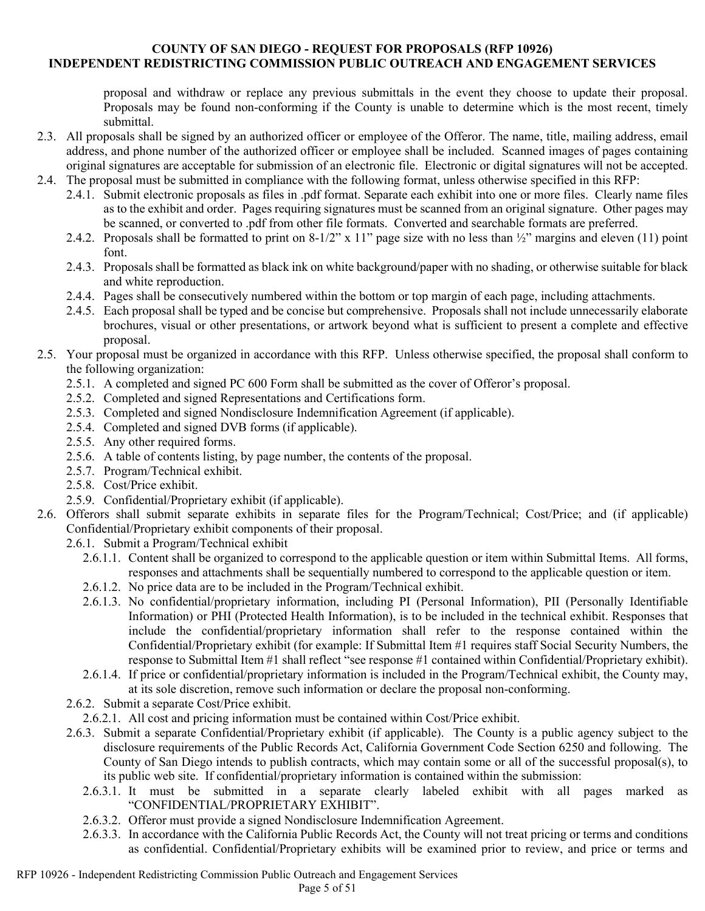proposal and withdraw or replace any previous submittals in the event they choose to update their proposal. Proposals may be found non-conforming if the County is unable to determine which is the most recent, timely submittal.

- 2.3. All proposals shall be signed by an authorized officer or employee of the Offeror. The name, title, mailing address, email address, and phone number of the authorized officer or employee shall be included. Scanned images of pages containing original signatures are acceptable for submission of an electronic file. Electronic or digital signatures will not be accepted.
- 2.4. The proposal must be submitted in compliance with the following format, unless otherwise specified in this RFP:
	- 2.4.1. Submit electronic proposals as files in .pdf format. Separate each exhibit into one or more files. Clearly name files as to the exhibit and order. Pages requiring signatures must be scanned from an original signature. Other pages may be scanned, or converted to .pdf from other file formats. Converted and searchable formats are preferred.
	- 2.4.2. Proposals shall be formatted to print on 8-1/2" x 11" page size with no less than ½" margins and eleven (11) point font.
	- 2.4.3. Proposals shall be formatted as black ink on white background/paper with no shading, or otherwise suitable for black and white reproduction.
	- 2.4.4. Pages shall be consecutively numbered within the bottom or top margin of each page, including attachments.
	- 2.4.5. Each proposal shall be typed and be concise but comprehensive. Proposals shall not include unnecessarily elaborate brochures, visual or other presentations, or artwork beyond what is sufficient to present a complete and effective proposal.

#### 2.5. Your proposal must be organized in accordance with this RFP. Unless otherwise specified, the proposal shall conform to the following organization:

- 2.5.1. A completed and signed PC 600 Form shall be submitted as the cover of Offeror's proposal.
- 2.5.2. Completed and signed Representations and Certifications form.
- 2.5.3. Completed and signed Nondisclosure Indemnification Agreement (if applicable).
- 2.5.4. Completed and signed DVB forms (if applicable).
- 2.5.5. Any other required forms.
- 2.5.6. A table of contents listing, by page number, the contents of the proposal.
- 2.5.7. Program/Technical exhibit.
- 2.5.8. Cost/Price exhibit.
- 2.5.9. Confidential/Proprietary exhibit (if applicable).
- 2.6. Offerors shall submit separate exhibits in separate files for the Program/Technical; Cost/Price; and (if applicable) Confidential/Proprietary exhibit components of their proposal.
	- 2.6.1. Submit a Program/Technical exhibit
		- 2.6.1.1. Content shall be organized to correspond to the applicable question or item within Submittal Items. All forms, responses and attachments shall be sequentially numbered to correspond to the applicable question or item.
		- 2.6.1.2. No price data are to be included in the Program/Technical exhibit.
		- 2.6.1.3. No confidential/proprietary information, including PI (Personal Information), PII (Personally Identifiable Information) or PHI (Protected Health Information), is to be included in the technical exhibit. Responses that include the confidential/proprietary information shall refer to the response contained within the Confidential/Proprietary exhibit (for example: If Submittal Item #1 requires staff Social Security Numbers, the response to Submittal Item #1 shall reflect "see response #1 contained within Confidential/Proprietary exhibit).
		- 2.6.1.4. If price or confidential/proprietary information is included in the Program/Technical exhibit, the County may, at its sole discretion, remove such information or declare the proposal non-conforming.
	- 2.6.2. Submit a separate Cost/Price exhibit.
	- 2.6.2.1. All cost and pricing information must be contained within Cost/Price exhibit.
	- 2.6.3. Submit a separate Confidential/Proprietary exhibit (if applicable). The County is a public agency subject to the disclosure requirements of the Public Records Act, California Government Code Section 6250 and following. The County of San Diego intends to publish contracts, which may contain some or all of the successful proposal(s), to its public web site. If confidential/proprietary information is contained within the submission:
		- 2.6.3.1. It must be submitted in a separate clearly labeled exhibit with all pages marked as "CONFIDENTIAL/PROPRIETARY EXHIBIT".
		- 2.6.3.2. Offeror must provide a signed Nondisclosure Indemnification Agreement.
		- 2.6.3.3. In accordance with the California Public Records Act, the County will not treat pricing or terms and conditions as confidential. Confidential/Proprietary exhibits will be examined prior to review, and price or terms and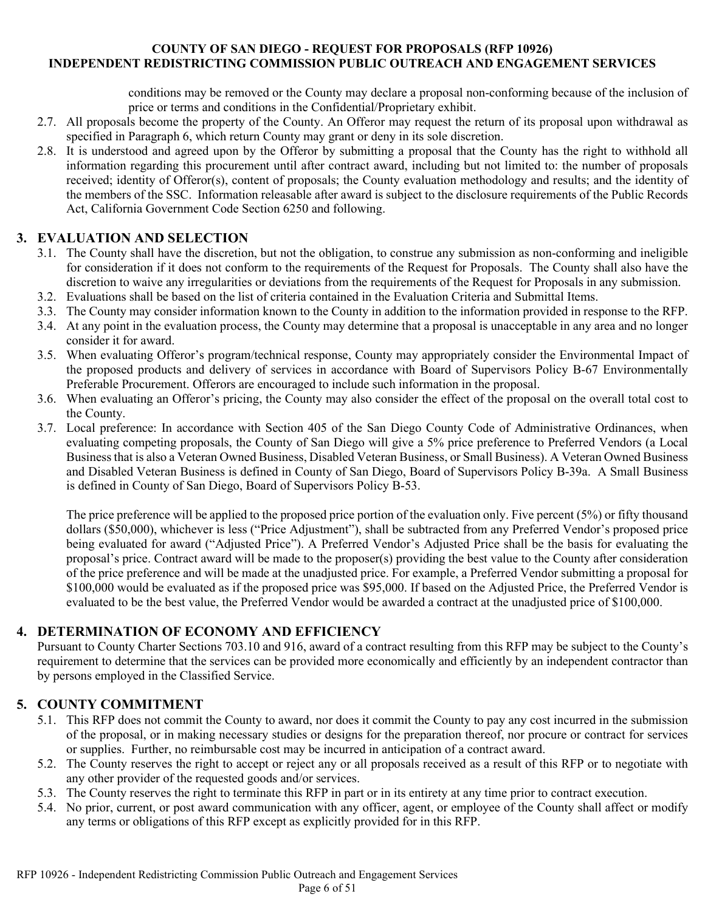conditions may be removed or the County may declare a proposal non-conforming because of the inclusion of price or terms and conditions in the Confidential/Proprietary exhibit.

- 2.7. All proposals become the property of the County. An Offeror may request the return of its proposal upon withdrawal as specified in Paragraph 6, which return County may grant or deny in its sole discretion.
- 2.8. It is understood and agreed upon by the Offeror by submitting a proposal that the County has the right to withhold all information regarding this procurement until after contract award, including but not limited to: the number of proposals received; identity of Offeror(s), content of proposals; the County evaluation methodology and results; and the identity of the members of the SSC. Information releasable after award is subject to the disclosure requirements of the Public Records Act, California Government Code Section 6250 and following.

# **3. EVALUATION AND SELECTION**

- 3.1. The County shall have the discretion, but not the obligation, to construe any submission as non-conforming and ineligible for consideration if it does not conform to the requirements of the Request for Proposals. The County shall also have the discretion to waive any irregularities or deviations from the requirements of the Request for Proposals in any submission.
- 3.2. Evaluations shall be based on the list of criteria contained in the Evaluation Criteria and Submittal Items.
- 3.3. The County may consider information known to the County in addition to the information provided in response to the RFP.
- 3.4. At any point in the evaluation process, the County may determine that a proposal is unacceptable in any area and no longer consider it for award.
- 3.5. When evaluating Offeror's program/technical response, County may appropriately consider the Environmental Impact of the proposed products and delivery of services in accordance with Board of Supervisors Policy B-67 Environmentally Preferable Procurement. Offerors are encouraged to include such information in the proposal.
- 3.6. When evaluating an Offeror's pricing, the County may also consider the effect of the proposal on the overall total cost to the County.
- 3.7. Local preference: In accordance with Section 405 of the San Diego County Code of Administrative Ordinances, when evaluating competing proposals, the County of San Diego will give a 5% price preference to Preferred Vendors (a Local Business that is also a Veteran Owned Business, Disabled Veteran Business, or Small Business). A Veteran Owned Business and Disabled Veteran Business is defined in County of San Diego, Board of Supervisors Policy B-39a. A Small Business is defined in County of San Diego, Board of Supervisors Policy B-53.

The price preference will be applied to the proposed price portion of the evaluation only. Five percent (5%) or fifty thousand dollars (\$50,000), whichever is less ("Price Adjustment"), shall be subtracted from any Preferred Vendor's proposed price being evaluated for award ("Adjusted Price"). A Preferred Vendor's Adjusted Price shall be the basis for evaluating the proposal's price. Contract award will be made to the proposer(s) providing the best value to the County after consideration of the price preference and will be made at the unadjusted price. For example, a Preferred Vendor submitting a proposal for \$100,000 would be evaluated as if the proposed price was \$95,000. If based on the Adjusted Price, the Preferred Vendor is evaluated to be the best value, the Preferred Vendor would be awarded a contract at the unadjusted price of \$100,000.

# **4. DETERMINATION OF ECONOMY AND EFFICIENCY**

Pursuant to County Charter Sections 703.10 and 916, award of a contract resulting from this RFP may be subject to the County's requirement to determine that the services can be provided more economically and efficiently by an independent contractor than by persons employed in the Classified Service.

# **5. COUNTY COMMITMENT**

- 5.1. This RFP does not commit the County to award, nor does it commit the County to pay any cost incurred in the submission of the proposal, or in making necessary studies or designs for the preparation thereof, nor procure or contract for services or supplies. Further, no reimbursable cost may be incurred in anticipation of a contract award.
- 5.2. The County reserves the right to accept or reject any or all proposals received as a result of this RFP or to negotiate with any other provider of the requested goods and/or services.
- 5.3. The County reserves the right to terminate this RFP in part or in its entirety at any time prior to contract execution.
- 5.4. No prior, current, or post award communication with any officer, agent, or employee of the County shall affect or modify any terms or obligations of this RFP except as explicitly provided for in this RFP.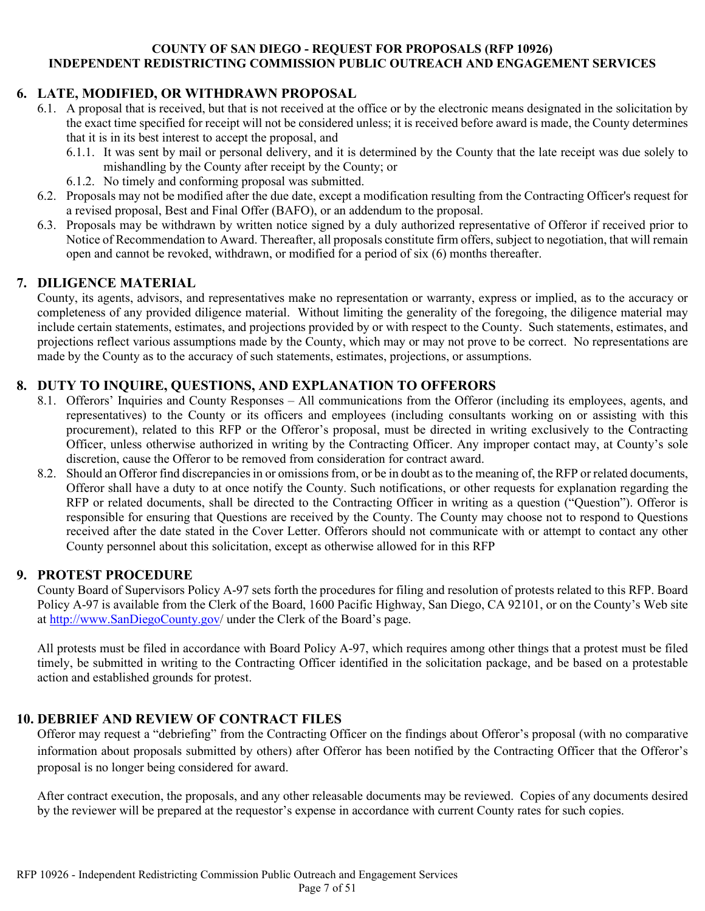# **6. LATE, MODIFIED, OR WITHDRAWN PROPOSAL**

- 6.1. A proposal that is received, but that is not received at the office or by the electronic means designated in the solicitation by the exact time specified for receipt will not be considered unless; it is received before award is made, the County determines that it is in its best interest to accept the proposal, and
	- 6.1.1. It was sent by mail or personal delivery, and it is determined by the County that the late receipt was due solely to mishandling by the County after receipt by the County; or
	- 6.1.2. No timely and conforming proposal was submitted.
- 6.2. Proposals may not be modified after the due date, except a modification resulting from the Contracting Officer's request for a revised proposal, Best and Final Offer (BAFO), or an addendum to the proposal.
- 6.3. Proposals may be withdrawn by written notice signed by a duly authorized representative of Offeror if received prior to Notice of Recommendation to Award. Thereafter, all proposals constitute firm offers, subject to negotiation, that will remain open and cannot be revoked, withdrawn, or modified for a period of six (6) months thereafter.

# **7. DILIGENCE MATERIAL**

County, its agents, advisors, and representatives make no representation or warranty, express or implied, as to the accuracy or completeness of any provided diligence material. Without limiting the generality of the foregoing, the diligence material may include certain statements, estimates, and projections provided by or with respect to the County. Such statements, estimates, and projections reflect various assumptions made by the County, which may or may not prove to be correct. No representations are made by the County as to the accuracy of such statements, estimates, projections, or assumptions.

# **8. DUTY TO INQUIRE, QUESTIONS, AND EXPLANATION TO OFFERORS**

- 8.1. Offerors' Inquiries and County Responses All communications from the Offeror (including its employees, agents, and representatives) to the County or its officers and employees (including consultants working on or assisting with this procurement), related to this RFP or the Offeror's proposal, must be directed in writing exclusively to the Contracting Officer, unless otherwise authorized in writing by the Contracting Officer. Any improper contact may, at County's sole discretion, cause the Offeror to be removed from consideration for contract award.
- 8.2. Should an Offeror find discrepancies in or omissions from, or be in doubt as to the meaning of, the RFP or related documents, Offeror shall have a duty to at once notify the County. Such notifications, or other requests for explanation regarding the RFP or related documents, shall be directed to the Contracting Officer in writing as a question ("Question"). Offeror is responsible for ensuring that Questions are received by the County. The County may choose not to respond to Questions received after the date stated in the Cover Letter. Offerors should not communicate with or attempt to contact any other County personnel about this solicitation, except as otherwise allowed for in this RFP

# **9. PROTEST PROCEDURE**

County Board of Supervisors Policy A-97 sets forth the procedures for filing and resolution of protests related to this RFP. Board Policy A-97 is available from the Clerk of the Board, 1600 Pacific Highway, San Diego, CA 92101, or on the County's Web site at [http://www.SanDiegoCounty.gov/](http://www.sandiegocounty.gov/) under the Clerk of the Board's page.

All protests must be filed in accordance with Board Policy A-97, which requires among other things that a protest must be filed timely, be submitted in writing to the Contracting Officer identified in the solicitation package, and be based on a protestable action and established grounds for protest.

# **10. DEBRIEF AND REVIEW OF CONTRACT FILES**

Offeror may request a "debriefing" from the Contracting Officer on the findings about Offeror's proposal (with no comparative information about proposals submitted by others) after Offeror has been notified by the Contracting Officer that the Offeror's proposal is no longer being considered for award.

After contract execution, the proposals, and any other releasable documents may be reviewed. Copies of any documents desired by the reviewer will be prepared at the requestor's expense in accordance with current County rates for such copies.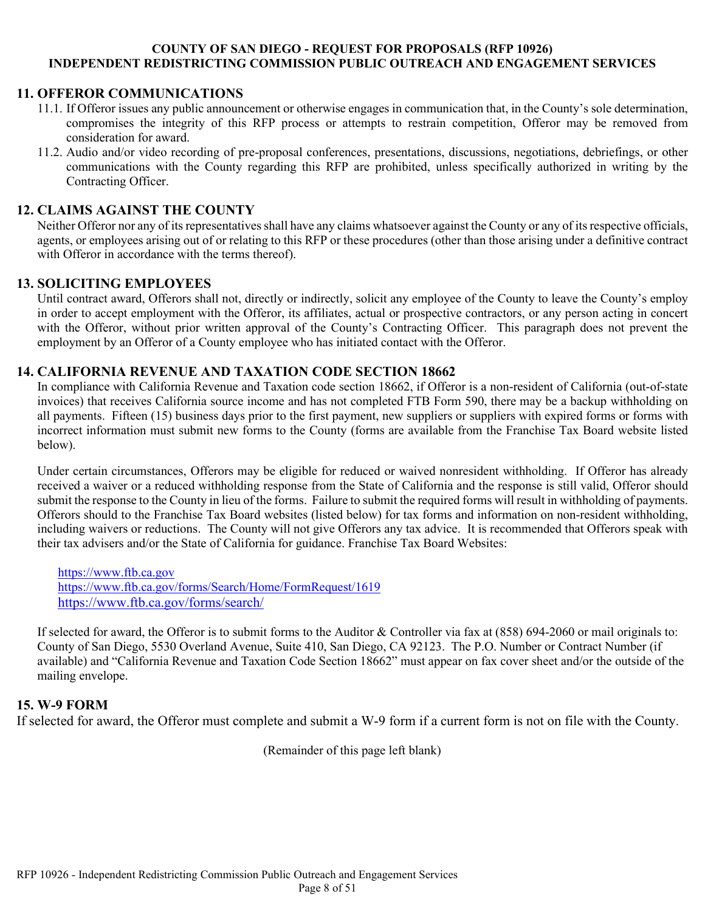### **11. OFFEROR COMMUNICATIONS**

- 11.1. If Offeror issues any public announcement or otherwise engages in communication that, in the County's sole determination, compromises the integrity of this RFP process or attempts to restrain competition, Offeror may be removed from consideration for award.
- 11.2. Audio and/or video recording of pre-proposal conferences, presentations, discussions, negotiations, debriefings, or other communications with the County regarding this RFP are prohibited, unless specifically authorized in writing by the Contracting Officer.

### **12. CLAIMS AGAINST THE COUNTY**

Neither Offeror nor any of its representatives shall have any claims whatsoever against the County or any of its respective officials, agents, or employees arising out of or relating to this RFP or these procedures (other than those arising under a definitive contract with Offeror in accordance with the terms thereof).

#### **13. SOLICITING EMPLOYEES**

Until contract award, Offerors shall not, directly or indirectly, solicit any employee of the County to leave the County's employ in order to accept employment with the Offeror, its affiliates, actual or prospective contractors, or any person acting in concert with the Offeror, without prior written approval of the County's Contracting Officer. This paragraph does not prevent the employment by an Offeror of a County employee who has initiated contact with the Offeror.

#### **14. CALIFORNIA REVENUE AND TAXATION CODE SECTION 18662**

In compliance with California Revenue and Taxation code section 18662, if Offeror is a non-resident of California (out-of-state invoices) that receives California source income and has not completed FTB Form 590, there may be a backup withholding on all payments. Fifteen (15) business days prior to the first payment, new suppliers or suppliers with expired forms or forms with incorrect information must submit new forms to the County (forms are available from the Franchise Tax Board website listed below).

Under certain circumstances, Offerors may be eligible for reduced or waived nonresident withholding. If Offeror has already received a waiver or a reduced withholding response from the State of California and the response is still valid, Offeror should submit the response to the County in lieu of the forms. Failure to submit the required forms will result in withholding of payments. Offerors should to the Franchise Tax Board websites (listed below) for tax forms and information on non-resident withholding, including waivers or reductions. The County will not give Offerors any tax advice. It is recommended that Offerors speak with their tax advisers and/or the State of California for guidance. Franchise Tax Board Websites:

[https://www.ftb.ca.gov](https://www.ftb.ca.gov/) <https://www.ftb.ca.gov/forms/Search/Home/FormRequest/1619> <https://www.ftb.ca.gov/forms/search/>

If selected for award, the Offeror is to submit forms to the Auditor & Controller via fax at (858) 694-2060 or mail originals to: County of San Diego, 5530 Overland Avenue, Suite 410, San Diego, CA 92123. The P.O. Number or Contract Number (if available) and "California Revenue and Taxation Code Section 18662" must appear on fax cover sheet and/or the outside of the mailing envelope.

# **15. W-9 FORM**

If selected for award, the Offeror must complete and submit a W-9 form if a current form is not on file with the County.

(Remainder of this page left blank)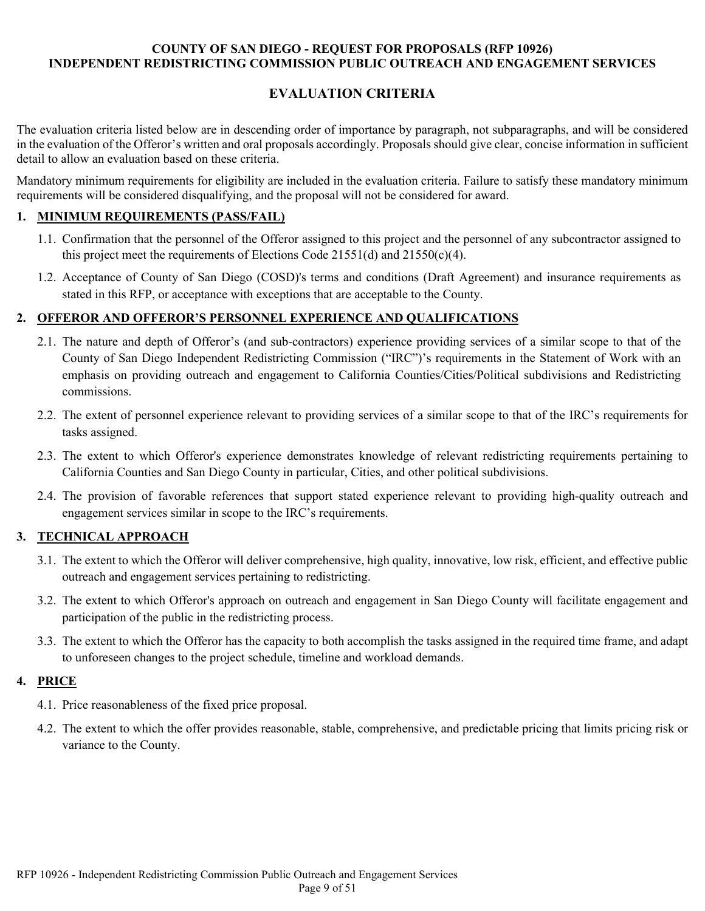# **EVALUATION CRITERIA**

The evaluation criteria listed below are in descending order of importance by paragraph, not subparagraphs, and will be considered in the evaluation of the Offeror's written and oral proposals accordingly. Proposals should give clear, concise information in sufficient detail to allow an evaluation based on these criteria.

Mandatory minimum requirements for eligibility are included in the evaluation criteria. Failure to satisfy these mandatory minimum requirements will be considered disqualifying, and the proposal will not be considered for award.

### **1. MINIMUM REQUIREMENTS (PASS/FAIL)**

- 1.1. Confirmation that the personnel of the Offeror assigned to this project and the personnel of any subcontractor assigned to this project meet the requirements of Elections Code 21551(d) and 21550(c)(4).
- 1.2. Acceptance of County of San Diego (COSD)'s terms and conditions (Draft Agreement) and insurance requirements as stated in this RFP, or acceptance with exceptions that are acceptable to the County.

#### **2. OFFEROR AND OFFEROR'S PERSONNEL EXPERIENCE AND QUALIFICATIONS**

- 2.1. The nature and depth of Offeror's (and sub-contractors) experience providing services of a similar scope to that of the County of San Diego Independent Redistricting Commission ("IRC")'s requirements in the Statement of Work with an emphasis on providing outreach and engagement to California Counties/Cities/Political subdivisions and Redistricting commissions.
- 2.2. The extent of personnel experience relevant to providing services of a similar scope to that of the IRC's requirements for tasks assigned.
- 2.3. The extent to which Offeror's experience demonstrates knowledge of relevant redistricting requirements pertaining to California Counties and San Diego County in particular, Cities, and other political subdivisions.
- 2.4. The provision of favorable references that support stated experience relevant to providing high-quality outreach and engagement services similar in scope to the IRC's requirements.

# **3. TECHNICAL APPROACH**

- 3.1. The extent to which the Offeror will deliver comprehensive, high quality, innovative, low risk, efficient, and effective public outreach and engagement services pertaining to redistricting.
- 3.2. The extent to which Offeror's approach on outreach and engagement in San Diego County will facilitate engagement and participation of the public in the redistricting process.
- 3.3. The extent to which the Offeror has the capacity to both accomplish the tasks assigned in the required time frame, and adapt to unforeseen changes to the project schedule, timeline and workload demands.

#### **4. PRICE**

- 4.1. Price reasonableness of the fixed price proposal.
- 4.2. The extent to which the offer provides reasonable, stable, comprehensive, and predictable pricing that limits pricing risk or variance to the County.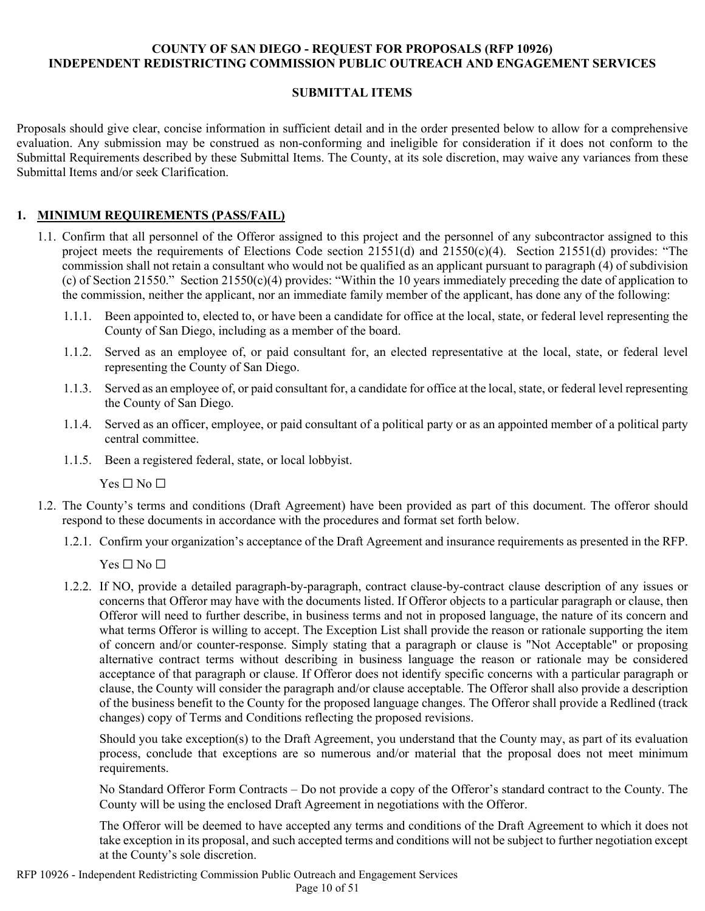#### **SUBMITTAL ITEMS**

Proposals should give clear, concise information in sufficient detail and in the order presented below to allow for a comprehensive evaluation. Any submission may be construed as non-conforming and ineligible for consideration if it does not conform to the Submittal Requirements described by these Submittal Items. The County, at its sole discretion, may waive any variances from these Submittal Items and/or seek Clarification.

# **1. MINIMUM REQUIREMENTS (PASS/FAIL)**

- 1.1. Confirm that all personnel of the Offeror assigned to this project and the personnel of any subcontractor assigned to this project meets the requirements of Elections Code section 21551(d) and 21550(c)(4). Section 21551(d) provides: "The commission shall not retain a consultant who would not be qualified as an applicant pursuant to paragraph (4) of subdivision (c) of Section 21550." Section 21550(c)(4) provides: "Within the 10 years immediately preceding the date of application to the commission, neither the applicant, nor an immediate family member of the applicant, has done any of the following:
	- 1.1.1. Been appointed to, elected to, or have been a candidate for office at the local, state, or federal level representing the County of San Diego, including as a member of the board.
	- 1.1.2. Served as an employee of, or paid consultant for, an elected representative at the local, state, or federal level representing the County of San Diego.
	- 1.1.3. Served as an employee of, or paid consultant for, a candidate for office at the local, state, or federal level representing the County of San Diego.
	- 1.1.4. Served as an officer, employee, or paid consultant of a political party or as an appointed member of a political party central committee.
	- 1.1.5. Been a registered federal, state, or local lobbyist.

 $Yes \Box No \Box$ 

- 1.2. The County's terms and conditions (Draft Agreement) have been provided as part of this document. The offeror should respond to these documents in accordance with the procedures and format set forth below.
	- 1.2.1. Confirm your organization's acceptance of the Draft Agreement and insurance requirements as presented in the RFP.

 $Yes \Box No \Box$ 

1.2.2. If NO, provide a detailed paragraph-by-paragraph, contract clause-by-contract clause description of any issues or concerns that Offeror may have with the documents listed. If Offeror objects to a particular paragraph or clause, then Offeror will need to further describe, in business terms and not in proposed language, the nature of its concern and what terms Offeror is willing to accept. The Exception List shall provide the reason or rationale supporting the item of concern and/or counter-response. Simply stating that a paragraph or clause is "Not Acceptable" or proposing alternative contract terms without describing in business language the reason or rationale may be considered acceptance of that paragraph or clause. If Offeror does not identify specific concerns with a particular paragraph or clause, the County will consider the paragraph and/or clause acceptable. The Offeror shall also provide a description of the business benefit to the County for the proposed language changes. The Offeror shall provide a Redlined (track changes) copy of Terms and Conditions reflecting the proposed revisions.

Should you take exception(s) to the Draft Agreement, you understand that the County may, as part of its evaluation process, conclude that exceptions are so numerous and/or material that the proposal does not meet minimum requirements.

No Standard Offeror Form Contracts – Do not provide a copy of the Offeror's standard contract to the County. The County will be using the enclosed Draft Agreement in negotiations with the Offeror.

The Offeror will be deemed to have accepted any terms and conditions of the Draft Agreement to which it does not take exception in its proposal, and such accepted terms and conditions will not be subject to further negotiation except at the County's sole discretion.

RFP 10926 - Independent Redistricting Commission Public Outreach and Engagement Services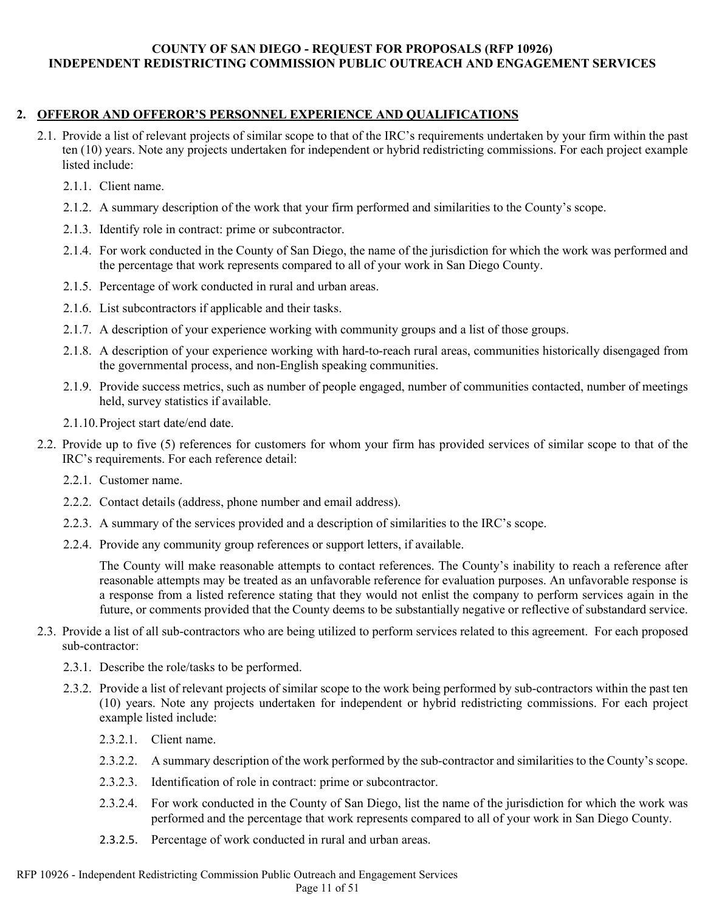#### **2. OFFEROR AND OFFEROR'S PERSONNEL EXPERIENCE AND QUALIFICATIONS**

- 2.1. Provide a list of relevant projects of similar scope to that of the IRC's requirements undertaken by your firm within the past ten (10) years. Note any projects undertaken for independent or hybrid redistricting commissions. For each project example listed include:
	- 2.1.1. Client name.
	- 2.1.2. A summary description of the work that your firm performed and similarities to the County's scope.
	- 2.1.3. Identify role in contract: prime or subcontractor.
	- 2.1.4. For work conducted in the County of San Diego, the name of the jurisdiction for which the work was performed and the percentage that work represents compared to all of your work in San Diego County.
	- 2.1.5. Percentage of work conducted in rural and urban areas.
	- 2.1.6. List subcontractors if applicable and their tasks.
	- 2.1.7. A description of your experience working with community groups and a list of those groups.
	- 2.1.8. A description of your experience working with hard-to-reach rural areas, communities historically disengaged from the governmental process, and non-English speaking communities.
	- 2.1.9. Provide success metrics, such as number of people engaged, number of communities contacted, number of meetings held, survey statistics if available.
	- 2.1.10.Project start date/end date.
- 2.2. Provide up to five (5) references for customers for whom your firm has provided services of similar scope to that of the IRC's requirements. For each reference detail:
	- 2.2.1. Customer name.
	- 2.2.2. Contact details (address, phone number and email address).
	- 2.2.3. A summary of the services provided and a description of similarities to the IRC's scope.
	- 2.2.4. Provide any community group references or support letters, if available.

The County will make reasonable attempts to contact references. The County's inability to reach a reference after reasonable attempts may be treated as an unfavorable reference for evaluation purposes. An unfavorable response is a response from a listed reference stating that they would not enlist the company to perform services again in the future, or comments provided that the County deems to be substantially negative or reflective of substandard service.

- 2.3. Provide a list of all sub-contractors who are being utilized to perform services related to this agreement. For each proposed sub-contractor:
	- 2.3.1. Describe the role/tasks to be performed.
	- 2.3.2. Provide a list of relevant projects of similar scope to the work being performed by sub-contractors within the past ten (10) years. Note any projects undertaken for independent or hybrid redistricting commissions. For each project example listed include:
		- 2.3.2.1. Client name.
		- 2.3.2.2. A summary description of the work performed by the sub-contractor and similarities to the County's scope.
		- 2.3.2.3. Identification of role in contract: prime or subcontractor.
		- 2.3.2.4. For work conducted in the County of San Diego, list the name of the jurisdiction for which the work was performed and the percentage that work represents compared to all of your work in San Diego County.
		- 2.3.2.5. Percentage of work conducted in rural and urban areas.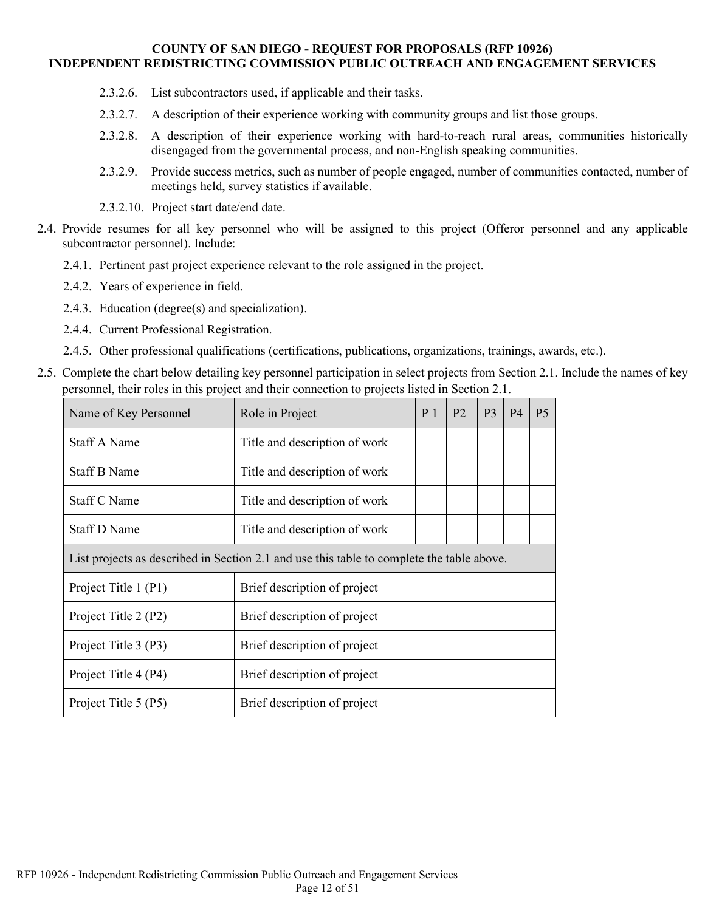- 2.3.2.6. List subcontractors used, if applicable and their tasks.
- 2.3.2.7. A description of their experience working with community groups and list those groups.
- 2.3.2.8. A description of their experience working with hard-to-reach rural areas, communities historically disengaged from the governmental process, and non-English speaking communities.
- 2.3.2.9. Provide success metrics, such as number of people engaged, number of communities contacted, number of meetings held, survey statistics if available.
- 2.3.2.10. Project start date/end date.
- 2.4. Provide resumes for all key personnel who will be assigned to this project (Offeror personnel and any applicable subcontractor personnel). Include:
	- 2.4.1. Pertinent past project experience relevant to the role assigned in the project.
	- 2.4.2. Years of experience in field.
	- 2.4.3. Education (degree(s) and specialization).
	- 2.4.4. Current Professional Registration.
	- 2.4.5. Other professional qualifications (certifications, publications, organizations, trainings, awards, etc.).
- 2.5. Complete the chart below detailing key personnel participation in select projects from Section 2.1. Include the names of key personnel, their roles in this project and their connection to projects listed in Section 2.1.

| Name of Key Personnel                                                                     | Role in Project               | P <sub>1</sub> | <b>P2</b> | P <sub>3</sub> | <b>P4</b> | P <sub>5</sub> |
|-------------------------------------------------------------------------------------------|-------------------------------|----------------|-----------|----------------|-----------|----------------|
| <b>Staff A Name</b>                                                                       | Title and description of work |                |           |                |           |                |
| <b>Staff B Name</b>                                                                       | Title and description of work |                |           |                |           |                |
| Staff C Name                                                                              | Title and description of work |                |           |                |           |                |
| Staff D Name                                                                              | Title and description of work |                |           |                |           |                |
| List projects as described in Section 2.1 and use this table to complete the table above. |                               |                |           |                |           |                |
| Project Title 1 (P1)                                                                      | Brief description of project  |                |           |                |           |                |
| Project Title 2 (P2)                                                                      | Brief description of project  |                |           |                |           |                |
| Project Title 3 (P3)                                                                      | Brief description of project  |                |           |                |           |                |
| Project Title 4 (P4)                                                                      | Brief description of project  |                |           |                |           |                |
| Project Title 5 (P5)                                                                      | Brief description of project  |                |           |                |           |                |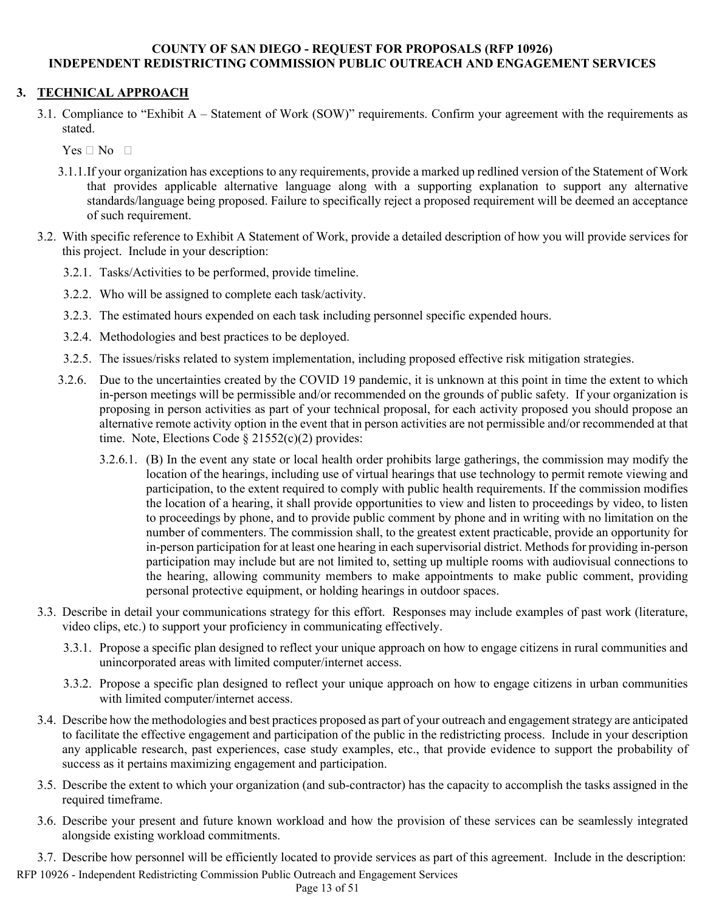# **3. TECHNICAL APPROACH**

3.1. Compliance to "Exhibit A – Statement of Work (SOW)" requirements. Confirm your agreement with the requirements as stated.

 $Yes \Box No \Box$ 

- 3.1.1.If your organization has exceptions to any requirements, provide a marked up redlined version of the Statement of Work that provides applicable alternative language along with a supporting explanation to support any alternative standards/language being proposed. Failure to specifically reject a proposed requirement will be deemed an acceptance of such requirement.
- 3.2. With specific reference to Exhibit A Statement of Work, provide a detailed description of how you will provide services for this project. Include in your description:
	- 3.2.1. Tasks/Activities to be performed, provide timeline.
	- 3.2.2. Who will be assigned to complete each task/activity.
	- 3.2.3. The estimated hours expended on each task including personnel specific expended hours.
	- 3.2.4. Methodologies and best practices to be deployed.
	- 3.2.5. The issues/risks related to system implementation, including proposed effective risk mitigation strategies.
	- 3.2.6. Due to the uncertainties created by the COVID 19 pandemic, it is unknown at this point in time the extent to which in-person meetings will be permissible and/or recommended on the grounds of public safety. If your organization is proposing in person activities as part of your technical proposal, for each activity proposed you should propose an alternative remote activity option in the event that in person activities are not permissible and/or recommended at that time. Note, Elections Code  $\S$  21552(c)(2) provides:
		- 3.2.6.1. (B) In the event any state or local health order prohibits large gatherings, the commission may modify the location of the hearings, including use of virtual hearings that use technology to permit remote viewing and participation, to the extent required to comply with public health requirements. If the commission modifies the location of a hearing, it shall provide opportunities to view and listen to proceedings by video, to listen to proceedings by phone, and to provide public comment by phone and in writing with no limitation on the number of commenters. The commission shall, to the greatest extent practicable, provide an opportunity for in-person participation for at least one hearing in each supervisorial district. Methods for providing in-person participation may include but are not limited to, setting up multiple rooms with audiovisual connections to the hearing, allowing community members to make appointments to make public comment, providing personal protective equipment, or holding hearings in outdoor spaces.
- 3.3. Describe in detail your communications strategy for this effort. Responses may include examples of past work (literature, video clips, etc.) to support your proficiency in communicating effectively.
	- 3.3.1. Propose a specific plan designed to reflect your unique approach on how to engage citizens in rural communities and unincorporated areas with limited computer/internet access.
	- 3.3.2. Propose a specific plan designed to reflect your unique approach on how to engage citizens in urban communities with limited computer/internet access.
- 3.4. Describe how the methodologies and best practices proposed as part of your outreach and engagement strategy are anticipated to facilitate the effective engagement and participation of the public in the redistricting process. Include in your description any applicable research, past experiences, case study examples, etc., that provide evidence to support the probability of success as it pertains maximizing engagement and participation.
- 3.5. Describe the extent to which your organization (and sub-contractor) has the capacity to accomplish the tasks assigned in the required timeframe.
- 3.6. Describe your present and future known workload and how the provision of these services can be seamlessly integrated alongside existing workload commitments.
- 3.7. Describe how personnel will be efficiently located to provide services as part of this agreement. Include in the description:

RFP 10926 - Independent Redistricting Commission Public Outreach and Engagement Services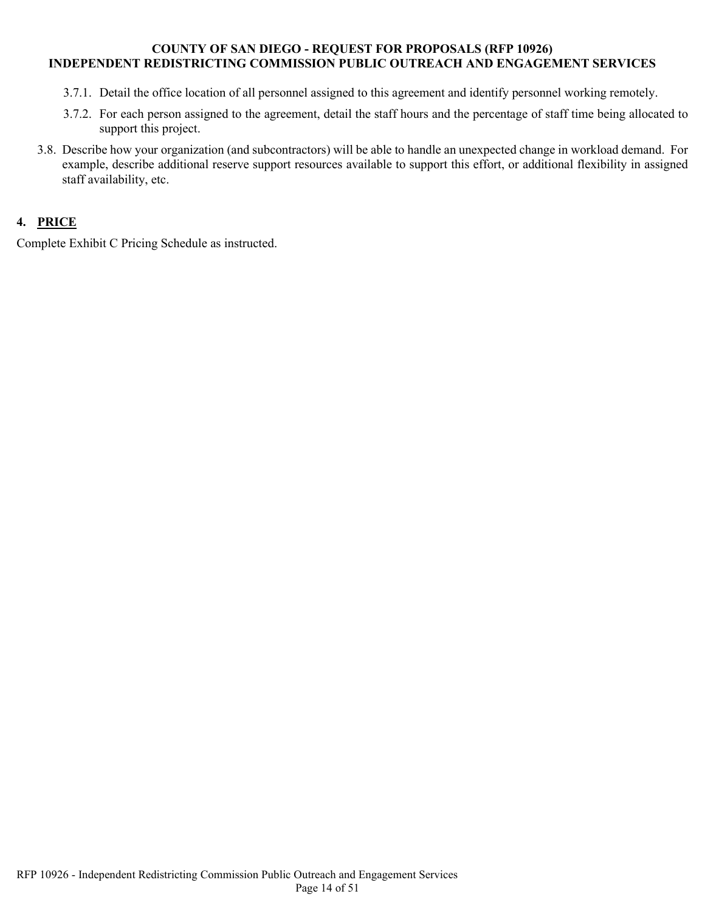- 3.7.1. Detail the office location of all personnel assigned to this agreement and identify personnel working remotely.
- 3.7.2. For each person assigned to the agreement, detail the staff hours and the percentage of staff time being allocated to support this project.
- 3.8. Describe how your organization (and subcontractors) will be able to handle an unexpected change in workload demand. For example, describe additional reserve support resources available to support this effort, or additional flexibility in assigned staff availability, etc.

# **4. PRICE**

Complete Exhibit C Pricing Schedule as instructed.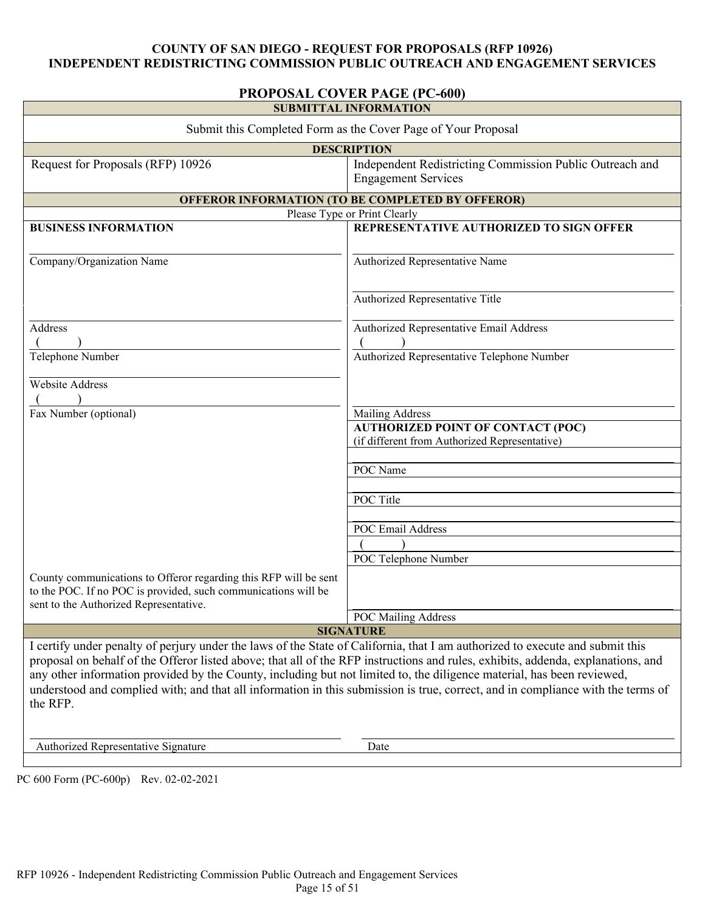# **PROPOSAL COVER PAGE (PC-600)**

| <b>SUBMITTAL INFORMATION</b>                                                                                                                                                                                                                                                                                                                                                                                                                                                                                                               |                                                                                           |  |
|--------------------------------------------------------------------------------------------------------------------------------------------------------------------------------------------------------------------------------------------------------------------------------------------------------------------------------------------------------------------------------------------------------------------------------------------------------------------------------------------------------------------------------------------|-------------------------------------------------------------------------------------------|--|
| Submit this Completed Form as the Cover Page of Your Proposal                                                                                                                                                                                                                                                                                                                                                                                                                                                                              |                                                                                           |  |
|                                                                                                                                                                                                                                                                                                                                                                                                                                                                                                                                            | <b>DESCRIPTION</b>                                                                        |  |
| Request for Proposals (RFP) 10926                                                                                                                                                                                                                                                                                                                                                                                                                                                                                                          | Independent Redistricting Commission Public Outreach and<br><b>Engagement Services</b>    |  |
|                                                                                                                                                                                                                                                                                                                                                                                                                                                                                                                                            | <b>OFFEROR INFORMATION (TO BE COMPLETED BY OFFEROR)</b>                                   |  |
|                                                                                                                                                                                                                                                                                                                                                                                                                                                                                                                                            | Please Type or Print Clearly                                                              |  |
| <b>BUSINESS INFORMATION</b>                                                                                                                                                                                                                                                                                                                                                                                                                                                                                                                | REPRESENTATIVE AUTHORIZED TO SIGN OFFER                                                   |  |
| Company/Organization Name                                                                                                                                                                                                                                                                                                                                                                                                                                                                                                                  | Authorized Representative Name                                                            |  |
|                                                                                                                                                                                                                                                                                                                                                                                                                                                                                                                                            | Authorized Representative Title                                                           |  |
| Address                                                                                                                                                                                                                                                                                                                                                                                                                                                                                                                                    | Authorized Representative Email Address                                                   |  |
|                                                                                                                                                                                                                                                                                                                                                                                                                                                                                                                                            |                                                                                           |  |
| Telephone Number                                                                                                                                                                                                                                                                                                                                                                                                                                                                                                                           | Authorized Representative Telephone Number                                                |  |
| Website Address                                                                                                                                                                                                                                                                                                                                                                                                                                                                                                                            |                                                                                           |  |
|                                                                                                                                                                                                                                                                                                                                                                                                                                                                                                                                            |                                                                                           |  |
| Fax Number (optional)                                                                                                                                                                                                                                                                                                                                                                                                                                                                                                                      | Mailing Address                                                                           |  |
|                                                                                                                                                                                                                                                                                                                                                                                                                                                                                                                                            | <b>AUTHORIZED POINT OF CONTACT (POC)</b><br>(if different from Authorized Representative) |  |
|                                                                                                                                                                                                                                                                                                                                                                                                                                                                                                                                            |                                                                                           |  |
|                                                                                                                                                                                                                                                                                                                                                                                                                                                                                                                                            | POC Name                                                                                  |  |
|                                                                                                                                                                                                                                                                                                                                                                                                                                                                                                                                            |                                                                                           |  |
|                                                                                                                                                                                                                                                                                                                                                                                                                                                                                                                                            | POC Title                                                                                 |  |
|                                                                                                                                                                                                                                                                                                                                                                                                                                                                                                                                            | POC Email Address                                                                         |  |
|                                                                                                                                                                                                                                                                                                                                                                                                                                                                                                                                            |                                                                                           |  |
|                                                                                                                                                                                                                                                                                                                                                                                                                                                                                                                                            | POC Telephone Number                                                                      |  |
|                                                                                                                                                                                                                                                                                                                                                                                                                                                                                                                                            |                                                                                           |  |
| County communications to Offeror regarding this RFP will be sent<br>to the POC. If no POC is provided, such communications will be<br>sent to the Authorized Representative.                                                                                                                                                                                                                                                                                                                                                               |                                                                                           |  |
|                                                                                                                                                                                                                                                                                                                                                                                                                                                                                                                                            | <b>POC Mailing Address</b>                                                                |  |
|                                                                                                                                                                                                                                                                                                                                                                                                                                                                                                                                            | <b>SIGNATURE</b>                                                                          |  |
| I certify under penalty of perjury under the laws of the State of California, that I am authorized to execute and submit this<br>proposal on behalf of the Offeror listed above; that all of the RFP instructions and rules, exhibits, addenda, explanations, and<br>any other information provided by the County, including but not limited to, the diligence material, has been reviewed,<br>understood and complied with; and that all information in this submission is true, correct, and in compliance with the terms of<br>the RFP. |                                                                                           |  |
| Authorized Representative Signature                                                                                                                                                                                                                                                                                                                                                                                                                                                                                                        | Date                                                                                      |  |
|                                                                                                                                                                                                                                                                                                                                                                                                                                                                                                                                            |                                                                                           |  |

PC 600 Form (PC-600p) Rev. 02-02-2021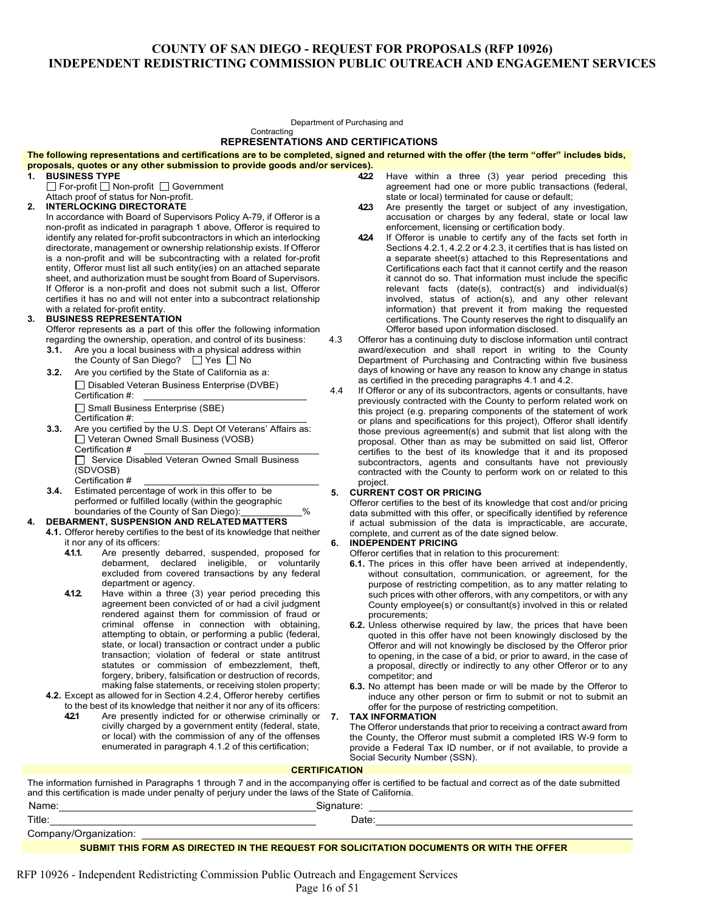Department of Purchasing and **Contracting** 

#### **REPRESENTATIONS AND CERTIFICATIONS**

#### **The following representations and certifications are to be completed, signed and returned with the offer (the term "offer" includes bids, proposals, quotes or any other submission to provide goods and/or services).**

- **1. BUSINESS TYPE**
	- □ For-profit □ Non-profit □ Government
- Attach proof of status for Non-profit.
- **2. INTERLOCKING DIRECTORATE**

In accordance with Board of Supervisors Policy A-79, if Offeror is a non-profit as indicated in paragraph 1 above, Offeror is required to identify any related for-profit subcontractors in which an interlocking directorate, management or ownership relationship exists. If Offeror is a non-profit and will be subcontracting with a related for-profit entity, Offeror must list all such entity(ies) on an attached separate sheet, and authorization must be sought from Board of Supervisors. If Offeror is a non-profit and does not submit such a list, Offeror certifies it has no and will not enter into a subcontract relationship with a related for-profit entity.

#### **3. BUSINESS REPRESENTATION**

Offeror represents as a part of this offer the following information regarding the ownership, operation, and control of its business:

- **3.1.** Are you a local business with a physical address within the County of San Diego?  $\Box$  Yes  $\Box$  No
- **3.2.** Are you certified by the State of California as a: □ Disabled Veteran Business Enterprise (DVBE) Certification #:
	- Small Business Enterprise (SBE)
	- Certification #:
- **3.3.** Are you certified by the U.S. Dept Of Veterans' Affairs as: □ Veteran Owned Small Business (VOSB) Certification # □ Service Disabled Veteran Owned Small Business (SDVOSB)
	- Certification #
- **3.4.** Estimated percentage of work in this offer to be performed or fulfilled locally (within the geographic boundaries of the County of San Diego): \_\_\_\_\_\_\_\_\_\_%

#### **4. DEBARMENT, SUSPENSION AND RELATED MATTERS**

- **4.1.** Offeror hereby certifies to the best of its knowledge that neither it nor any of its officers:<br>**41.1.** Are presently
	- **4.1.1.** Are presently debarred, suspended, proposed for debarment, declared ineligible, or voluntarily excluded from covered transactions by any federal department or agency.
	- **4.1.2.** Have within a three (3) year period preceding this agreement been convicted of or had a civil judgment rendered against them for commission of fraud or criminal offense in connection with obtaining, attempting to obtain, or performing a public (federal, state, or local) transaction or contract under a public transaction; violation of federal or state antitrust statutes or commission of embezzlement, theft, forgery, bribery, falsification or destruction of records, making false statements, or receiving stolen property;
- **4.2.** Except as allowed for in Section 4.2.4, Offeror hereby certifies to the best of its knowledge that neither it nor any of its officers:
	- **4.2.1** Are presently indicted for or otherwise criminally or civilly charged by a government entity (federal, state, or local) with the commission of any of the offenses enumerated in paragraph 4.1.2 of this certification;
- **4.2.2** Have within a three (3) year period preceding this agreement had one or more public transactions (federal, state or local) terminated for cause or default;
- **4.2.3** Are presently the target or subject of any investigation, accusation or charges by any federal, state or local law enforcement, licensing or certification body.
- **4.2.4** If Offeror is unable to certify any of the facts set forth in Sections 4.2.1, 4.2.2 or 4.2.3, it certifies that is has listed on a separate sheet(s) attached to this Representations and Certifications each fact that it cannot certify and the reason it cannot do so. That information must include the specific relevant facts (date(s), contract(s) and individual(s) involved, status of action(s), and any other relevant information) that prevent it from making the requested certifications. The County reserves the right to disqualify an Offeror based upon information disclosed.
- 4.3 Offeror has a continuing duty to disclose information until contract award/execution and shall report in writing to the County Department of Purchasing and Contracting within five business days of knowing or have any reason to know any change in status as certified in the preceding paragraphs 4.1 and 4.2.
- 4.4 If Offeror or any of its subcontractors, agents or consultants, have previously contracted with the County to perform related work on this project (e.g. preparing components of the statement of work or plans and specifications for this project), Offeror shall identify those previous agreement(s) and submit that list along with the proposal. Other than as may be submitted on said list, Offeror certifies to the best of its knowledge that it and its proposed subcontractors, agents and consultants have not previously contracted with the County to perform work on or related to this project.

#### **5. CURRENT COST OR PRICING**

Offeror certifies to the best of its knowledge that cost and/or pricing data submitted with this offer, or specifically identified by reference if actual submission of the data is impracticable, are accurate, complete, and current as of the date signed below.

#### **6. INDEPENDENT PRICING**

Offeror certifies that in relation to this procurement:

- **6.1.** The prices in this offer have been arrived at independently, without consultation, communication, or agreement, for the purpose of restricting competition, as to any matter relating to such prices with other offerors, with any competitors, or with any County employee(s) or consultant(s) involved in this or related procurements;
- **6.2.** Unless otherwise required by law, the prices that have been quoted in this offer have not been knowingly disclosed by the Offeror and will not knowingly be disclosed by the Offeror prior to opening, in the case of a bid, or prior to award, in the case of a proposal, directly or indirectly to any other Offeror or to any competitor; and
- **6.3.** No attempt has been made or will be made by the Offeror to induce any other person or firm to submit or not to submit an offer for the purpose of restricting competition.
- **7. TAX INFORMATION**

The Offeror understands that prior to receiving a contract award from the County, the Offeror must submit a completed IRS W-9 form to provide a Federal Tax ID number, or if not available, to provide a Social Security Number (SSN).

#### **CERTIFICATION**

| The information furnished in Paragraphs 1 through 7 and in the accompanying offer is certified to be factual and correct as of the date submitted<br>and this certification is made under penalty of perjury under the laws of the State of California. |                                       |  |
|---------------------------------------------------------------------------------------------------------------------------------------------------------------------------------------------------------------------------------------------------------|---------------------------------------|--|
| Name:                                                                                                                                                                                                                                                   | Signature: <u>___________________</u> |  |
| Title:                                                                                                                                                                                                                                                  | Date:                                 |  |
| Company/Organization: example of the company of the company of the company of the company of the company of the company of the company of the company of the company of the company of the company of the company of the compa                          |                                       |  |
| SUBMIT THIS FORM AS DIRECTED IN THE REQUEST FOR SOLICITATION DOCUMENTS OR WITH THE OFFER                                                                                                                                                                |                                       |  |

RFP 10926 - Independent Redistricting Commission Public Outreach and Engagement Services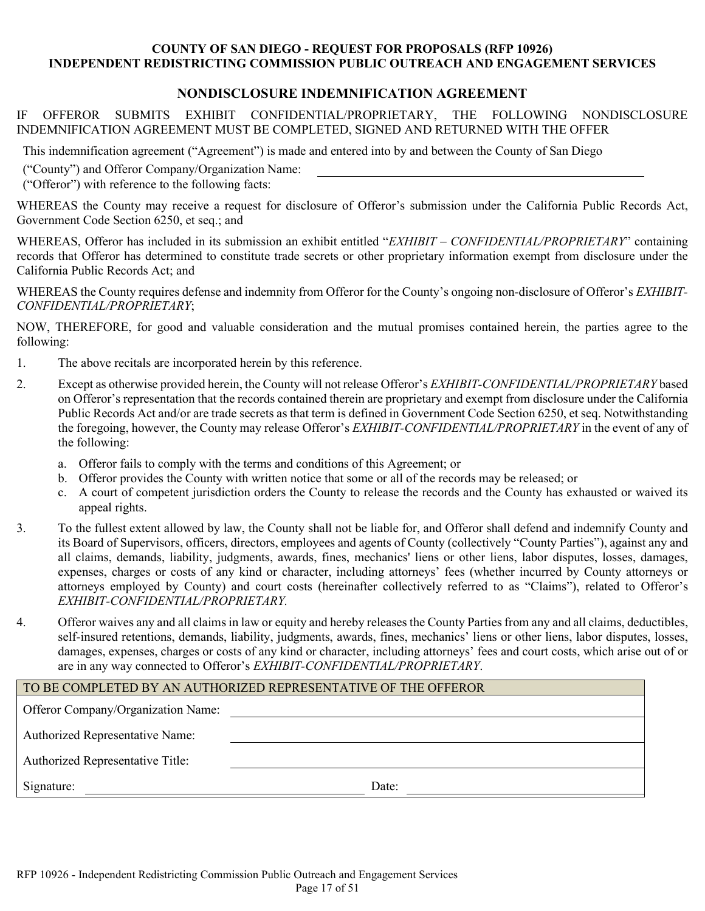# **NONDISCLOSURE INDEMNIFICATION AGREEMENT**

IF OFFEROR SUBMITS EXHIBIT CONFIDENTIAL/PROPRIETARY, THE FOLLOWING NONDISCLOSURE INDEMNIFICATION AGREEMENT MUST BE COMPLETED, SIGNED AND RETURNED WITH THE OFFER

This indemnification agreement ("Agreement") is made and entered into by and between the County of San Diego

("County") and Offeror Company/Organization Name:

("Offeror") with reference to the following facts:

WHEREAS the County may receive a request for disclosure of Offeror's submission under the California Public Records Act, Government Code Section 6250, et seq.; and

WHEREAS, Offeror has included in its submission an exhibit entitled "*EXHIBIT – CONFIDENTIAL/PROPRIETARY*" containing records that Offeror has determined to constitute trade secrets or other proprietary information exempt from disclosure under the California Public Records Act; and

WHEREAS the County requires defense and indemnity from Offeror for the County's ongoing non-disclosure of Offeror's *EXHIBIT-CONFIDENTIAL/PROPRIETARY*;

NOW, THEREFORE, for good and valuable consideration and the mutual promises contained herein, the parties agree to the following:

- 1. The above recitals are incorporated herein by this reference.
- 2. Except as otherwise provided herein, the County will not release Offeror's *EXHIBIT-CONFIDENTIAL/PROPRIETARY* based on Offeror's representation that the records contained therein are proprietary and exempt from disclosure under the California Public Records Act and/or are trade secrets as that term is defined in Government Code Section 6250, et seq. Notwithstanding the foregoing, however, the County may release Offeror's *EXHIBIT-CONFIDENTIAL/PROPRIETARY* in the event of any of the following:
	- a. Offeror fails to comply with the terms and conditions of this Agreement; or
	- b. Offeror provides the County with written notice that some or all of the records may be released; or
	- c. A court of competent jurisdiction orders the County to release the records and the County has exhausted or waived its appeal rights.
- 3. To the fullest extent allowed by law, the County shall not be liable for, and Offeror shall defend and indemnify County and its Board of Supervisors, officers, directors, employees and agents of County (collectively "County Parties"), against any and all claims, demands, liability, judgments, awards, fines, mechanics' liens or other liens, labor disputes, losses, damages, expenses, charges or costs of any kind or character, including attorneys' fees (whether incurred by County attorneys or attorneys employed by County) and court costs (hereinafter collectively referred to as "Claims"), related to Offeror's *EXHIBIT-CONFIDENTIAL/PROPRIETARY.*
- 4. Offeror waives any and all claims in law or equity and hereby releases the County Parties from any and all claims, deductibles, self-insured retentions, demands, liability, judgments, awards, fines, mechanics' liens or other liens, labor disputes, losses, damages, expenses, charges or costs of any kind or character, including attorneys' fees and court costs, which arise out of or are in any way connected to Offeror's *EXHIBIT-CONFIDENTIAL/PROPRIETARY*.

#### TO BE COMPLETED BY AN AUTHORIZED REPRESENTATIVE OF THE OFFEROR

| Offeror Company/Organization Name:      |       |
|-----------------------------------------|-------|
| <b>Authorized Representative Name:</b>  |       |
| <b>Authorized Representative Title:</b> |       |
| Signature:                              | Date: |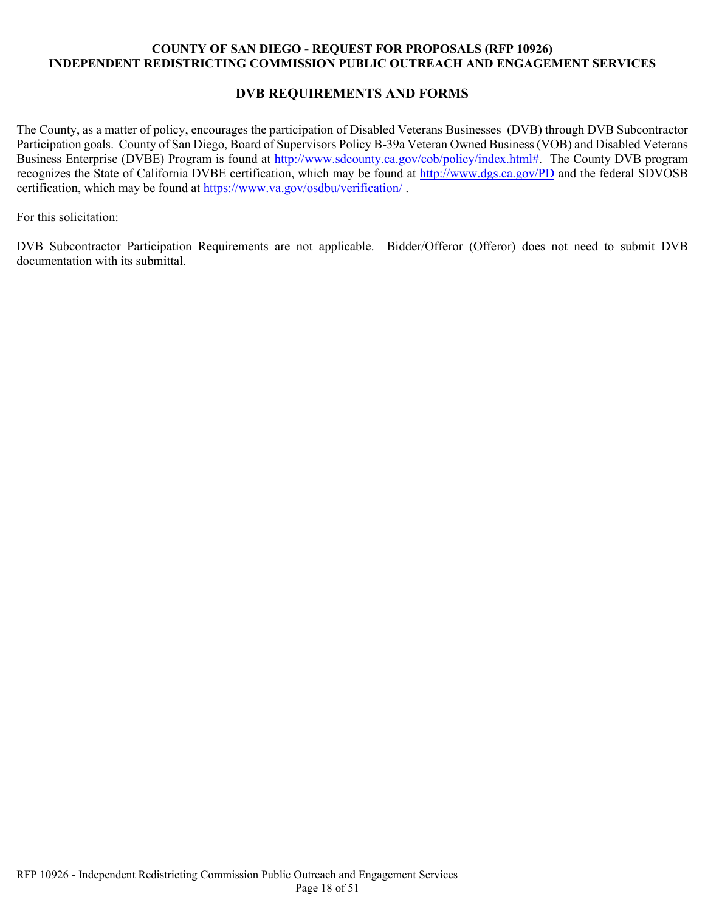# **DVB REQUIREMENTS AND FORMS**

The County, as a matter of policy, encourages the participation of Disabled Veterans Businesses (DVB) through DVB Subcontractor Participation goals. County of San Diego, Board of Supervisors Policy B-39a Veteran Owned Business (VOB) and Disabled Veterans Business Enterprise (DVBE) Program is found at [http://www.sdcounty.ca.gov/cob/policy/index.html#.](http://www.sdcounty.ca.gov/cob/policy/index.html) The County DVB program recognizes the State of California DVBE certification, which may be found at<http://www.dgs.ca.gov/PD> and the federal SDVOSB certification, which may be found at<https://www.va.gov/osdbu/verification/> .

For this solicitation:

DVB Subcontractor Participation Requirements are not applicable. Bidder/Offeror (Offeror) does not need to submit DVB documentation with its submittal.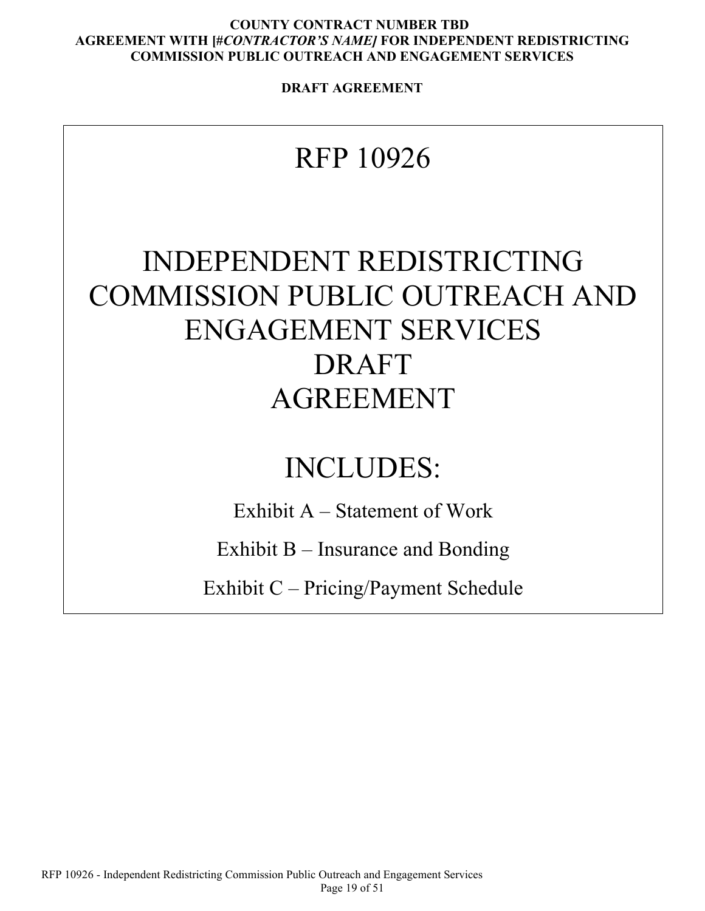**DRAFT AGREEMENT**

# RFP 10926

# INDEPENDENT REDISTRICTING COMMISSION PUBLIC OUTREACH AND ENGAGEMENT SERVICES DRAFT AGREEMENT

# INCLUDES:

Exhibit A – Statement of Work

Exhibit B – Insurance and Bonding

Exhibit C – Pricing/Payment Schedule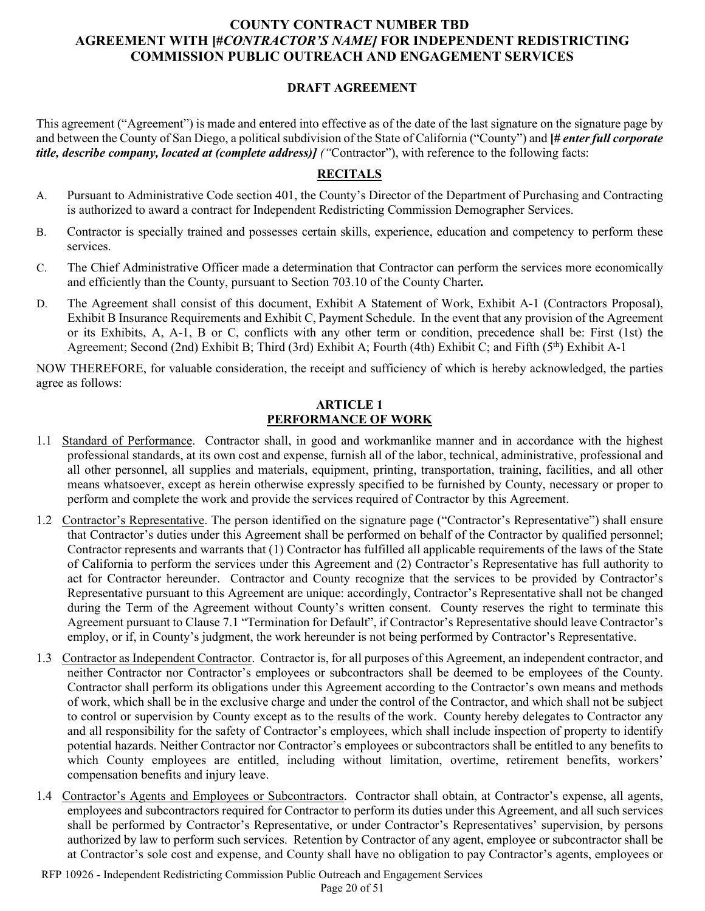# **DRAFT AGREEMENT**

This agreement ("Agreement") is made and entered into effective as of the date of the last signature on the signature page by and between the County of San Diego, a political subdivision of the State of California ("County") and **[#** *enter full corporate title, describe company, located at (complete address)] ("*Contractor"), with reference to the following facts:

# **RECITALS**

- A. Pursuant to Administrative Code section 401, the County's Director of the Department of Purchasing and Contracting is authorized to award a contract for Independent Redistricting Commission Demographer Services.
- B. Contractor is specially trained and possesses certain skills, experience, education and competency to perform these services.
- C. The Chief Administrative Officer made a determination that Contractor can perform the services more economically and efficiently than the County, pursuant to Section 703.10 of the County Charter*.*
- D. The Agreement shall consist of this document, Exhibit A Statement of Work, Exhibit A-1 (Contractors Proposal), Exhibit B Insurance Requirements and Exhibit C, Payment Schedule. In the event that any provision of the Agreement or its Exhibits, A, A-1, B or C, conflicts with any other term or condition, precedence shall be: First (1st) the Agreement; Second (2nd) Exhibit B; Third (3rd) Exhibit A; Fourth (4th) Exhibit C; and Fifth (5<sup>th</sup>) Exhibit A-1

NOW THEREFORE, for valuable consideration, the receipt and sufficiency of which is hereby acknowledged, the parties agree as follows:

#### **ARTICLE 1 PERFORMANCE OF WORK**

- 1.1 Standard of Performance. Contractor shall, in good and workmanlike manner and in accordance with the highest professional standards, at its own cost and expense, furnish all of the labor, technical, administrative, professional and all other personnel, all supplies and materials, equipment, printing, transportation, training, facilities, and all other means whatsoever, except as herein otherwise expressly specified to be furnished by County, necessary or proper to perform and complete the work and provide the services required of Contractor by this Agreement.
- 1.2 Contractor's Representative. The person identified on the signature page ("Contractor's Representative") shall ensure that Contractor's duties under this Agreement shall be performed on behalf of the Contractor by qualified personnel; Contractor represents and warrants that (1) Contractor has fulfilled all applicable requirements of the laws of the State of California to perform the services under this Agreement and (2) Contractor's Representative has full authority to act for Contractor hereunder. Contractor and County recognize that the services to be provided by Contractor's Representative pursuant to this Agreement are unique: accordingly, Contractor's Representative shall not be changed during the Term of the Agreement without County's written consent. County reserves the right to terminate this Agreement pursuant to Clause 7.1 "Termination for Default", if Contractor's Representative should leave Contractor's employ, or if, in County's judgment, the work hereunder is not being performed by Contractor's Representative.
- 1.3 Contractor as Independent Contractor. Contractor is, for all purposes of this Agreement, an independent contractor, and neither Contractor nor Contractor's employees or subcontractors shall be deemed to be employees of the County. Contractor shall perform its obligations under this Agreement according to the Contractor's own means and methods of work, which shall be in the exclusive charge and under the control of the Contractor, and which shall not be subject to control or supervision by County except as to the results of the work. County hereby delegates to Contractor any and all responsibility for the safety of Contractor's employees, which shall include inspection of property to identify potential hazards. Neither Contractor nor Contractor's employees or subcontractors shall be entitled to any benefits to which County employees are entitled, including without limitation, overtime, retirement benefits, workers' compensation benefits and injury leave.
- 1.4 Contractor's Agents and Employees or Subcontractors. Contractor shall obtain, at Contractor's expense, all agents, employees and subcontractors required for Contractor to perform its duties under this Agreement, and all such services shall be performed by Contractor's Representative, or under Contractor's Representatives' supervision, by persons authorized by law to perform such services. Retention by Contractor of any agent, employee or subcontractor shall be at Contractor's sole cost and expense, and County shall have no obligation to pay Contractor's agents, employees or

RFP 10926 - Independent Redistricting Commission Public Outreach and Engagement Services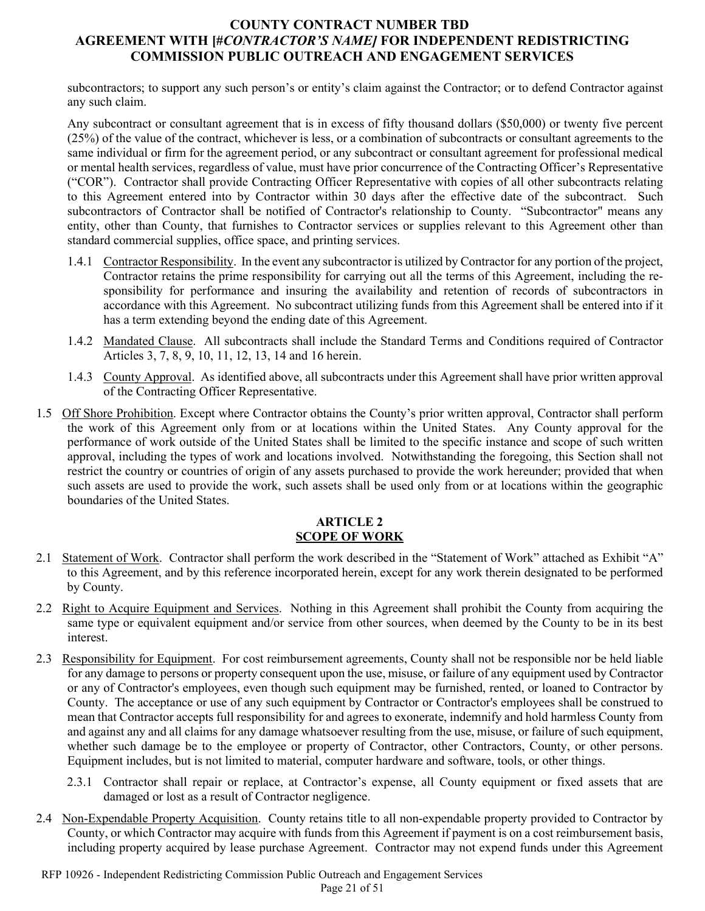subcontractors; to support any such person's or entity's claim against the Contractor; or to defend Contractor against any such claim.

Any subcontract or consultant agreement that is in excess of fifty thousand dollars (\$50,000) or twenty five percent (25%) of the value of the contract, whichever is less, or a combination of subcontracts or consultant agreements to the same individual or firm for the agreement period, or any subcontract or consultant agreement for professional medical or mental health services, regardless of value, must have prior concurrence of the Contracting Officer's Representative ("COR"). Contractor shall provide Contracting Officer Representative with copies of all other subcontracts relating to this Agreement entered into by Contractor within 30 days after the effective date of the subcontract. Such subcontractors of Contractor shall be notified of Contractor's relationship to County. "Subcontractor" means any entity, other than County, that furnishes to Contractor services or supplies relevant to this Agreement other than standard commercial supplies, office space, and printing services.

- 1.4.1 Contractor Responsibility. In the event any subcontractor is utilized by Contractor for any portion of the project, Contractor retains the prime responsibility for carrying out all the terms of this Agreement, including the responsibility for performance and insuring the availability and retention of records of subcontractors in accordance with this Agreement. No subcontract utilizing funds from this Agreement shall be entered into if it has a term extending beyond the ending date of this Agreement.
- 1.4.2 Mandated Clause. All subcontracts shall include the Standard Terms and Conditions required of Contractor Articles 3, 7, 8, 9, 10, 11, 12, 13, 14 and 16 herein.
- 1.4.3 County Approval. As identified above, all subcontracts under this Agreement shall have prior written approval of the Contracting Officer Representative.
- 1.5 Off Shore Prohibition. Except where Contractor obtains the County's prior written approval, Contractor shall perform the work of this Agreement only from or at locations within the United States. Any County approval for the performance of work outside of the United States shall be limited to the specific instance and scope of such written approval, including the types of work and locations involved. Notwithstanding the foregoing, this Section shall not restrict the country or countries of origin of any assets purchased to provide the work hereunder; provided that when such assets are used to provide the work, such assets shall be used only from or at locations within the geographic boundaries of the United States.

#### **ARTICLE 2 SCOPE OF WORK**

- 2.1 Statement of Work. Contractor shall perform the work described in the "Statement of Work" attached as Exhibit "A" to this Agreement, and by this reference incorporated herein, except for any work therein designated to be performed by County.
- 2.2 Right to Acquire Equipment and Services. Nothing in this Agreement shall prohibit the County from acquiring the same type or equivalent equipment and/or service from other sources, when deemed by the County to be in its best interest.
- 2.3 Responsibility for Equipment. For cost reimbursement agreements, County shall not be responsible nor be held liable for any damage to persons or property consequent upon the use, misuse, or failure of any equipment used by Contractor or any of Contractor's employees, even though such equipment may be furnished, rented, or loaned to Contractor by County. The acceptance or use of any such equipment by Contractor or Contractor's employees shall be construed to mean that Contractor accepts full responsibility for and agrees to exonerate, indemnify and hold harmless County from and against any and all claims for any damage whatsoever resulting from the use, misuse, or failure of such equipment, whether such damage be to the employee or property of Contractor, other Contractors, County, or other persons. Equipment includes, but is not limited to material, computer hardware and software, tools, or other things.
	- 2.3.1 Contractor shall repair or replace, at Contractor's expense, all County equipment or fixed assets that are damaged or lost as a result of Contractor negligence.
- <span id="page-20-0"></span>2.4 Non-Expendable Property Acquisition. County retains title to all non-expendable property provided to Contractor by County, or which Contractor may acquire with funds from this Agreement if payment is on a cost reimbursement basis, including property acquired by lease purchase Agreement. Contractor may not expend funds under this Agreement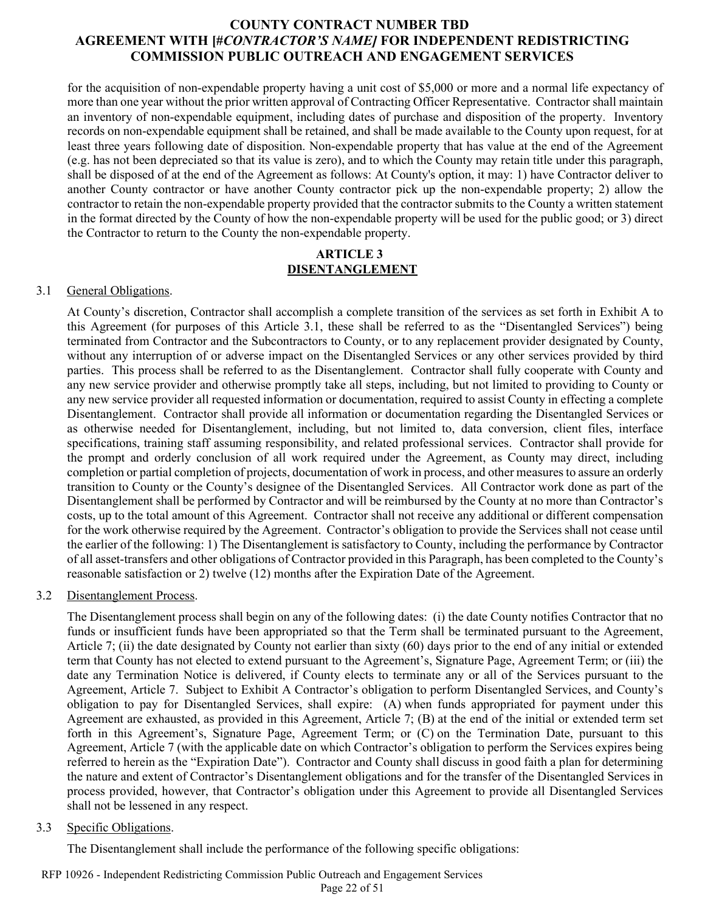for the acquisition of non-expendable property having a unit cost of \$5,000 or more and a normal life expectancy of more than one year without the prior written approval of Contracting Officer Representative. Contractor shall maintain an inventory of non-expendable equipment, including dates of purchase and disposition of the property. Inventory records on non-expendable equipment shall be retained, and shall be made available to the County upon request, for at least three years following date of disposition. Non-expendable property that has value at the end of the Agreement (e.g. has not been depreciated so that its value is zero), and to which the County may retain title under this paragraph, shall be disposed of at the end of the Agreement as follows: At County's option, it may: 1) have Contractor deliver to another County contractor or have another County contractor pick up the non-expendable property; 2) allow the contractor to retain the non-expendable property provided that the contractor submits to the County a written statement in the format directed by the County of how the non-expendable property will be used for the public good; or 3) direct the Contractor to return to the County the non-expendable property.

#### **ARTICLE 3 DISENTANGLEMENT**

#### 3.1 General Obligations.

At County's discretion, Contractor shall accomplish a complete transition of the services as set forth in Exhibit A to this Agreement (for purposes of this Article 3.1, these shall be referred to as the "Disentangled Services") being terminated from Contractor and the Subcontractors to County, or to any replacement provider designated by County, without any interruption of or adverse impact on the Disentangled Services or any other services provided by third parties. This process shall be referred to as the Disentanglement. Contractor shall fully cooperate with County and any new service provider and otherwise promptly take all steps, including, but not limited to providing to County or any new service provider all requested information or documentation, required to assist County in effecting a complete Disentanglement. Contractor shall provide all information or documentation regarding the Disentangled Services or as otherwise needed for Disentanglement, including, but not limited to, data conversion, client files, interface specifications, training staff assuming responsibility, and related professional services. Contractor shall provide for the prompt and orderly conclusion of all work required under the Agreement, as County may direct, including completion or partial completion of projects, documentation of work in process, and other measures to assure an orderly transition to County or the County's designee of the Disentangled Services. All Contractor work done as part of the Disentanglement shall be performed by Contractor and will be reimbursed by the County at no more than Contractor's costs, up to the total amount of this Agreement. Contractor shall not receive any additional or different compensation for the work otherwise required by the Agreement. Contractor's obligation to provide the Services shall not cease until the earlier of the following: 1) The Disentanglement is satisfactory to County, including the performance by Contractor of all asset-transfers and other obligations of Contractor provided in this Paragraph, has been completed to the County's reasonable satisfaction or 2) twelve (12) months after the Expiration Date of the Agreement.

#### 3.2 Disentanglement Process.

The Disentanglement process shall begin on any of the following dates: (i) the date County notifies Contractor that no funds or insufficient funds have been appropriated so that the Term shall be terminated pursuant to the Agreement, Article 7; (ii) the date designated by County not earlier than sixty (60) days prior to the end of any initial or extended term that County has not elected to extend pursuant to the Agreement's, Signature Page, Agreement Term; or (iii) the date any Termination Notice is delivered, if County elects to terminate any or all of the Services pursuant to the Agreement, Article 7. Subject to Exhibit A Contractor's obligation to perform Disentangled Services, and County's obligation to pay for Disentangled Services, shall expire: (A) when funds appropriated for payment under this Agreement are exhausted, as provided in this Agreement, Article 7; (B) at the end of the initial or extended term set forth in this Agreement's, Signature Page, Agreement Term; or (C) on the Termination Date, pursuant to this Agreement, Article 7 (with the applicable date on which Contractor's obligation to perform the Services expires being referred to herein as the "Expiration Date"). Contractor and County shall discuss in good faith a plan for determining the nature and extent of Contractor's Disentanglement obligations and for the transfer of the Disentangled Services in process provided, however, that Contractor's obligation under this Agreement to provide all Disentangled Services shall not be lessened in any respect.

#### 3.3 Specific Obligations.

The Disentanglement shall include the performance of the following specific obligations: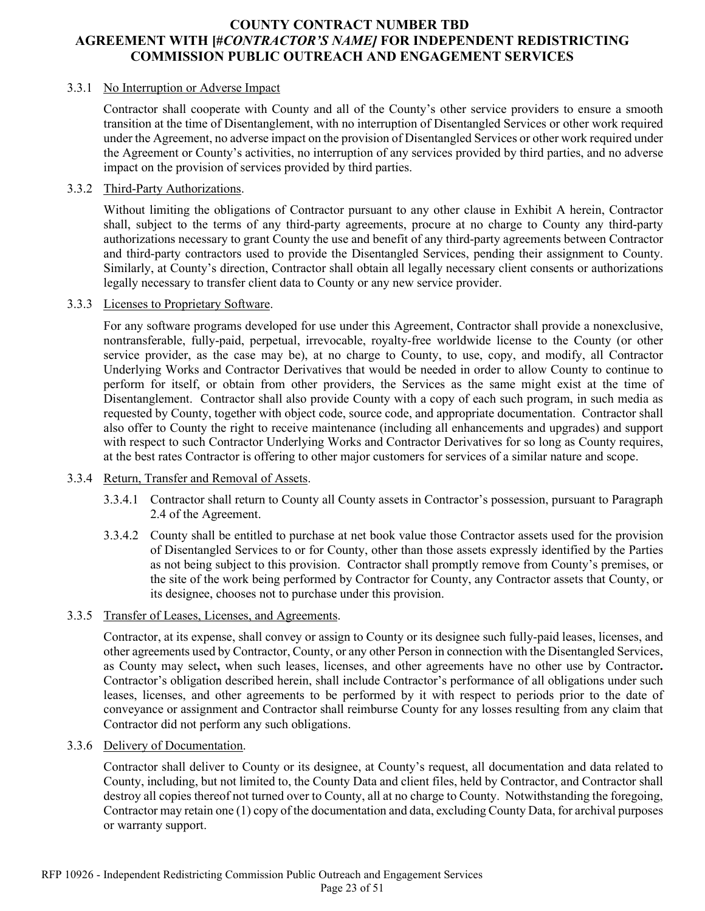#### 3.3.1 No Interruption or Adverse Impact

Contractor shall cooperate with County and all of the County's other service providers to ensure a smooth transition at the time of Disentanglement, with no interruption of Disentangled Services or other work required under the Agreement, no adverse impact on the provision of Disentangled Services or other work required under the Agreement or County's activities, no interruption of any services provided by third parties, and no adverse impact on the provision of services provided by third parties.

### 3.3.2 Third-Party Authorizations.

Without limiting the obligations of Contractor pursuant to any other clause in Exhibit A herein, Contractor shall, subject to the terms of any third-party agreements, procure at no charge to County any third-party authorizations necessary to grant County the use and benefit of any third-party agreements between Contractor and third-party contractors used to provide the Disentangled Services, pending their assignment to County. Similarly, at County's direction, Contractor shall obtain all legally necessary client consents or authorizations legally necessary to transfer client data to County or any new service provider.

#### 3.3.3 Licenses to Proprietary Software.

For any software programs developed for use under this Agreement, Contractor shall provide a nonexclusive, nontransferable, fully-paid, perpetual, irrevocable, royalty-free worldwide license to the County (or other service provider, as the case may be), at no charge to County, to use, copy, and modify, all Contractor Underlying Works and Contractor Derivatives that would be needed in order to allow County to continue to perform for itself, or obtain from other providers, the Services as the same might exist at the time of Disentanglement. Contractor shall also provide County with a copy of each such program, in such media as requested by County, together with object code, source code, and appropriate documentation. Contractor shall also offer to County the right to receive maintenance (including all enhancements and upgrades) and support with respect to such Contractor Underlying Works and Contractor Derivatives for so long as County requires, at the best rates Contractor is offering to other major customers for services of a similar nature and scope.

#### 3.3.4 Return, Transfer and Removal of Assets.

- 3.3.4.1 Contractor shall return to County all County assets in Contractor's possession, pursuant to Paragraph [2.4](#page-20-0) of the Agreement.
- 3.3.4.2 County shall be entitled to purchase at net book value those Contractor assets used for the provision of Disentangled Services to or for County, other than those assets expressly identified by the Parties as not being subject to this provision. Contractor shall promptly remove from County's premises, or the site of the work being performed by Contractor for County, any Contractor assets that County, or its designee, chooses not to purchase under this provision.

#### 3.3.5 Transfer of Leases, Licenses, and Agreements.

Contractor, at its expense, shall convey or assign to County or its designee such fully-paid leases, licenses, and other agreements used by Contractor, County, or any other Person in connection with the Disentangled Services, as County may select**,** when such leases, licenses, and other agreements have no other use by Contractor**.** Contractor's obligation described herein, shall include Contractor's performance of all obligations under such leases, licenses, and other agreements to be performed by it with respect to periods prior to the date of conveyance or assignment and Contractor shall reimburse County for any losses resulting from any claim that Contractor did not perform any such obligations.

#### 3.3.6 Delivery of Documentation.

Contractor shall deliver to County or its designee, at County's request, all documentation and data related to County, including, but not limited to, the County Data and client files, held by Contractor, and Contractor shall destroy all copies thereof not turned over to County, all at no charge to County. Notwithstanding the foregoing, Contractor may retain one (1) copy of the documentation and data, excluding County Data, for archival purposes or warranty support.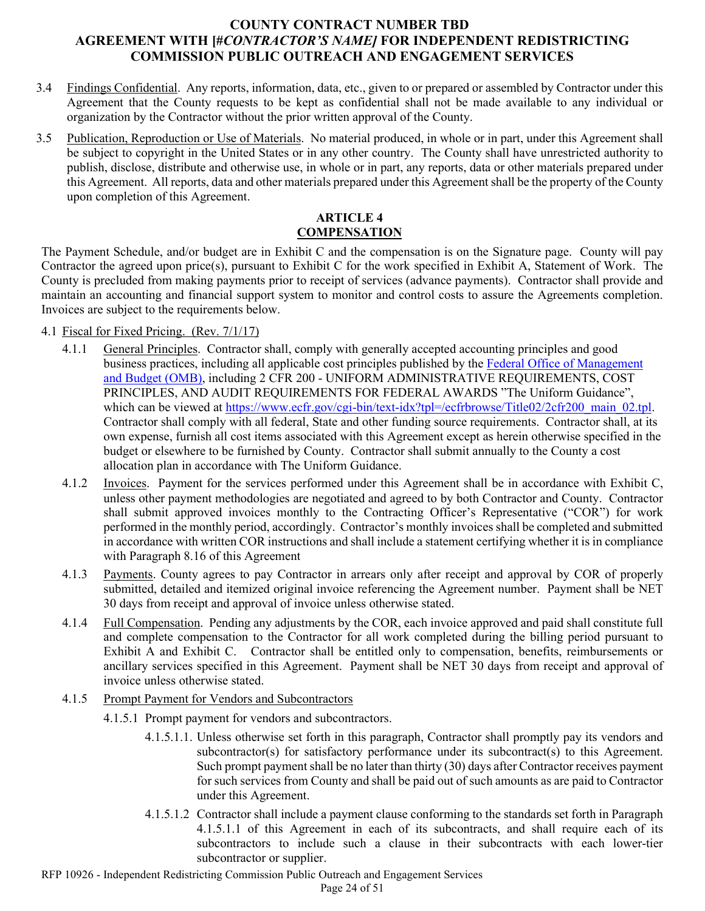- 3.4 Findings Confidential. Any reports, information, data, etc., given to or prepared or assembled by Contractor under this Agreement that the County requests to be kept as confidential shall not be made available to any individual or organization by the Contractor without the prior written approval of the County.
- 3.5 Publication, Reproduction or Use of Materials. No material produced, in whole or in part, under this Agreement shall be subject to copyright in the United States or in any other country. The County shall have unrestricted authority to publish, disclose, distribute and otherwise use, in whole or in part, any reports, data or other materials prepared under this Agreement. All reports, data and other materials prepared under this Agreement shall be the property of the County upon completion of this Agreement.

# **ARTICLE 4 COMPENSATION**

The Payment Schedule, and/or budget are in Exhibit C and the compensation is on the Signature page.County will pay Contractor the agreed upon price(s), pursuant to Exhibit C for the work specified in Exhibit A, Statement of Work. The County is precluded from making payments prior to receipt of services (advance payments). Contractor shall provide and maintain an accounting and financial support system to monitor and control costs to assure the Agreements completion. Invoices are subject to the requirements below.

# 4.1 Fiscal for Fixed Pricing. (Rev. 7/1/17)

- 4.1.1 General Principles. Contractor shall, comply with generally accepted accounting principles and good business practices, including all applicable cost principles published by th[e Federal Office of Management](http://www.whitehouse.gov/omb/)  [and Budget \(OMB\),](http://www.whitehouse.gov/omb/) including 2 CFR 200 - UNIFORM ADMINISTRATIVE REQUIREMENTS, COST PRINCIPLES, AND AUDIT REQUIREMENTS FOR FEDERAL AWARDS "The Uniform Guidance", which can be viewed at [https://www.ecfr.gov/cgi-bin/text-idx?tpl=/ecfrbrowse/Title02/2cfr200\\_main\\_02.tpl.](https://www.ecfr.gov/cgi-bin/text-idx?tpl=/ecfrbrowse/Title02/2cfr200_main_02.tpl) Contractor shall comply with all federal, State and other funding source requirements. Contractor shall, at its own expense, furnish all cost items associated with this Agreement except as herein otherwise specified in the budget or elsewhere to be furnished by County. Contractor shall submit annually to the County a cost allocation plan in accordance with The Uniform Guidance.
- 4.1.2 Invoices. Payment for the services performed under this Agreement shall be in accordance with Exhibit C, unless other payment methodologies are negotiated and agreed to by both Contractor and County. Contractor shall submit approved invoices monthly to the Contracting Officer's Representative ("COR") for work performed in the monthly period, accordingly. Contractor's monthly invoices shall be completed and submitted in accordance with written COR instructions and shall include a statement certifying whether it is in compliance with Paragraph 8.16 of this Agreement
- 4.1.3 Payments. County agrees to pay Contractor in arrears only after receipt and approval by COR of properly submitted, detailed and itemized original invoice referencing the Agreement number. Payment shall be NET 30 days from receipt and approval of invoice unless otherwise stated.
- 4.1.4 Full Compensation. Pending any adjustments by the COR, each invoice approved and paid shall constitute full and complete compensation to the Contractor for all work completed during the billing period pursuant to Exhibit A and Exhibit C. Contractor shall be entitled only to compensation, benefits, reimbursements or ancillary services specified in this Agreement. Payment shall be NET 30 days from receipt and approval of invoice unless otherwise stated.
- 4.1.5 Prompt Payment for Vendors and Subcontractors
	- 4.1.5.1 Prompt payment for vendors and subcontractors.
		- 4.1.5.1.1. Unless otherwise set forth in this paragraph, Contractor shall promptly pay its vendors and subcontractor(s) for satisfactory performance under its subcontract(s) to this Agreement. Such prompt payment shall be no later than thirty (30) days after Contractor receives payment for such services from County and shall be paid out of such amounts as are paid to Contractor under this Agreement.
		- 4.1.5.1.2 Contractor shall include a payment clause conforming to the standards set forth in Paragraph [4.1.5.1.1](#page-24-0) of this Agreement in each of its subcontracts, and shall require each of its subcontractors to include such a clause in their subcontracts with each lower-tier subcontractor or supplier.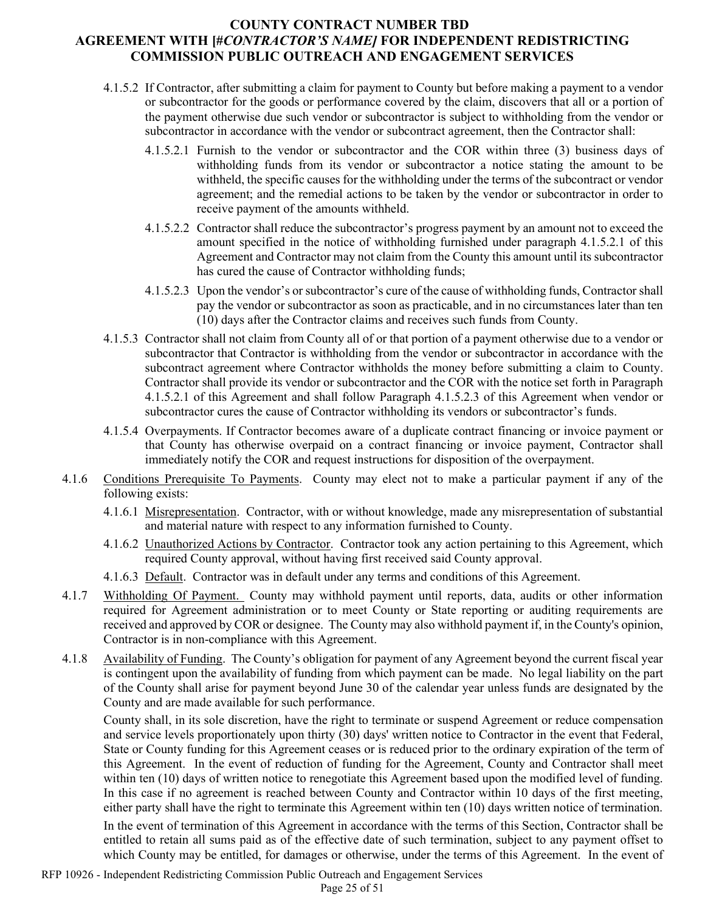- <span id="page-24-1"></span>4.1.5.2 If Contractor, after submitting a claim for payment to County but before making a payment to a vendor or subcontractor for the goods or performance covered by the claim, discovers that all or a portion of the payment otherwise due such vendor or subcontractor is subject to withholding from the vendor or subcontractor in accordance with the vendor or subcontract agreement, then the Contractor shall:
	- 4.1.5.2.1 Furnish to the vendor or subcontractor and the COR within three (3) business days of withholding funds from its vendor or subcontractor a notice stating the amount to be withheld, the specific causes for the withholding under the terms of the subcontract or vendor agreement; and the remedial actions to be taken by the vendor or subcontractor in order to receive payment of the amounts withheld.
	- 4.1.5.2.2 Contractor shall reduce the subcontractor's progress payment by an amount not to exceed the amount specified in the notice of withholding furnished under paragraph [4.1.5.2.1](#page-24-1) of this Agreement and Contractor may not claim from the County this amount until its subcontractor has cured the cause of Contractor withholding funds;
	- 4.1.5.2.3 Upon the vendor's or subcontractor's cure of the cause of withholding funds, Contractor shall pay the vendor or subcontractor as soon as practicable, and in no circumstances later than ten (10) days after the Contractor claims and receives such funds from County.
- <span id="page-24-0"></span>4.1.5.3 Contractor shall not claim from County all of or that portion of a payment otherwise due to a vendor or subcontractor that Contractor is withholding from the vendor or subcontractor in accordance with the subcontract agreement where Contractor withholds the money before submitting a claim to County. Contractor shall provide its vendor or subcontractor and the COR with the notice set forth in Paragraph [4.1.5.2.1](#page-24-1) of this Agreement and shall follow Paragraph [4.1.5.2.3](#page-24-0) of this Agreement when vendor or subcontractor cures the cause of Contractor withholding its vendors or subcontractor's funds.
- 4.1.5.4 Overpayments. If Contractor becomes aware of a duplicate contract financing or invoice payment or that County has otherwise overpaid on a contract financing or invoice payment, Contractor shall immediately notify the COR and request instructions for disposition of the overpayment.
- 4.1.6 Conditions Prerequisite To Payments. County may elect not to make a particular payment if any of the following exists:
	- 4.1.6.1 Misrepresentation. Contractor, with or without knowledge, made any misrepresentation of substantial and material nature with respect to any information furnished to County.
	- 4.1.6.2 Unauthorized Actions by Contractor. Contractor took any action pertaining to this Agreement, which required County approval, without having first received said County approval.
	- 4.1.6.3 Default. Contractor was in default under any terms and conditions of this Agreement.
- 4.1.7 Withholding Of Payment. County may withhold payment until reports, data, audits or other information required for Agreement administration or to meet County or State reporting or auditing requirements are received and approved by COR or designee. The County may also withhold payment if, in the County's opinion, Contractor is in non-compliance with this Agreement.
- 4.1.8 Availability of Funding. The County's obligation for payment of any Agreement beyond the current fiscal year is contingent upon the availability of funding from which payment can be made. No legal liability on the part of the County shall arise for payment beyond June 30 of the calendar year unless funds are designated by the County and are made available for such performance.

County shall, in its sole discretion, have the right to terminate or suspend Agreement or reduce compensation and service levels proportionately upon thirty (30) days' written notice to Contractor in the event that Federal, State or County funding for this Agreement ceases or is reduced prior to the ordinary expiration of the term of this Agreement. In the event of reduction of funding for the Agreement, County and Contractor shall meet within ten (10) days of written notice to renegotiate this Agreement based upon the modified level of funding. In this case if no agreement is reached between County and Contractor within 10 days of the first meeting, either party shall have the right to terminate this Agreement within ten (10) days written notice of termination.

In the event of termination of this Agreement in accordance with the terms of this Section, Contractor shall be entitled to retain all sums paid as of the effective date of such termination, subject to any payment offset to which County may be entitled, for damages or otherwise, under the terms of this Agreement. In the event of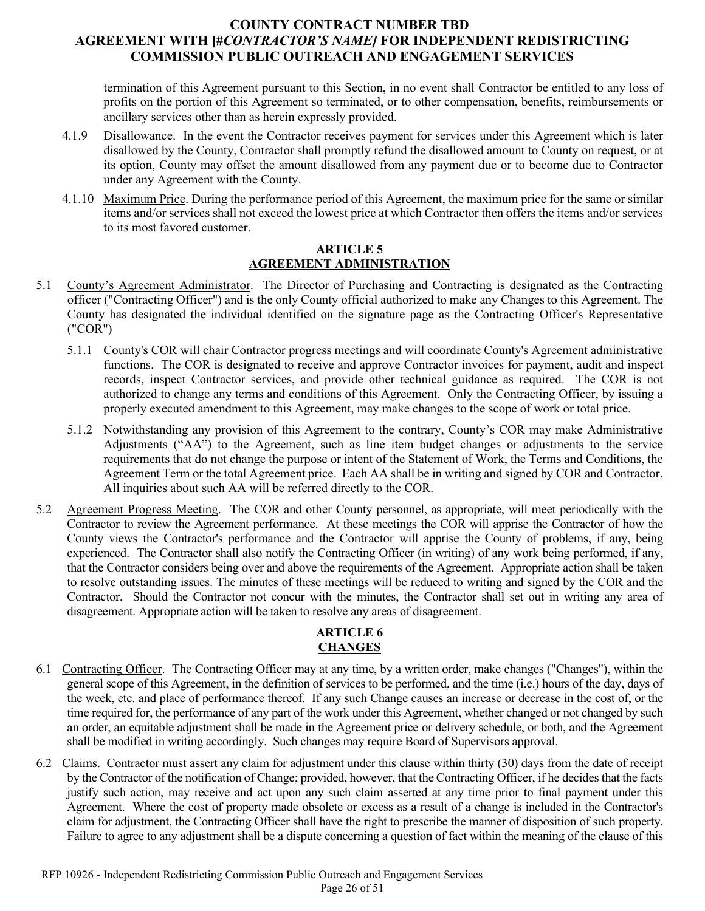termination of this Agreement pursuant to this Section, in no event shall Contractor be entitled to any loss of profits on the portion of this Agreement so terminated, or to other compensation, benefits, reimbursements or ancillary services other than as herein expressly provided.

- 4.1.9 Disallowance. In the event the Contractor receives payment for services under this Agreement which is later disallowed by the County, Contractor shall promptly refund the disallowed amount to County on request, or at its option, County may offset the amount disallowed from any payment due or to become due to Contractor under any Agreement with the County.
- 4.1.10 Maximum Price. During the performance period of this Agreement, the maximum price for the same or similar items and/or services shall not exceed the lowest price at which Contractor then offers the items and/or services to its most favored customer.

#### **ARTICLE 5 AGREEMENT ADMINISTRATION**

- 5.1 County's Agreement Administrator. The Director of Purchasing and Contracting is designated as the Contracting officer ("Contracting Officer") and is the only County official authorized to make any Changes to this Agreement. The County has designated the individual identified on the signature page as the Contracting Officer's Representative ("COR")
	- 5.1.1 County's COR will chair Contractor progress meetings and will coordinate County's Agreement administrative functions. The COR is designated to receive and approve Contractor invoices for payment, audit and inspect records, inspect Contractor services, and provide other technical guidance as required. The COR is not authorized to change any terms and conditions of this Agreement. Only the Contracting Officer, by issuing a properly executed amendment to this Agreement, may make changes to the scope of work or total price.
	- 5.1.2 Notwithstanding any provision of this Agreement to the contrary, County's COR may make Administrative Adjustments ("AA") to the Agreement, such as line item budget changes or adjustments to the service requirements that do not change the purpose or intent of the Statement of Work, the Terms and Conditions, the Agreement Term or the total Agreement price. Each AA shall be in writing and signed by COR and Contractor. All inquiries about such AA will be referred directly to the COR.
- 5.2 Agreement Progress Meeting. The COR and other County personnel, as appropriate, will meet periodically with the Contractor to review the Agreement performance. At these meetings the COR will apprise the Contractor of how the County views the Contractor's performance and the Contractor will apprise the County of problems, if any, being experienced. The Contractor shall also notify the Contracting Officer (in writing) of any work being performed, if any, that the Contractor considers being over and above the requirements of the Agreement. Appropriate action shall be taken to resolve outstanding issues. The minutes of these meetings will be reduced to writing and signed by the COR and the Contractor. Should the Contractor not concur with the minutes, the Contractor shall set out in writing any area of disagreement. Appropriate action will be taken to resolve any areas of disagreement.

# **ARTICLE 6 CHANGES**

- 6.1 Contracting Officer. The Contracting Officer may at any time, by a written order, make changes ("Changes"), within the general scope of this Agreement, in the definition of services to be performed, and the time (i.e.) hours of the day, days of the week, etc. and place of performance thereof. If any such Change causes an increase or decrease in the cost of, or the time required for, the performance of any part of the work under this Agreement, whether changed or not changed by such an order, an equitable adjustment shall be made in the Agreement price or delivery schedule, or both, and the Agreement shall be modified in writing accordingly. Such changes may require Board of Supervisors approval.
- 6.2 Claims. Contractor must assert any claim for adjustment under this clause within thirty (30) days from the date of receipt by the Contractor of the notification of Change; provided, however, that the Contracting Officer, if he decides that the facts justify such action, may receive and act upon any such claim asserted at any time prior to final payment under this Agreement. Where the cost of property made obsolete or excess as a result of a change is included in the Contractor's claim for adjustment, the Contracting Officer shall have the right to prescribe the manner of disposition of such property. Failure to agree to any adjustment shall be a dispute concerning a question of fact within the meaning of the clause of this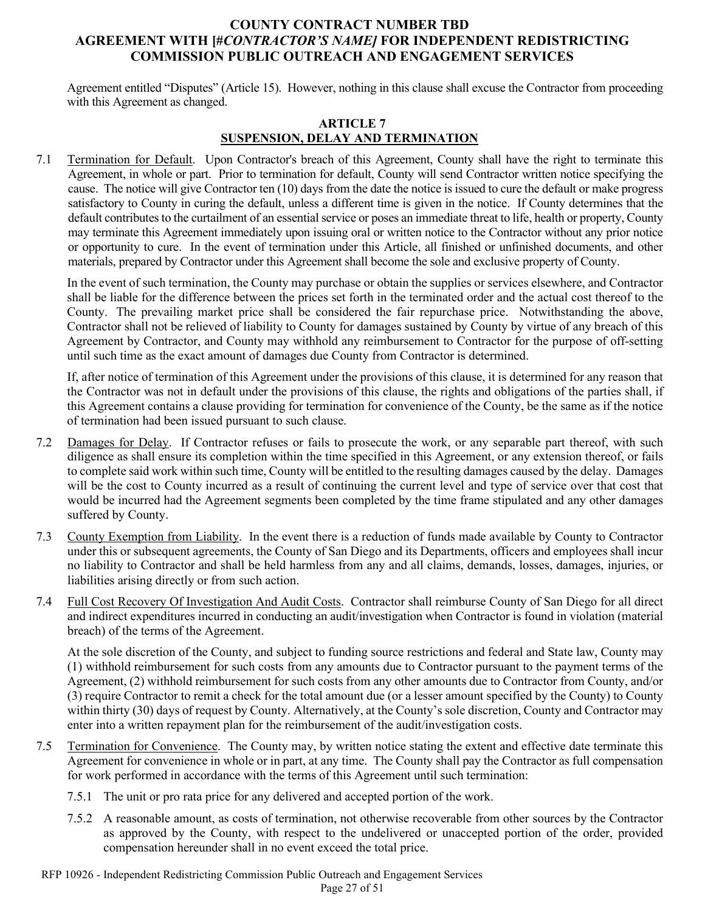Agreement entitled "Disputes" (Article 15). However, nothing in this clause shall excuse the Contractor from proceeding with this Agreement as changed.

### **ARTICLE 7 SUSPENSION, DELAY AND TERMINATION**

7.1 Termination for Default. Upon Contractor's breach of this Agreement, County shall have the right to terminate this Agreement, in whole or part. Prior to termination for default, County will send Contractor written notice specifying the cause. The notice will give Contractor ten (10) days from the date the notice is issued to cure the default or make progress satisfactory to County in curing the default, unless a different time is given in the notice. If County determines that the default contributes to the curtailment of an essential service or poses an immediate threat to life, health or property, County may terminate this Agreement immediately upon issuing oral or written notice to the Contractor without any prior notice or opportunity to cure. In the event of termination under this Article, all finished or unfinished documents, and other materials, prepared by Contractor under this Agreement shall become the sole and exclusive property of County.

In the event of such termination, the County may purchase or obtain the supplies or services elsewhere, and Contractor shall be liable for the difference between the prices set forth in the terminated order and the actual cost thereof to the County. The prevailing market price shall be considered the fair repurchase price. Notwithstanding the above, Contractor shall not be relieved of liability to County for damages sustained by County by virtue of any breach of this Agreement by Contractor, and County may withhold any reimbursement to Contractor for the purpose of off-setting until such time as the exact amount of damages due County from Contractor is determined.

If, after notice of termination of this Agreement under the provisions of this clause, it is determined for any reason that the Contractor was not in default under the provisions of this clause, the rights and obligations of the parties shall, if this Agreement contains a clause providing for termination for convenience of the County, be the same as if the notice of termination had been issued pursuant to such clause.

- 7.2 Damages for Delay. If Contractor refuses or fails to prosecute the work, or any separable part thereof, with such diligence as shall ensure its completion within the time specified in this Agreement, or any extension thereof, or fails to complete said work within such time, County will be entitled to the resulting damages caused by the delay. Damages will be the cost to County incurred as a result of continuing the current level and type of service over that cost that would be incurred had the Agreement segments been completed by the time frame stipulated and any other damages suffered by County.
- 7.3 County Exemption from Liability. In the event there is a reduction of funds made available by County to Contractor under this or subsequent agreements, the County of San Diego and its Departments, officers and employees shall incur no liability to Contractor and shall be held harmless from any and all claims, demands, losses, damages, injuries, or liabilities arising directly or from such action.
- 7.4 Full Cost Recovery Of Investigation And Audit Costs. Contractor shall reimburse County of San Diego for all direct and indirect expenditures incurred in conducting an audit/investigation when Contractor is found in violation (material breach) of the terms of the Agreement.

At the sole discretion of the County, and subject to funding source restrictions and federal and State law, County may (1) withhold reimbursement for such costs from any amounts due to Contractor pursuant to the payment terms of the Agreement, (2) withhold reimbursement for such costs from any other amounts due to Contractor from County, and/or (3) require Contractor to remit a check for the total amount due (or a lesser amount specified by the County) to County within thirty (30) days of request by County. Alternatively, at the County's sole discretion, County and Contractor may enter into a written repayment plan for the reimbursement of the audit/investigation costs.

- 7.5 Termination for Convenience. The County may, by written notice stating the extent and effective date terminate this Agreement for convenience in whole or in part, at any time. The County shall pay the Contractor as full compensation for work performed in accordance with the terms of this Agreement until such termination:
	- 7.5.1 The unit or pro rata price for any delivered and accepted portion of the work.
	- 7.5.2 A reasonable amount, as costs of termination, not otherwise recoverable from other sources by the Contractor as approved by the County, with respect to the undelivered or unaccepted portion of the order, provided compensation hereunder shall in no event exceed the total price.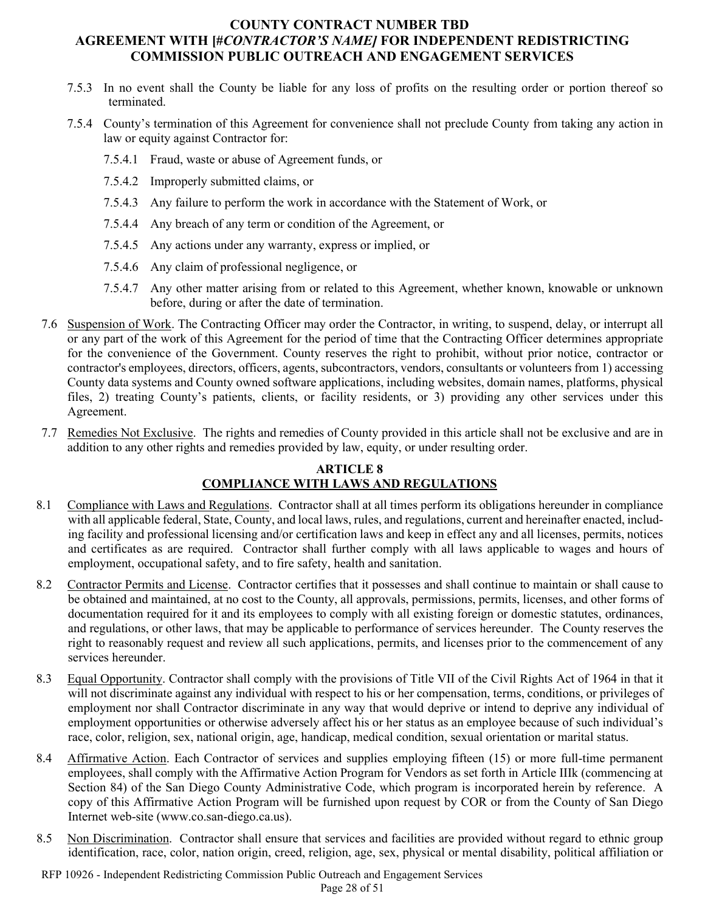- 7.5.3 In no event shall the County be liable for any loss of profits on the resulting order or portion thereof so terminated.
- 7.5.4 County's termination of this Agreement for convenience shall not preclude County from taking any action in law or equity against Contractor for:
	- 7.5.4.1 Fraud, waste or abuse of Agreement funds, or
	- 7.5.4.2 Improperly submitted claims, or
	- 7.5.4.3 Any failure to perform the work in accordance with the Statement of Work, or
	- 7.5.4.4 Any breach of any term or condition of the Agreement, or
	- 7.5.4.5 Any actions under any warranty, express or implied, or
	- 7.5.4.6 Any claim of professional negligence, or
	- 7.5.4.7 Any other matter arising from or related to this Agreement, whether known, knowable or unknown before, during or after the date of termination.
- 7.6 Suspension of Work. The Contracting Officer may order the Contractor, in writing, to suspend, delay, or interrupt all or any part of the work of this Agreement for the period of time that the Contracting Officer determines appropriate for the convenience of the Government. County reserves the right to prohibit, without prior notice, contractor or contractor's employees, directors, officers, agents, subcontractors, vendors, consultants or volunteers from 1) accessing County data systems and County owned software applications, including websites, domain names, platforms, physical files, 2) treating County's patients, clients, or facility residents, or 3) providing any other services under this Agreement.
- 7.7 Remedies Not Exclusive. The rights and remedies of County provided in this article shall not be exclusive and are in addition to any other rights and remedies provided by law, equity, or under resulting order.

#### **ARTICLE 8 COMPLIANCE WITH LAWS AND REGULATIONS**

- 8.1 Compliance with Laws and Regulations. Contractor shall at all times perform its obligations hereunder in compliance with all applicable federal, State, County, and local laws, rules, and regulations, current and hereinafter enacted, including facility and professional licensing and/or certification laws and keep in effect any and all licenses, permits, notices and certificates as are required. Contractor shall further comply with all laws applicable to wages and hours of employment, occupational safety, and to fire safety, health and sanitation.
- 8.2 Contractor Permits and License. Contractor certifies that it possesses and shall continue to maintain or shall cause to be obtained and maintained, at no cost to the County, all approvals, permissions, permits, licenses, and other forms of documentation required for it and its employees to comply with all existing foreign or domestic statutes, ordinances, and regulations, or other laws, that may be applicable to performance of services hereunder. The County reserves the right to reasonably request and review all such applications, permits, and licenses prior to the commencement of any services hereunder.
- 8.3 Equal Opportunity. Contractor shall comply with the provisions of Title VII of the Civil Rights Act of 1964 in that it will not discriminate against any individual with respect to his or her compensation, terms, conditions, or privileges of employment nor shall Contractor discriminate in any way that would deprive or intend to deprive any individual of employment opportunities or otherwise adversely affect his or her status as an employee because of such individual's race, color, religion, sex, national origin, age, handicap, medical condition, sexual orientation or marital status.
- 8.4 Affirmative Action. Each Contractor of services and supplies employing fifteen (15) or more full-time permanent employees, shall comply with the Affirmative Action Program for Vendors as set forth in Article IIIk (commencing at Section 84) of the San Diego County Administrative Code, which program is incorporated herein by reference. A copy of this Affirmative Action Program will be furnished upon request by COR or from the County of San Diego Internet web-site [\(www.co.san-diego.ca.us\)](http://www.co.san-diego.ca.us/).
- 8.5 Non Discrimination. Contractor shall ensure that services and facilities are provided without regard to ethnic group identification, race, color, nation origin, creed, religion, age, sex, physical or mental disability, political affiliation or

RFP 10926 - Independent Redistricting Commission Public Outreach and Engagement Services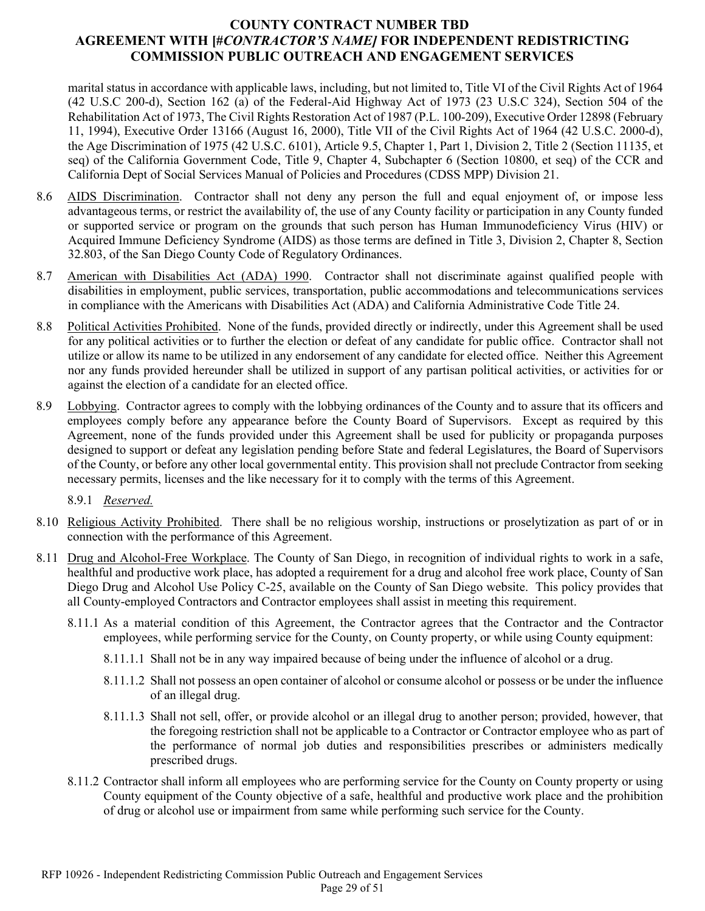marital status in accordance with applicable laws, including, but not limited to, Title VI of the Civil Rights Act of 1964 (42 U.S.C 200-d), Section 162 (a) of the Federal-Aid Highway Act of 1973 (23 U.S.C 324), Section 504 of the Rehabilitation Act of 1973, The Civil Rights Restoration Act of 1987 (P.L. 100-209), Executive Order 12898 (February 11, 1994), Executive Order 13166 (August 16, 2000), Title VII of the Civil Rights Act of 1964 (42 U.S.C. 2000-d), the Age Discrimination of 1975 (42 U.S.C. 6101), Article 9.5, Chapter 1, Part 1, Division 2, Title 2 (Section 11135, et seq) of the California Government Code, Title 9, Chapter 4, Subchapter 6 (Section 10800, et seq) of the CCR and California Dept of Social Services Manual of Policies and Procedures (CDSS MPP) Division 21.

- 8.6 AIDS Discrimination. Contractor shall not deny any person the full and equal enjoyment of, or impose less advantageous terms, or restrict the availability of, the use of any County facility or participation in any County funded or supported service or program on the grounds that such person has Human Immunodeficiency Virus (HIV) or Acquired Immune Deficiency Syndrome (AIDS) as those terms are defined in Title 3, Division 2, Chapter 8, Section 32.803, of the San Diego County Code of Regulatory Ordinances.
- 8.7 American with Disabilities Act (ADA) 1990. Contractor shall not discriminate against qualified people with disabilities in employment, public services, transportation, public accommodations and telecommunications services in compliance with the Americans with Disabilities Act (ADA) and California Administrative Code Title 24.
- 8.8 Political Activities Prohibited. None of the funds, provided directly or indirectly, under this Agreement shall be used for any political activities or to further the election or defeat of any candidate for public office. Contractor shall not utilize or allow its name to be utilized in any endorsement of any candidate for elected office. Neither this Agreement nor any funds provided hereunder shall be utilized in support of any partisan political activities, or activities for or against the election of a candidate for an elected office.
- 8.9 Lobbying. Contractor agrees to comply with the lobbying ordinances of the County and to assure that its officers and employees comply before any appearance before the County Board of Supervisors. Except as required by this Agreement, none of the funds provided under this Agreement shall be used for publicity or propaganda purposes designed to support or defeat any legislation pending before State and federal Legislatures, the Board of Supervisors of the County, or before any other local governmental entity. This provision shall not preclude Contractor from seeking necessary permits, licenses and the like necessary for it to comply with the terms of this Agreement.

8.9.1 *Reserved.*

- 8.10 Religious Activity Prohibited. There shall be no religious worship, instructions or proselytization as part of or in connection with the performance of this Agreement.
- 8.11 Drug and Alcohol-Free Workplace. The County of San Diego, in recognition of individual rights to work in a safe, healthful and productive work place, has adopted a requirement for a drug and alcohol free work place, County of San Diego Drug and Alcohol Use Policy C-25, available on the County of San Diego website. This policy provides that all County-employed Contractors and Contractor employees shall assist in meeting this requirement.
	- 8.11.1 As a material condition of this Agreement, the Contractor agrees that the Contractor and the Contractor employees, while performing service for the County, on County property, or while using County equipment:
		- 8.11.1.1 Shall not be in any way impaired because of being under the influence of alcohol or a drug.
		- 8.11.1.2 Shall not possess an open container of alcohol or consume alcohol or possess or be under the influence of an illegal drug.
		- 8.11.1.3 Shall not sell, offer, or provide alcohol or an illegal drug to another person; provided, however, that the foregoing restriction shall not be applicable to a Contractor or Contractor employee who as part of the performance of normal job duties and responsibilities prescribes or administers medically prescribed drugs.
	- 8.11.2 Contractor shall inform all employees who are performing service for the County on County property or using County equipment of the County objective of a safe, healthful and productive work place and the prohibition of drug or alcohol use or impairment from same while performing such service for the County.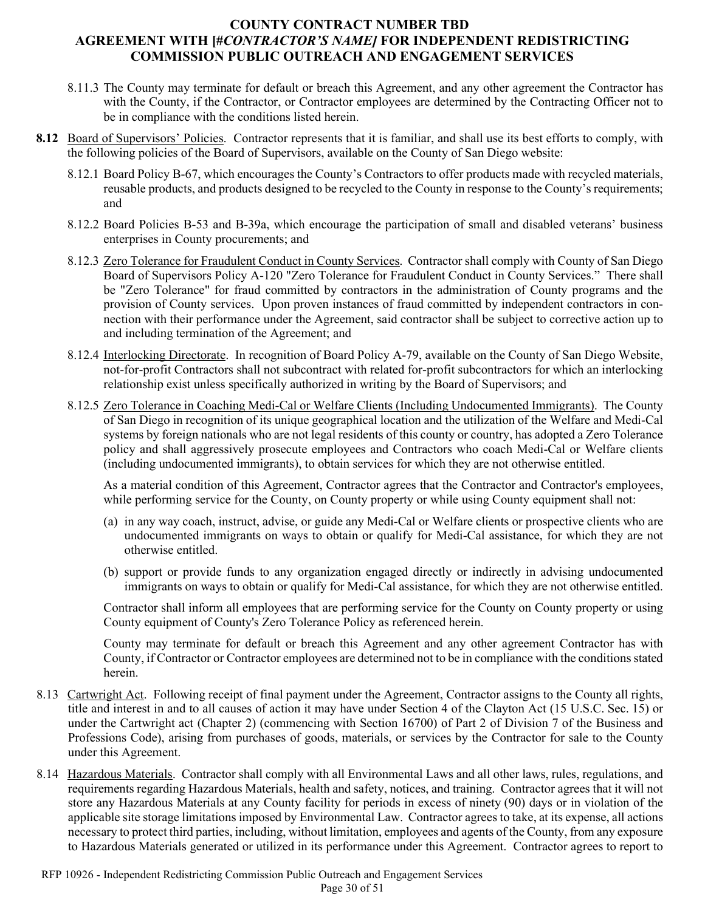- 8.11.3 The County may terminate for default or breach this Agreement, and any other agreement the Contractor has with the County, if the Contractor, or Contractor employees are determined by the Contracting Officer not to be in compliance with the conditions listed herein.
- **8.12** Board of Supervisors' Policies.Contractor represents that it is familiar, and shall use its best efforts to comply, with the following policies of the Board of Supervisors, available on the County of San Diego website:
	- 8.12.1 Board Policy B-67, which encourages the County's Contractors to offer products made with recycled materials, reusable products, and products designed to be recycled to the County in response to the County's requirements; and
	- 8.12.2 Board Policies B-53 and B-39a, which encourage the participation of small and disabled veterans' business enterprises in County procurements; and
	- 8.12.3 Zero Tolerance for Fraudulent Conduct in County Services. Contractor shall comply with County of San Diego Board of Supervisors Policy A-120 "Zero Tolerance for Fraudulent Conduct in County Services." There shall be "Zero Tolerance" for fraud committed by contractors in the administration of County programs and the provision of County services. Upon proven instances of fraud committed by independent contractors in connection with their performance under the Agreement, said contractor shall be subject to corrective action up to and including termination of the Agreement; and
	- 8.12.4 Interlocking Directorate. In recognition of Board Policy A-79, available on the County of San Diego Website, not-for-profit Contractors shall not subcontract with related for-profit subcontractors for which an interlocking relationship exist unless specifically authorized in writing by the Board of Supervisors; and
	- 8.12.5 Zero Tolerance in Coaching Medi-Cal or Welfare Clients (Including Undocumented Immigrants). The County of San Diego in recognition of its unique geographical location and the utilization of the Welfare and Medi-Cal systems by foreign nationals who are not legal residents of this county or country, has adopted a Zero Tolerance policy and shall aggressively prosecute employees and Contractors who coach Medi-Cal or Welfare clients (including undocumented immigrants), to obtain services for which they are not otherwise entitled.

As a material condition of this Agreement, Contractor agrees that the Contractor and Contractor's employees, while performing service for the County, on County property or while using County equipment shall not:

- (a) in any way coach, instruct, advise, or guide any Medi-Cal or Welfare clients or prospective clients who are undocumented immigrants on ways to obtain or qualify for Medi-Cal assistance, for which they are not otherwise entitled.
- (b) support or provide funds to any organization engaged directly or indirectly in advising undocumented immigrants on ways to obtain or qualify for Medi-Cal assistance, for which they are not otherwise entitled.

Contractor shall inform all employees that are performing service for the County on County property or using County equipment of County's Zero Tolerance Policy as referenced herein.

County may terminate for default or breach this Agreement and any other agreement Contractor has with County, if Contractor or Contractor employees are determined not to be in compliance with the conditions stated herein.

- 8.13 Cartwright Act. Following receipt of final payment under the Agreement, Contractor assigns to the County all rights, title and interest in and to all causes of action it may have under Section 4 of the Clayton Act (15 U.S.C. Sec. 15) or under the Cartwright act (Chapter 2) (commencing with Section 16700) of Part 2 of Division 7 of the Business and Professions Code), arising from purchases of goods, materials, or services by the Contractor for sale to the County under this Agreement.
- 8.14 Hazardous Materials. Contractor shall comply with all Environmental Laws and all other laws, rules, regulations, and requirements regarding Hazardous Materials, health and safety, notices, and training. Contractor agrees that it will not store any Hazardous Materials at any County facility for periods in excess of ninety (90) days or in violation of the applicable site storage limitations imposed by Environmental Law. Contractor agrees to take, at its expense, all actions necessary to protect third parties, including, without limitation, employees and agents of the County, from any exposure to Hazardous Materials generated or utilized in its performance under this Agreement. Contractor agrees to report to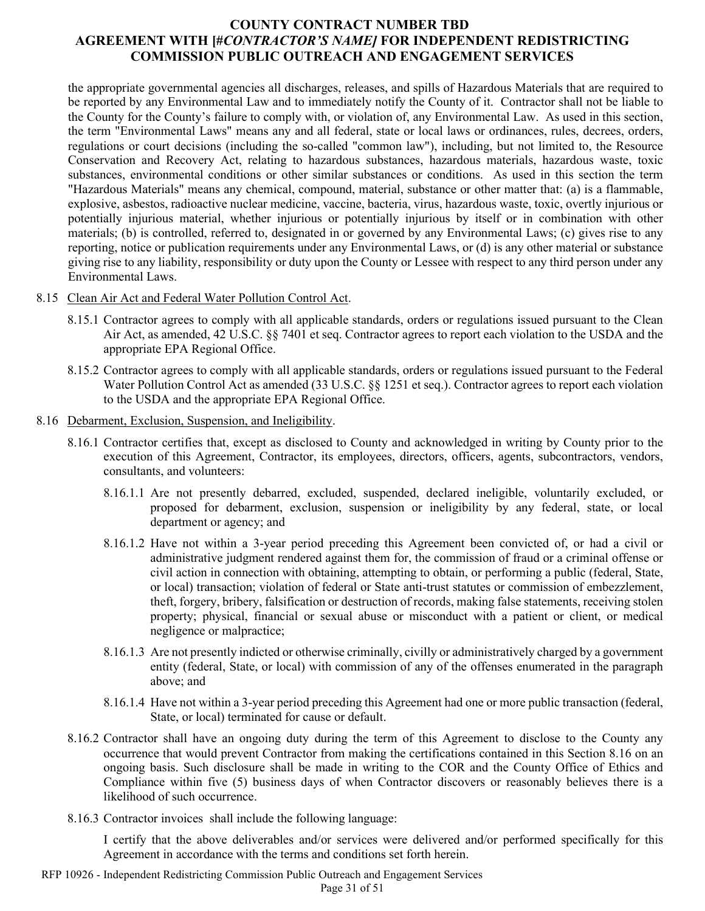the appropriate governmental agencies all discharges, releases, and spills of Hazardous Materials that are required to be reported by any Environmental Law and to immediately notify the County of it. Contractor shall not be liable to the County for the County's failure to comply with, or violation of, any Environmental Law. As used in this section, the term "Environmental Laws" means any and all federal, state or local laws or ordinances, rules, decrees, orders, regulations or court decisions (including the so-called "common law"), including, but not limited to, the Resource Conservation and Recovery Act, relating to hazardous substances, hazardous materials, hazardous waste, toxic substances, environmental conditions or other similar substances or conditions. As used in this section the term "Hazardous Materials" means any chemical, compound, material, substance or other matter that: (a) is a flammable, explosive, asbestos, radioactive nuclear medicine, vaccine, bacteria, virus, hazardous waste, toxic, overtly injurious or potentially injurious material, whether injurious or potentially injurious by itself or in combination with other materials; (b) is controlled, referred to, designated in or governed by any Environmental Laws; (c) gives rise to any reporting, notice or publication requirements under any Environmental Laws, or (d) is any other material or substance giving rise to any liability, responsibility or duty upon the County or Lessee with respect to any third person under any Environmental Laws.

- 8.15 Clean Air Act and Federal Water Pollution Control Act.
	- 8.15.1 Contractor agrees to comply with all applicable standards, orders or regulations issued pursuant to the Clean Air Act, as amended, 42 U.S.C. §§ 7401 et seq. Contractor agrees to report each violation to the USDA and the appropriate EPA Regional Office.
	- 8.15.2 Contractor agrees to comply with all applicable standards, orders or regulations issued pursuant to the Federal Water Pollution Control Act as amended (33 U.S.C. §§ 1251 et seq.). Contractor agrees to report each violation to the USDA and the appropriate EPA Regional Office.
- 8.16 Debarment, Exclusion, Suspension, and Ineligibility.
	- 8.16.1 Contractor certifies that, except as disclosed to County and acknowledged in writing by County prior to the execution of this Agreement, Contractor, its employees, directors, officers, agents, subcontractors, vendors, consultants, and volunteers:
		- 8.16.1.1 Are not presently debarred, excluded, suspended, declared ineligible, voluntarily excluded, or proposed for debarment, exclusion, suspension or ineligibility by any federal, state, or local department or agency; and
		- 8.16.1.2 Have not within a 3-year period preceding this Agreement been convicted of, or had a civil or administrative judgment rendered against them for, the commission of fraud or a criminal offense or civil action in connection with obtaining, attempting to obtain, or performing a public (federal, State, or local) transaction; violation of federal or State anti-trust statutes or commission of embezzlement, theft, forgery, bribery, falsification or destruction of records, making false statements, receiving stolen property; physical, financial or sexual abuse or misconduct with a patient or client, or medical negligence or malpractice;
		- 8.16.1.3 Are not presently indicted or otherwise criminally, civilly or administratively charged by a government entity (federal, State, or local) with commission of any of the offenses enumerated in the paragraph above; and
		- 8.16.1.4 Have not within a 3-year period preceding this Agreement had one or more public transaction (federal, State, or local) terminated for cause or default.
	- 8.16.2 Contractor shall have an ongoing duty during the term of this Agreement to disclose to the County any occurrence that would prevent Contractor from making the certifications contained in this Section 8.16 on an ongoing basis. Such disclosure shall be made in writing to the COR and the County Office of Ethics and Compliance within five (5) business days of when Contractor discovers or reasonably believes there is a likelihood of such occurrence.
	- 8.16.3 Contractor invoices shall include the following language:

I certify that the above deliverables and/or services were delivered and/or performed specifically for this Agreement in accordance with the terms and conditions set forth herein.

RFP 10926 - Independent Redistricting Commission Public Outreach and Engagement Services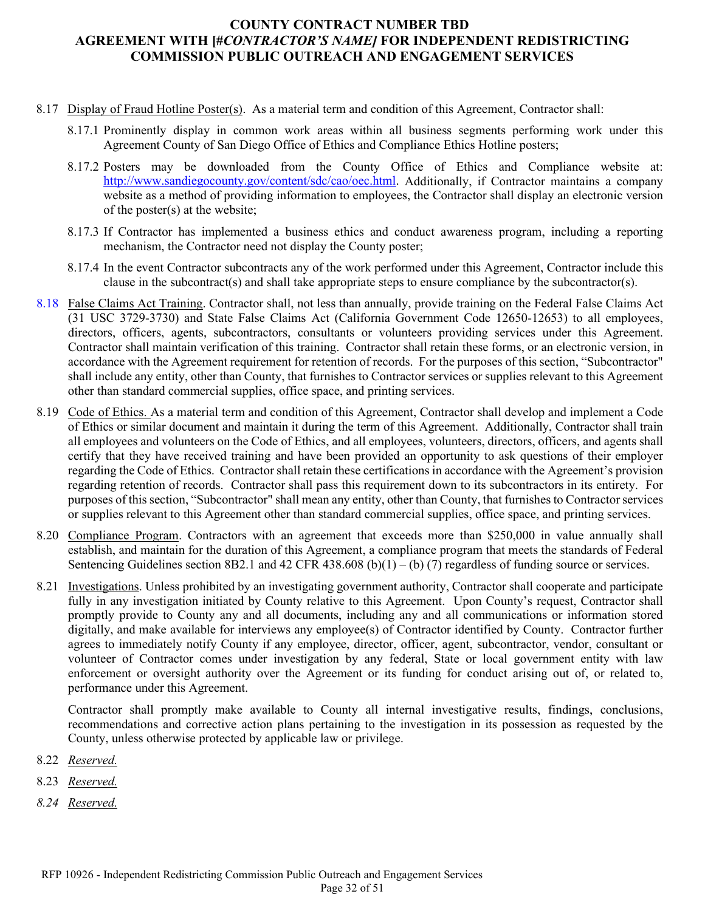- 8.17 Display of Fraud Hotline Poster(s). As a material term and condition of this Agreement, Contractor shall:
	- 8.17.1 Prominently display in common work areas within all business segments performing work under this Agreement County of San Diego Office of Ethics and Compliance Ethics Hotline posters;
	- 8.17.2 Posters may be downloaded from the County Office of Ethics and Compliance website at: [http://www.sandiegocounty.gov/content/sdc/cao/oec.html.](http://www.sandiegocounty.gov/content/sdc/cao/oec.html) Additionally, if Contractor maintains a company website as a method of providing information to employees, the Contractor shall display an electronic version of the poster(s) at the website;
	- 8.17.3 If Contractor has implemented a business ethics and conduct awareness program, including a reporting mechanism, the Contractor need not display the County poster;
	- 8.17.4 In the event Contractor subcontracts any of the work performed under this Agreement, Contractor include this clause in the subcontract(s) and shall take appropriate steps to ensure compliance by the subcontractor(s).
- 8.18 False Claims Act Training. Contractor shall, not less than annually, provide training on the Federal False Claims Act (31 USC 3729-3730) and State False Claims Act (California Government Code 12650-12653) to all employees, directors, officers, agents, subcontractors, consultants or volunteers providing services under this Agreement. Contractor shall maintain verification of this training. Contractor shall retain these forms, or an electronic version, in accordance with the Agreement requirement for retention of records. For the purposes of this section, "Subcontractor" shall include any entity, other than County, that furnishes to Contractor services or supplies relevant to this Agreement other than standard commercial supplies, office space, and printing services.
- 8.19 Code of Ethics. As a material term and condition of this Agreement, Contractor shall develop and implement a Code of Ethics or similar document and maintain it during the term of this Agreement. Additionally, Contractor shall train all employees and volunteers on the Code of Ethics, and all employees, volunteers, directors, officers, and agents shall certify that they have received training and have been provided an opportunity to ask questions of their employer regarding the Code of Ethics. Contractor shall retain these certifications in accordance with the Agreement's provision regarding retention of records. Contractor shall pass this requirement down to its subcontractors in its entirety. For purposes of this section, "Subcontractor" shall mean any entity, other than County, that furnishes to Contractor services or supplies relevant to this Agreement other than standard commercial supplies, office space, and printing services.
- 8.20 Compliance Program. Contractors with an agreement that exceeds more than \$250,000 in value annually shall establish, and maintain for the duration of this Agreement, a compliance program that meets the standards of Federal Sentencing Guidelines section 8B2.1 and 42 CFR 438.608 (b)(1) – (b) (7) regardless of funding source or services.
- 8.21 Investigations. Unless prohibited by an investigating government authority, Contractor shall cooperate and participate fully in any investigation initiated by County relative to this Agreement. Upon County's request, Contractor shall promptly provide to County any and all documents, including any and all communications or information stored digitally, and make available for interviews any employee(s) of Contractor identified by County. Contractor further agrees to immediately notify County if any employee, director, officer, agent, subcontractor, vendor, consultant or volunteer of Contractor comes under investigation by any federal, State or local government entity with law enforcement or oversight authority over the Agreement or its funding for conduct arising out of, or related to, performance under this Agreement.

Contractor shall promptly make available to County all internal investigative results, findings, conclusions, recommendations and corrective action plans pertaining to the investigation in its possession as requested by the County, unless otherwise protected by applicable law or privilege.

- 8.22 *Reserved.*
- 8.23 *Reserved.*
- *8.24 Reserved.*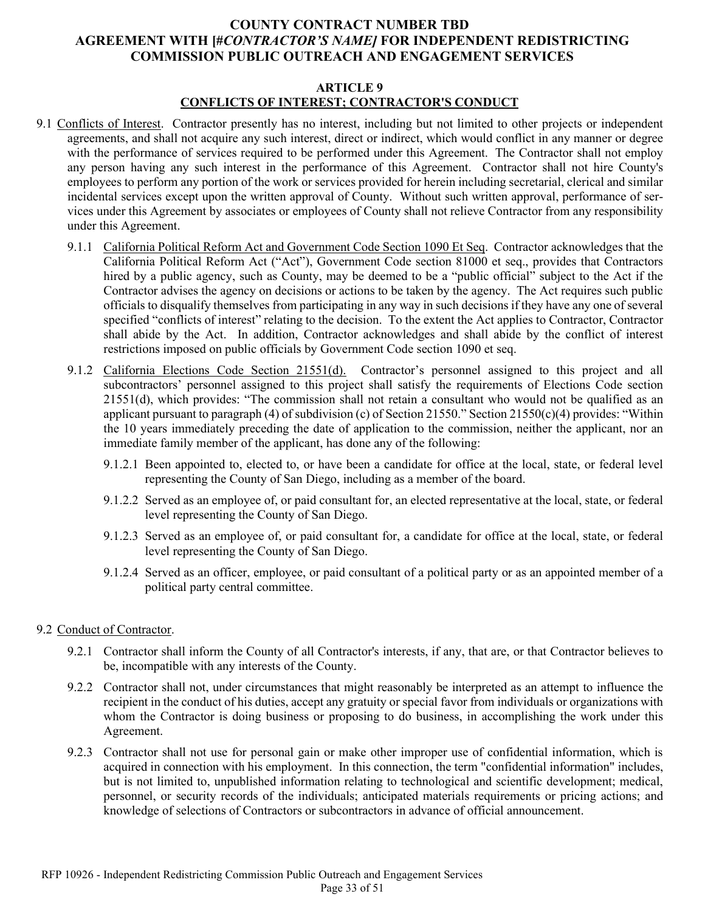# **ARTICLE 9 CONFLICTS OF INTEREST; CONTRACTOR'S CONDUCT**

- 9.1 Conflicts of Interest. Contractor presently has no interest, including but not limited to other projects or independent agreements, and shall not acquire any such interest, direct or indirect, which would conflict in any manner or degree with the performance of services required to be performed under this Agreement. The Contractor shall not employ any person having any such interest in the performance of this Agreement. Contractor shall not hire County's employees to perform any portion of the work or services provided for herein including secretarial, clerical and similar incidental services except upon the written approval of County. Without such written approval, performance of services under this Agreement by associates or employees of County shall not relieve Contractor from any responsibility under this Agreement.
	- 9.1.1 California Political Reform Act and Government Code Section 1090 Et Seq. Contractor acknowledges that the California Political Reform Act ("Act"), Government Code section 81000 et seq., provides that Contractors hired by a public agency, such as County, may be deemed to be a "public official" subject to the Act if the Contractor advises the agency on decisions or actions to be taken by the agency. The Act requires such public officials to disqualify themselves from participating in any way in such decisions if they have any one of several specified "conflicts of interest" relating to the decision. To the extent the Act applies to Contractor, Contractor shall abide by the Act. In addition, Contractor acknowledges and shall abide by the conflict of interest restrictions imposed on public officials by Government Code section 1090 et seq.
	- 9.1.2 California Elections Code Section 21551(d). Contractor's personnel assigned to this project and all subcontractors' personnel assigned to this project shall satisfy the requirements of Elections Code section 21551(d), which provides: "The commission shall not retain a consultant who would not be qualified as an applicant pursuant to paragraph (4) of subdivision (c) of Section 21550." Section 21550(c)(4) provides: "Within the 10 years immediately preceding the date of application to the commission, neither the applicant, nor an immediate family member of the applicant, has done any of the following:
		- 9.1.2.1 Been appointed to, elected to, or have been a candidate for office at the local, state, or federal level representing the County of San Diego, including as a member of the board.
		- 9.1.2.2 Served as an employee of, or paid consultant for, an elected representative at the local, state, or federal level representing the County of San Diego.
		- 9.1.2.3 Served as an employee of, or paid consultant for, a candidate for office at the local, state, or federal level representing the County of San Diego.
		- 9.1.2.4 Served as an officer, employee, or paid consultant of a political party or as an appointed member of a political party central committee.

#### 9.2 Conduct of Contractor.

- 9.2.1 Contractor shall inform the County of all Contractor's interests, if any, that are, or that Contractor believes to be, incompatible with any interests of the County.
- 9.2.2 Contractor shall not, under circumstances that might reasonably be interpreted as an attempt to influence the recipient in the conduct of his duties, accept any gratuity or special favor from individuals or organizations with whom the Contractor is doing business or proposing to do business, in accomplishing the work under this Agreement.
- 9.2.3 Contractor shall not use for personal gain or make other improper use of confidential information, which is acquired in connection with his employment. In this connection, the term "confidential information" includes, but is not limited to, unpublished information relating to technological and scientific development; medical, personnel, or security records of the individuals; anticipated materials requirements or pricing actions; and knowledge of selections of Contractors or subcontractors in advance of official announcement.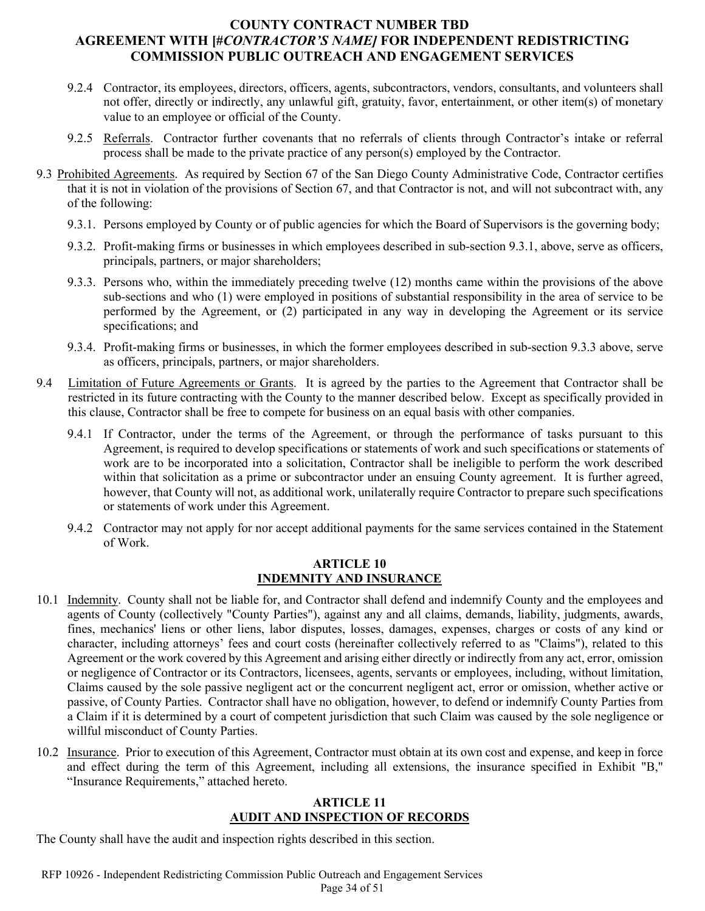- 9.2.4 Contractor, its employees, directors, officers, agents, subcontractors, vendors, consultants, and volunteers shall not offer, directly or indirectly, any unlawful gift, gratuity, favor, entertainment, or other item(s) of monetary value to an employee or official of the County.
- 9.2.5 Referrals. Contractor further covenants that no referrals of clients through Contractor's intake or referral process shall be made to the private practice of any person(s) employed by the Contractor.
- <span id="page-33-1"></span><span id="page-33-0"></span>9.3 Prohibited Agreements. As required by Section 67 of the San Diego County Administrative Code, Contractor certifies that it is not in violation of the provisions of Section 67, and that Contractor is not, and will not subcontract with, any of the following:
	- 9.3.1. Persons employed by County or of public agencies for which the Board of Supervisors is the governing body;
	- 9.3.2. Profit-making firms or businesses in which employees described in sub-section [9.3.1,](#page-33-0) above, serve as officers, principals, partners, or major shareholders;
	- 9.3.3. Persons who, within the immediately preceding twelve (12) months came within the provisions of the above sub-sections and who (1) were employed in positions of substantial responsibility in the area of service to be performed by the Agreement, or (2) participated in any way in developing the Agreement or its service specifications; and
	- 9.3.4. Profit-making firms or businesses, in which the former employees described in sub-section [9.3.3](#page-33-1) above, serve as officers, principals, partners, or major shareholders.
- 9.4 Limitation of Future Agreements or Grants. It is agreed by the parties to the Agreement that Contractor shall be restricted in its future contracting with the County to the manner described below. Except as specifically provided in this clause, Contractor shall be free to compete for business on an equal basis with other companies.
	- 9.4.1 If Contractor, under the terms of the Agreement, or through the performance of tasks pursuant to this Agreement, is required to develop specifications or statements of work and such specifications or statements of work are to be incorporated into a solicitation, Contractor shall be ineligible to perform the work described within that solicitation as a prime or subcontractor under an ensuing County agreement. It is further agreed, however, that County will not, as additional work, unilaterally require Contractor to prepare such specifications or statements of work under this Agreement.
	- 9.4.2 Contractor may not apply for nor accept additional payments for the same services contained in the Statement of Work.

#### **ARTICLE 10 INDEMNITY AND INSURANCE**

- 10.1 Indemnity. County shall not be liable for, and Contractor shall defend and indemnify County and the employees and agents of County (collectively "County Parties"), against any and all claims, demands, liability, judgments, awards, fines, mechanics' liens or other liens, labor disputes, losses, damages, expenses, charges or costs of any kind or character, including attorneys' fees and court costs (hereinafter collectively referred to as "Claims"), related to this Agreement or the work covered by this Agreement and arising either directly or indirectly from any act, error, omission or negligence of Contractor or its Contractors, licensees, agents, servants or employees, including, without limitation, Claims caused by the sole passive negligent act or the concurrent negligent act, error or omission, whether active or passive, of County Parties. Contractor shall have no obligation, however, to defend or indemnify County Parties from a Claim if it is determined by a court of competent jurisdiction that such Claim was caused by the sole negligence or willful misconduct of County Parties.
- 10.2 Insurance. Prior to execution of this Agreement, Contractor must obtain at its own cost and expense, and keep in force and effect during the term of this Agreement, including all extensions, the insurance specified in Exhibit "B," "Insurance Requirements," attached hereto.

#### **ARTICLE 11 AUDIT AND INSPECTION OF RECORDS**

The County shall have the audit and inspection rights described in this section.

RFP 10926 - Independent Redistricting Commission Public Outreach and Engagement Services Page 34 of 51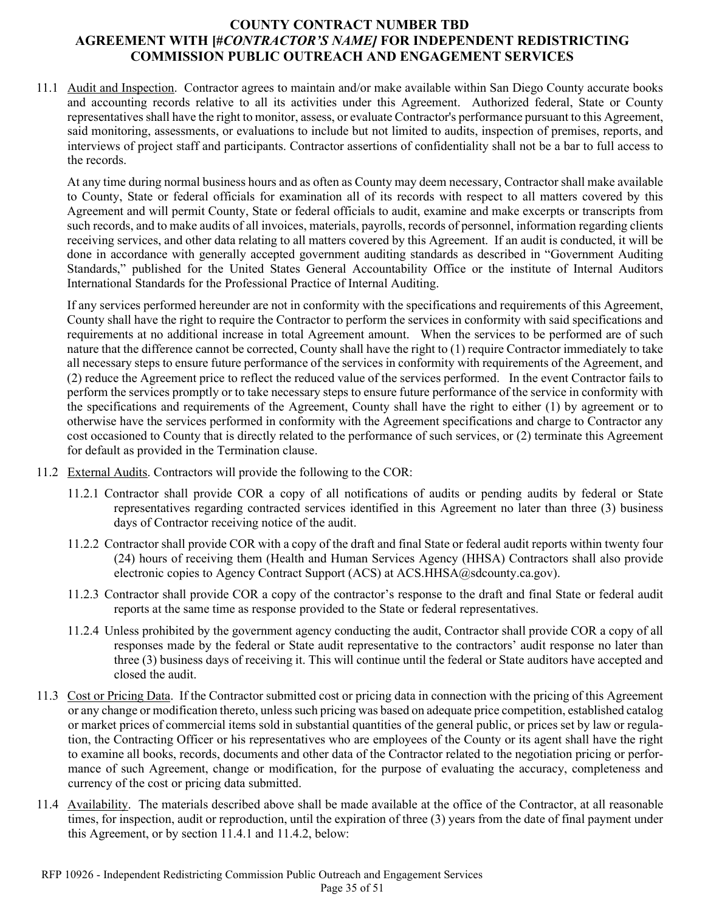11.1 Audit and Inspection. Contractor agrees to maintain and/or make available within San Diego County accurate books and accounting records relative to all its activities under this Agreement. Authorized federal, State or County representatives shall have the right to monitor, assess, or evaluate Contractor's performance pursuant to this Agreement, said monitoring, assessments, or evaluations to include but not limited to audits, inspection of premises, reports, and interviews of project staff and participants. Contractor assertions of confidentiality shall not be a bar to full access to the records.

At any time during normal business hours and as often as County may deem necessary, Contractor shall make available to County, State or federal officials for examination all of its records with respect to all matters covered by this Agreement and will permit County, State or federal officials to audit, examine and make excerpts or transcripts from such records, and to make audits of all invoices, materials, payrolls, records of personnel, information regarding clients receiving services, and other data relating to all matters covered by this Agreement. If an audit is conducted, it will be done in accordance with generally accepted government auditing standards as described in "Government Auditing Standards," published for the United States General Accountability Office or the institute of Internal Auditors International Standards for the Professional Practice of Internal Auditing.

If any services performed hereunder are not in conformity with the specifications and requirements of this Agreement, County shall have the right to require the Contractor to perform the services in conformity with said specifications and requirements at no additional increase in total Agreement amount. When the services to be performed are of such nature that the difference cannot be corrected, County shall have the right to (1) require Contractor immediately to take all necessary steps to ensure future performance of the services in conformity with requirements of the Agreement, and (2) reduce the Agreement price to reflect the reduced value of the services performed. In the event Contractor fails to perform the services promptly or to take necessary steps to ensure future performance of the service in conformity with the specifications and requirements of the Agreement, County shall have the right to either (1) by agreement or to otherwise have the services performed in conformity with the Agreement specifications and charge to Contractor any cost occasioned to County that is directly related to the performance of such services, or (2) terminate this Agreement for default as provided in the Termination clause.

- 11.2 External Audits. Contractors will provide the following to the COR:
	- 11.2.1 Contractor shall provide COR a copy of all notifications of audits or pending audits by federal or State representatives regarding contracted services identified in this Agreement no later than three (3) business days of Contractor receiving notice of the audit.
	- 11.2.2 Contractor shall provide COR with a copy of the draft and final State or federal audit reports within twenty four (24) hours of receiving them (Health and Human Services Agency (HHSA) Contractors shall also provide electronic copies to Agency Contract Support (ACS) at ACS.HHSA@sdcounty.ca.gov).
	- 11.2.3 Contractor shall provide COR a copy of the contractor's response to the draft and final State or federal audit reports at the same time as response provided to the State or federal representatives.
	- 11.2.4 Unless prohibited by the government agency conducting the audit, Contractor shall provide COR a copy of all responses made by the federal or State audit representative to the contractors' audit response no later than three (3) business days of receiving it. This will continue until the federal or State auditors have accepted and closed the audit.
- 11.3 Cost or Pricing Data. If the Contractor submitted cost or pricing data in connection with the pricing of this Agreement or any change or modification thereto, unless such pricing was based on adequate price competition, established catalog or market prices of commercial items sold in substantial quantities of the general public, or prices set by law or regulation, the Contracting Officer or his representatives who are employees of the County or its agent shall have the right to examine all books, records, documents and other data of the Contractor related to the negotiation pricing or performance of such Agreement, change or modification, for the purpose of evaluating the accuracy, completeness and currency of the cost or pricing data submitted.
- 11.4 Availability. The materials described above shall be made available at the office of the Contractor, at all reasonable times, for inspection, audit or reproduction, until the expiration of three (3) years from the date of final payment under this Agreement, or by section 11.4.1 and 11.4.2, below: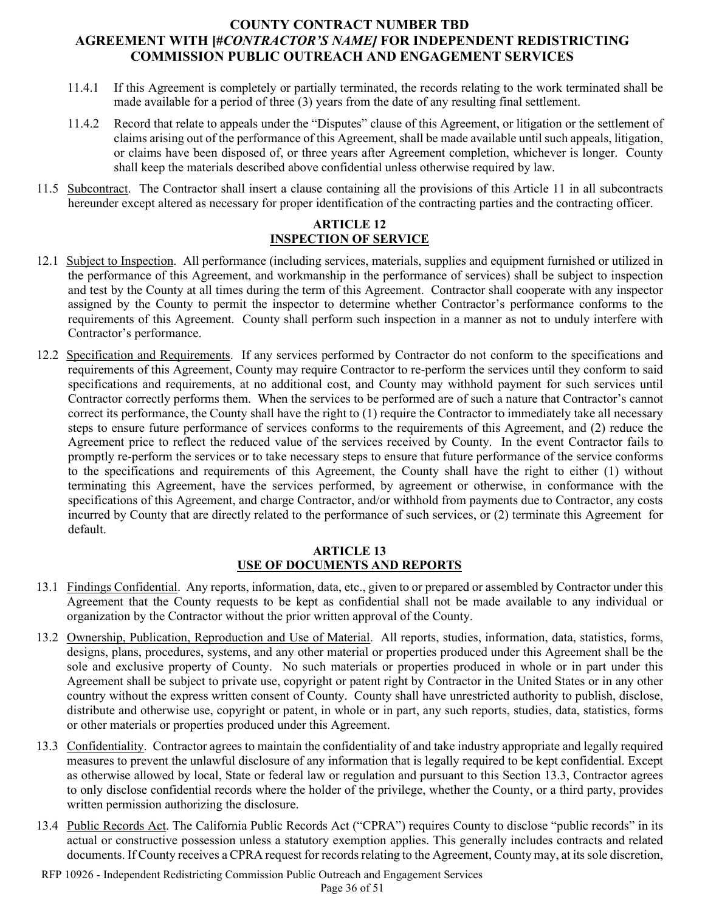- 11.4.1 If this Agreement is completely or partially terminated, the records relating to the work terminated shall be made available for a period of three (3) years from the date of any resulting final settlement.
- 11.4.2 Record that relate to appeals under the "Disputes" clause of this Agreement, or litigation or the settlement of claims arising out of the performance of this Agreement, shall be made available until such appeals, litigation, or claims have been disposed of, or three years after Agreement completion, whichever is longer. County shall keep the materials described above confidential unless otherwise required by law.
- 11.5 Subcontract. The Contractor shall insert a clause containing all the provisions of this Article 11 in all subcontracts hereunder except altered as necessary for proper identification of the contracting parties and the contracting officer.

#### **ARTICLE 12 INSPECTION OF SERVICE**

- 12.1 Subject to Inspection. All performance (including services, materials, supplies and equipment furnished or utilized in the performance of this Agreement, and workmanship in the performance of services) shall be subject to inspection and test by the County at all times during the term of this Agreement. Contractor shall cooperate with any inspector assigned by the County to permit the inspector to determine whether Contractor's performance conforms to the requirements of this Agreement. County shall perform such inspection in a manner as not to unduly interfere with Contractor's performance.
- 12.2 Specification and Requirements. If any services performed by Contractor do not conform to the specifications and requirements of this Agreement, County may require Contractor to re-perform the services until they conform to said specifications and requirements, at no additional cost, and County may withhold payment for such services until Contractor correctly performs them. When the services to be performed are of such a nature that Contractor's cannot correct its performance, the County shall have the right to (1) require the Contractor to immediately take all necessary steps to ensure future performance of services conforms to the requirements of this Agreement, and (2) reduce the Agreement price to reflect the reduced value of the services received by County. In the event Contractor fails to promptly re-perform the services or to take necessary steps to ensure that future performance of the service conforms to the specifications and requirements of this Agreement, the County shall have the right to either (1) without terminating this Agreement, have the services performed, by agreement or otherwise, in conformance with the specifications of this Agreement, and charge Contractor, and/or withhold from payments due to Contractor, any costs incurred by County that are directly related to the performance of such services, or (2) terminate this Agreement for default.

#### **ARTICLE 13 USE OF DOCUMENTS AND REPORTS**

- 13.1 Findings Confidential. Any reports, information, data, etc., given to or prepared or assembled by Contractor under this Agreement that the County requests to be kept as confidential shall not be made available to any individual or organization by the Contractor without the prior written approval of the County.
- 13.2 Ownership, Publication, Reproduction and Use of Material. All reports, studies, information, data, statistics, forms, designs, plans, procedures, systems, and any other material or properties produced under this Agreement shall be the sole and exclusive property of County. No such materials or properties produced in whole or in part under this Agreement shall be subject to private use, copyright or patent right by Contractor in the United States or in any other country without the express written consent of County. County shall have unrestricted authority to publish, disclose, distribute and otherwise use, copyright or patent, in whole or in part, any such reports, studies, data, statistics, forms or other materials or properties produced under this Agreement.
- 13.3 Confidentiality. Contractor agrees to maintain the confidentiality of and take industry appropriate and legally required measures to prevent the unlawful disclosure of any information that is legally required to be kept confidential. Except as otherwise allowed by local, State or federal law or regulation and pursuant to this Section 13.3, Contractor agrees to only disclose confidential records where the holder of the privilege, whether the County, or a third party, provides written permission authorizing the disclosure.
- 13.4 Public Records Act. The California Public Records Act ("CPRA") requires County to disclose "public records" in its actual or constructive possession unless a statutory exemption applies. This generally includes contracts and related documents. If County receives a CPRA request for records relating to the Agreement, County may, at its sole discretion,
- RFP 10926 Independent Redistricting Commission Public Outreach and Engagement Services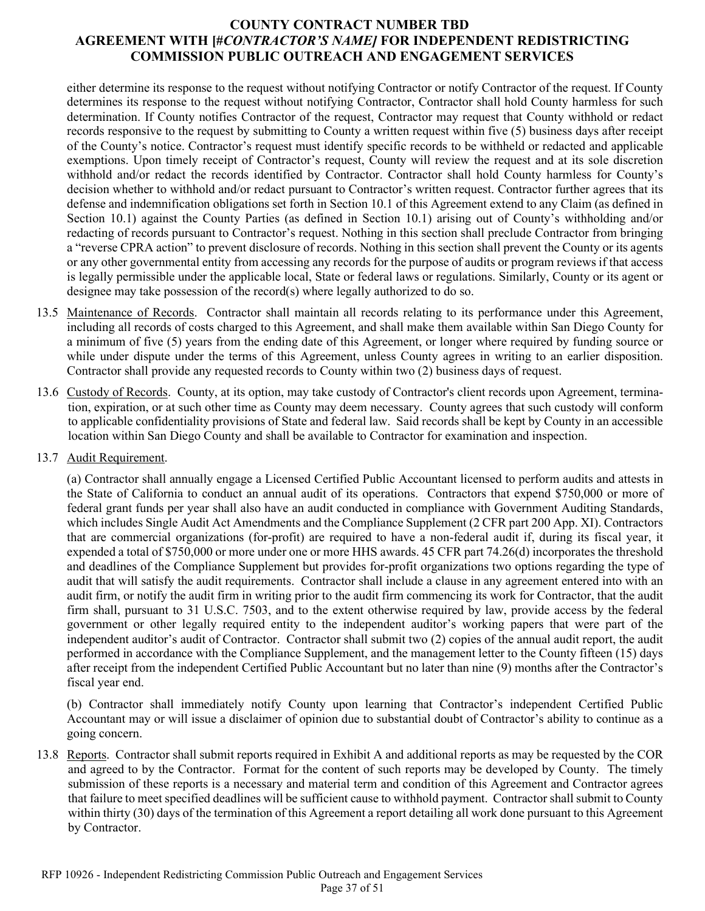either determine its response to the request without notifying Contractor or notify Contractor of the request. If County determines its response to the request without notifying Contractor, Contractor shall hold County harmless for such determination. If County notifies Contractor of the request, Contractor may request that County withhold or redact records responsive to the request by submitting to County a written request within five (5) business days after receipt of the County's notice. Contractor's request must identify specific records to be withheld or redacted and applicable exemptions. Upon timely receipt of Contractor's request, County will review the request and at its sole discretion withhold and/or redact the records identified by Contractor. Contractor shall hold County harmless for County's decision whether to withhold and/or redact pursuant to Contractor's written request. Contractor further agrees that its defense and indemnification obligations set forth in Section 10.1 of this Agreement extend to any Claim (as defined in Section 10.1) against the County Parties (as defined in Section 10.1) arising out of County's withholding and/or redacting of records pursuant to Contractor's request. Nothing in this section shall preclude Contractor from bringing a "reverse CPRA action" to prevent disclosure of records. Nothing in this section shall prevent the County or its agents or any other governmental entity from accessing any records for the purpose of audits or program reviews if that access is legally permissible under the applicable local, State or federal laws or regulations. Similarly, County or its agent or designee may take possession of the record(s) where legally authorized to do so.

- 13.5 Maintenance of Records. Contractor shall maintain all records relating to its performance under this Agreement, including all records of costs charged to this Agreement, and shall make them available within San Diego County for a minimum of five (5) years from the ending date of this Agreement, or longer where required by funding source or while under dispute under the terms of this Agreement, unless County agrees in writing to an earlier disposition. Contractor shall provide any requested records to County within two (2) business days of request.
- 13.6 Custody of Records. County, at its option, may take custody of Contractor's client records upon Agreement, termination, expiration, or at such other time as County may deem necessary. County agrees that such custody will conform to applicable confidentiality provisions of State and federal law. Said records shall be kept by County in an accessible location within San Diego County and shall be available to Contractor for examination and inspection.
- 13.7 Audit Requirement.

(a) Contractor shall annually engage a Licensed Certified Public Accountant licensed to perform audits and attests in the State of California to conduct an annual audit of its operations. Contractors that expend \$750,000 or more of federal grant funds per year shall also have an audit conducted in compliance with Government Auditing Standards, which includes Single Audit Act Amendments and the Compliance Supplement (2 CFR part 200 App. XI). Contractors that are commercial organizations (for-profit) are required to have a non-federal audit if, during its fiscal year, it expended a total of \$750,000 or more under one or more HHS awards. 45 CFR part 74.26(d) incorporates the threshold and deadlines of the Compliance Supplement but provides for-profit organizations two options regarding the type of audit that will satisfy the audit requirements. Contractor shall include a clause in any agreement entered into with an audit firm, or notify the audit firm in writing prior to the audit firm commencing its work for Contractor, that the audit firm shall, pursuant to 31 U.S.C. 7503, and to the extent otherwise required by law, provide access by the federal government or other legally required entity to the independent auditor's working papers that were part of the independent auditor's audit of Contractor. Contractor shall submit two (2) copies of the annual audit report, the audit performed in accordance with the Compliance Supplement, and the management letter to the County fifteen (15) days after receipt from the independent Certified Public Accountant but no later than nine (9) months after the Contractor's fiscal year end.

(b) Contractor shall immediately notify County upon learning that Contractor's independent Certified Public Accountant may or will issue a disclaimer of opinion due to substantial doubt of Contractor's ability to continue as a going concern.

13.8 Reports. Contractor shall submit reports required in Exhibit A and additional reports as may be requested by the COR and agreed to by the Contractor. Format for the content of such reports may be developed by County. The timely submission of these reports is a necessary and material term and condition of this Agreement and Contractor agrees that failure to meet specified deadlines will be sufficient cause to withhold payment. Contractor shall submit to County within thirty (30) days of the termination of this Agreement a report detailing all work done pursuant to this Agreement by Contractor.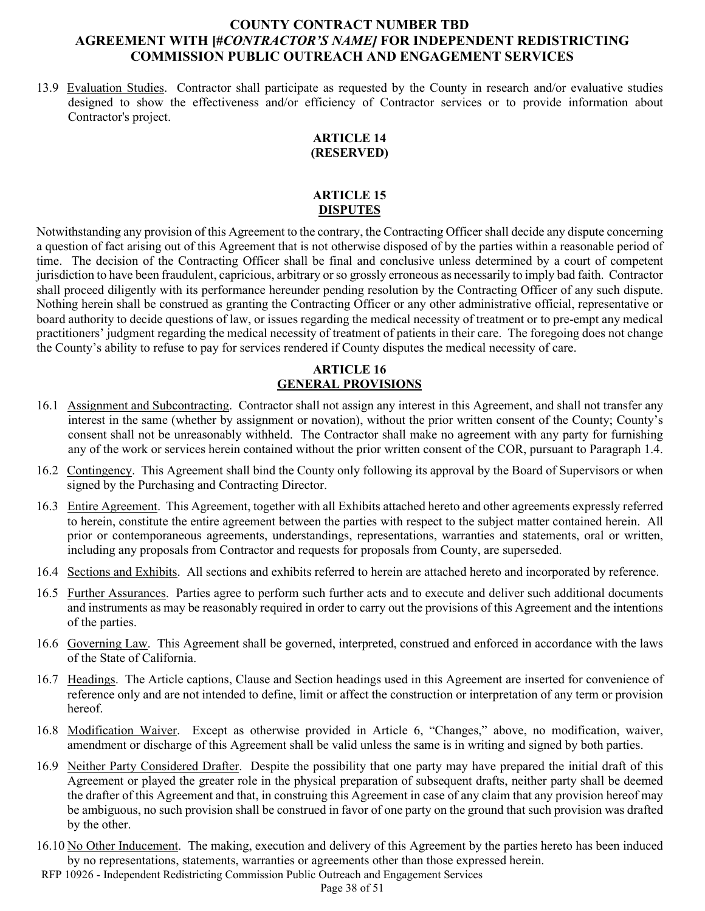13.9 Evaluation Studies. Contractor shall participate as requested by the County in research and/or evaluative studies designed to show the effectiveness and/or efficiency of Contractor services or to provide information about Contractor's project.

#### **ARTICLE 14 (RESERVED)**

#### **ARTICLE 15 DISPUTES**

Notwithstanding any provision of this Agreement to the contrary, the Contracting Officer shall decide any dispute concerning a question of fact arising out of this Agreement that is not otherwise disposed of by the parties within a reasonable period of time. The decision of the Contracting Officer shall be final and conclusive unless determined by a court of competent jurisdiction to have been fraudulent, capricious, arbitrary or so grossly erroneous as necessarily to imply bad faith. Contractor shall proceed diligently with its performance hereunder pending resolution by the Contracting Officer of any such dispute. Nothing herein shall be construed as granting the Contracting Officer or any other administrative official, representative or board authority to decide questions of law, or issues regarding the medical necessity of treatment or to pre-empt any medical practitioners' judgment regarding the medical necessity of treatment of patients in their care. The foregoing does not change the County's ability to refuse to pay for services rendered if County disputes the medical necessity of care.

# **ARTICLE 16 GENERAL PROVISIONS**

- 16.1 Assignment and Subcontracting. Contractor shall not assign any interest in this Agreement, and shall not transfer any interest in the same (whether by assignment or novation), without the prior written consent of the County; County's consent shall not be unreasonably withheld. The Contractor shall make no agreement with any party for furnishing any of the work or services herein contained without the prior written consent of the COR, pursuant to Paragraph 1.4.
- 16.2 Contingency. This Agreement shall bind the County only following its approval by the Board of Supervisors or when signed by the Purchasing and Contracting Director.
- 16.3 Entire Agreement. This Agreement, together with all Exhibits attached hereto and other agreements expressly referred to herein, constitute the entire agreement between the parties with respect to the subject matter contained herein. All prior or contemporaneous agreements, understandings, representations, warranties and statements, oral or written, including any proposals from Contractor and requests for proposals from County, are superseded.
- 16.4 Sections and Exhibits. All sections and exhibits referred to herein are attached hereto and incorporated by reference.
- 16.5 Further Assurances. Parties agree to perform such further acts and to execute and deliver such additional documents and instruments as may be reasonably required in order to carry out the provisions of this Agreement and the intentions of the parties.
- 16.6 Governing Law. This Agreement shall be governed, interpreted, construed and enforced in accordance with the laws of the State of California.
- 16.7 Headings. The Article captions, Clause and Section headings used in this Agreement are inserted for convenience of reference only and are not intended to define, limit or affect the construction or interpretation of any term or provision hereof.
- 16.8 Modification Waiver. Except as otherwise provided in Article 6, "Changes," above, no modification, waiver, amendment or discharge of this Agreement shall be valid unless the same is in writing and signed by both parties.
- 16.9 Neither Party Considered Drafter. Despite the possibility that one party may have prepared the initial draft of this Agreement or played the greater role in the physical preparation of subsequent drafts, neither party shall be deemed the drafter of this Agreement and that, in construing this Agreement in case of any claim that any provision hereof may be ambiguous, no such provision shall be construed in favor of one party on the ground that such provision was drafted by the other.
- 16.10 No Other Inducement. The making, execution and delivery of this Agreement by the parties hereto has been induced by no representations, statements, warranties or agreements other than those expressed herein.
- RFP 10926 Independent Redistricting Commission Public Outreach and Engagement Services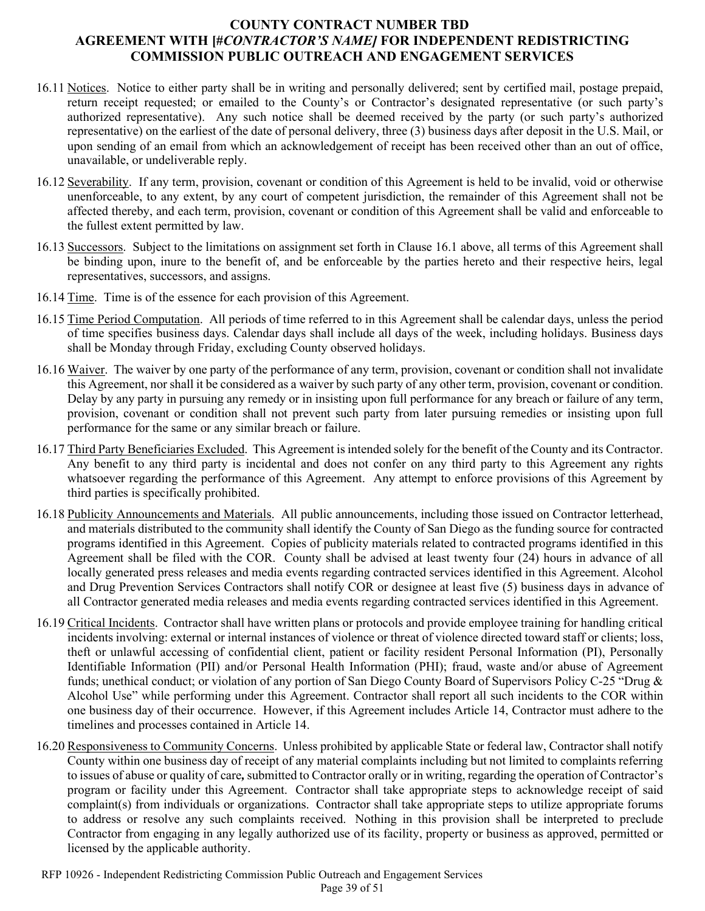- 16.11 Notices. Notice to either party shall be in writing and personally delivered; sent by certified mail, postage prepaid, return receipt requested; or emailed to the County's or Contractor's designated representative (or such party's authorized representative). Any such notice shall be deemed received by the party (or such party's authorized representative) on the earliest of the date of personal delivery, three (3) business days after deposit in the U.S. Mail, or upon sending of an email from which an acknowledgement of receipt has been received other than an out of office, unavailable, or undeliverable reply.
- 16.12 Severability. If any term, provision, covenant or condition of this Agreement is held to be invalid, void or otherwise unenforceable, to any extent, by any court of competent jurisdiction, the remainder of this Agreement shall not be affected thereby, and each term, provision, covenant or condition of this Agreement shall be valid and enforceable to the fullest extent permitted by law.
- 16.13 Successors. Subject to the limitations on assignment set forth in Clause 16.1 above, all terms of this Agreement shall be binding upon, inure to the benefit of, and be enforceable by the parties hereto and their respective heirs, legal representatives, successors, and assigns.
- 16.14 Time. Time is of the essence for each provision of this Agreement.
- 16.15 Time Period Computation. All periods of time referred to in this Agreement shall be calendar days, unless the period of time specifies business days. Calendar days shall include all days of the week, including holidays. Business days shall be Monday through Friday, excluding County observed holidays.
- 16.16 Waiver. The waiver by one party of the performance of any term, provision, covenant or condition shall not invalidate this Agreement, nor shall it be considered as a waiver by such party of any other term, provision, covenant or condition. Delay by any party in pursuing any remedy or in insisting upon full performance for any breach or failure of any term, provision, covenant or condition shall not prevent such party from later pursuing remedies or insisting upon full performance for the same or any similar breach or failure.
- 16.17 Third Party Beneficiaries Excluded. This Agreement is intended solely for the benefit of the County and its Contractor. Any benefit to any third party is incidental and does not confer on any third party to this Agreement any rights whatsoever regarding the performance of this Agreement. Any attempt to enforce provisions of this Agreement by third parties is specifically prohibited.
- 16.18 Publicity Announcements and Materials. All public announcements, including those issued on Contractor letterhead, and materials distributed to the community shall identify the County of San Diego as the funding source for contracted programs identified in this Agreement. Copies of publicity materials related to contracted programs identified in this Agreement shall be filed with the COR. County shall be advised at least twenty four (24) hours in advance of all locally generated press releases and media events regarding contracted services identified in this Agreement. Alcohol and Drug Prevention Services Contractors shall notify COR or designee at least five (5) business days in advance of all Contractor generated media releases and media events regarding contracted services identified in this Agreement.
- 16.19 Critical Incidents. Contractor shall have written plans or protocols and provide employee training for handling critical incidents involving: external or internal instances of violence or threat of violence directed toward staff or clients; loss, theft or unlawful accessing of confidential client, patient or facility resident Personal Information (PI), Personally Identifiable Information (PII) and/or Personal Health Information (PHI); fraud, waste and/or abuse of Agreement funds; unethical conduct; or violation of any portion of San Diego County Board of Supervisors Policy C-25 "Drug & Alcohol Use" while performing under this Agreement. Contractor shall report all such incidents to the COR within one business day of their occurrence. However, if this Agreement includes Article 14, Contractor must adhere to the timelines and processes contained in Article 14.
- 16.20 Responsiveness to Community Concerns. Unless prohibited by applicable State or federal law, Contractor shall notify County within one business day of receipt of any material complaints including but not limited to complaints referring to issues of abuse or quality of care*,*submitted to Contractor orally or in writing, regarding the operation of Contractor's program or facility under this Agreement. Contractor shall take appropriate steps to acknowledge receipt of said complaint(s) from individuals or organizations. Contractor shall take appropriate steps to utilize appropriate forums to address or resolve any such complaints received. Nothing in this provision shall be interpreted to preclude Contractor from engaging in any legally authorized use of its facility, property or business as approved, permitted or licensed by the applicable authority.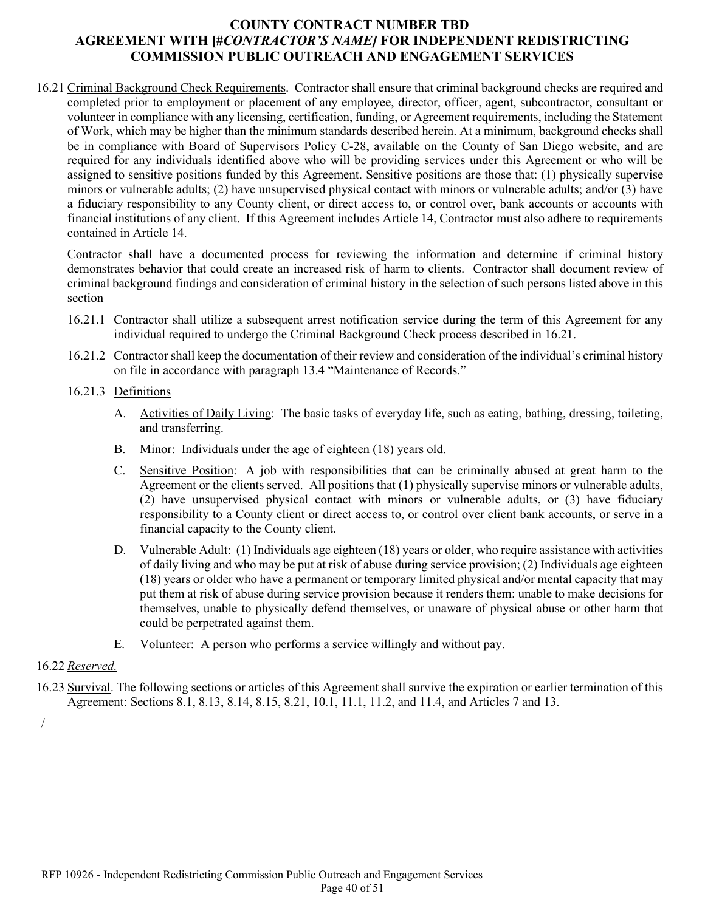16.21 Criminal Background Check Requirements. Contractor shall ensure that criminal background checks are required and completed prior to employment or placement of any employee, director, officer, agent, subcontractor, consultant or volunteer in compliance with any licensing, certification, funding, or Agreement requirements, including the Statement of Work, which may be higher than the minimum standards described herein. At a minimum, background checks shall be in compliance with Board of Supervisors Policy C-28, available on the County of San Diego website, and are required for any individuals identified above who will be providing services under this Agreement or who will be assigned to sensitive positions funded by this Agreement. Sensitive positions are those that: (1) physically supervise minors or vulnerable adults; (2) have unsupervised physical contact with minors or vulnerable adults; and/or (3) have a fiduciary responsibility to any County client, or direct access to, or control over, bank accounts or accounts with financial institutions of any client. If this Agreement includes Article 14, Contractor must also adhere to requirements contained in Article 14.

Contractor shall have a documented process for reviewing the information and determine if criminal history demonstrates behavior that could create an increased risk of harm to clients. Contractor shall document review of criminal background findings and consideration of criminal history in the selection of such persons listed above in this section

- 16.21.1 Contractor shall utilize a subsequent arrest notification service during the term of this Agreement for any individual required to undergo the Criminal Background Check process described in 16.21.
- 16.21.2 Contractor shall keep the documentation of their review and consideration of the individual's criminal history on file in accordance with paragraph 13.4 "Maintenance of Records."
- 16.21.3 Definitions
	- A. Activities of Daily Living: The basic tasks of everyday life, such as eating, bathing, dressing, toileting, and transferring.
	- B. Minor: Individuals under the age of eighteen (18) years old.
	- C. Sensitive Position: A job with responsibilities that can be criminally abused at great harm to the Agreement or the clients served. All positions that (1) physically supervise minors or vulnerable adults, (2) have unsupervised physical contact with minors or vulnerable adults, or (3) have fiduciary responsibility to a County client or direct access to, or control over client bank accounts, or serve in a financial capacity to the County client.
	- D. Vulnerable Adult: (1) Individuals age eighteen (18) years or older, who require assistance with activities of daily living and who may be put at risk of abuse during service provision; (2) Individuals age eighteen (18) years or older who have a permanent or temporary limited physical and/or mental capacity that may put them at risk of abuse during service provision because it renders them: unable to make decisions for themselves, unable to physically defend themselves, or unaware of physical abuse or other harm that could be perpetrated against them.
	- E. Volunteer: A person who performs a service willingly and without pay.

#### 16.22 *Reserved.*

16.23 Survival. The following sections or articles of this Agreement shall survive the expiration or earlier termination of this Agreement: Sections 8.1, 8.13, 8.14, 8.15, 8.21, 10.1, 11.1, 11.2, and 11.4, and Articles 7 and 13.

/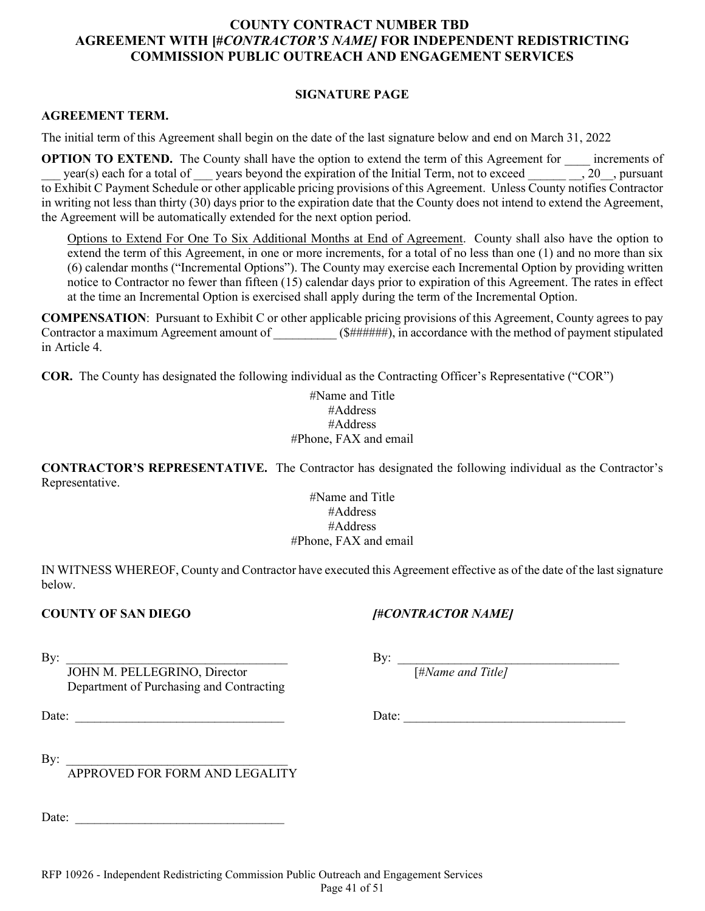#### **SIGNATURE PAGE**

#### **AGREEMENT TERM.**

The initial term of this Agreement shall begin on the date of the last signature below and end on March 31, 2022

**OPTION TO EXTEND.** The County shall have the option to extend the term of this Agreement for \_\_\_\_ increments of year(s) each for a total of years beyond the expiration of the Initial Term, not to exceed  $\_\_\_\_$ , 20 $\_\_\_$ , pursuant to Exhibit C Payment Schedule or other applicable pricing provisions of this Agreement.Unless County notifies Contractor in writing not less than thirty (30) days prior to the expiration date that the County does not intend to extend the Agreement, the Agreement will be automatically extended for the next option period.

Options to Extend For One To Six Additional Months at End of Agreement. County shall also have the option to extend the term of this Agreement, in one or more increments, for a total of no less than one (1) and no more than six (6) calendar months ("Incremental Options"). The County may exercise each Incremental Option by providing written notice to Contractor no fewer than fifteen (15) calendar days prior to expiration of this Agreement. The rates in effect at the time an Incremental Option is exercised shall apply during the term of the Incremental Option.

**COMPENSATION**: Pursuant to Exhibit C or other applicable pricing provisions of this Agreement, County agrees to pay Contractor a maximum Agreement amount of \_\_\_\_\_\_\_\_\_\_\_ (\$######), in accordance with the method of payment stipulated in Article 4.

**COR.** The County has designated the following individual as the Contracting Officer's Representative ("COR")

#Name and Title #Address #Address #Phone, FAX and email

**CONTRACTOR'S REPRESENTATIVE.** The Contractor has designated the following individual as the Contractor's Representative.

> #Name and Title #Address #Address #Phone, FAX and email

IN WITNESS WHEREOF, County and Contractor have executed this Agreement effective as of the date of the last signature below.

#### **COUNTY OF SAN DIEGO** *[#CONTRACTOR NAME]*

By:  $\frac{By:}{JOHN M. PELLEGRINO, Director}$  By:  $\frac{By:}{[HName and Title]}$ JOHN M. PELLEGRINO, Director Department of Purchasing and Contracting

Date: <u>Date:</u> 2008. The contract of the contract of the contract of the contract of the contract of the contract of the contract of the contract of the contract of the contract of the contract of the contract of the contra

By:  $\Box$ 

APPROVED FOR FORM AND LEGALITY

Date: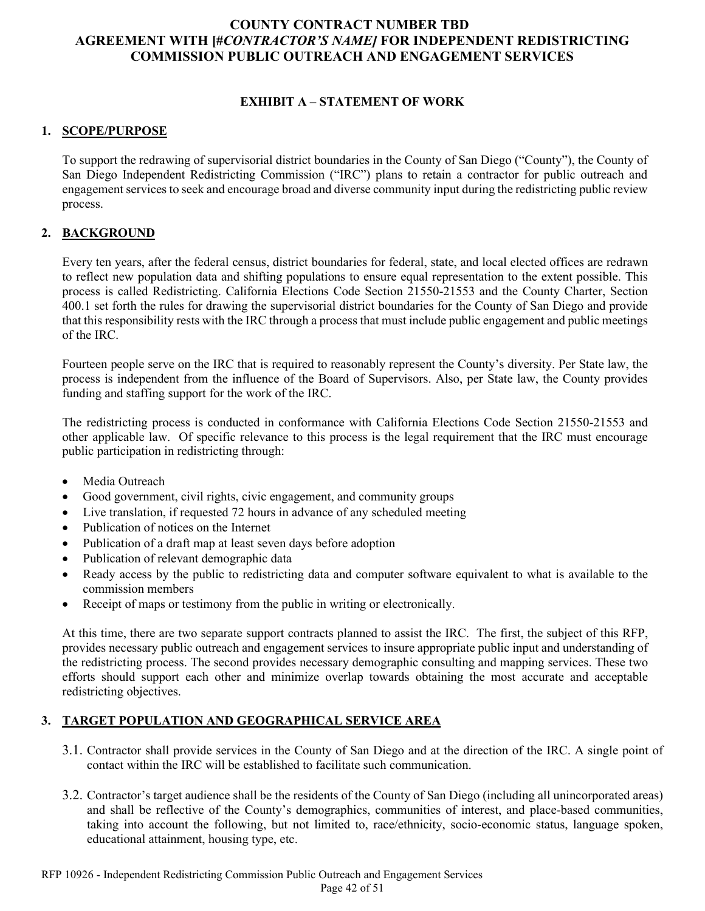# **EXHIBIT A – STATEMENT OF WORK**

#### **1. SCOPE/PURPOSE**

To support the redrawing of supervisorial district boundaries in the County of San Diego ("County"), the County of San Diego Independent Redistricting Commission ("IRC") plans to retain a contractor for public outreach and engagement services to seek and encourage broad and diverse community input during the redistricting public review process.

# **2. BACKGROUND**

Every ten years, after the federal census, district boundaries for federal, state, and local elected offices are redrawn to reflect new population data and shifting populations to ensure equal representation to the extent possible. This process is called Redistricting. California Elections Code Section 21550-21553 and the County Charter, Section 400.1 set forth the rules for drawing the supervisorial district boundaries for the County of San Diego and provide that this responsibility rests with the IRC through a process that must include public engagement and public meetings of the IRC.

Fourteen people serve on the IRC that is required to reasonably represent the County's diversity. Per State law, the process is independent from the influence of the Board of Supervisors. Also, per State law, the County provides funding and staffing support for the work of the IRC.

The redistricting process is conducted in conformance with California Elections Code Section 21550-21553 and other applicable law. Of specific relevance to this process is the legal requirement that the IRC must encourage public participation in redistricting through:

- Media Outreach
- Good government, civil rights, civic engagement, and community groups
- Live translation, if requested 72 hours in advance of any scheduled meeting
- Publication of notices on the Internet
- Publication of a draft map at least seven days before adoption
- Publication of relevant demographic data
- Ready access by the public to redistricting data and computer software equivalent to what is available to the commission members
- Receipt of maps or testimony from the public in writing or electronically.

At this time, there are two separate support contracts planned to assist the IRC. The first, the subject of this RFP, provides necessary public outreach and engagement services to insure appropriate public input and understanding of the redistricting process. The second provides necessary demographic consulting and mapping services. These two efforts should support each other and minimize overlap towards obtaining the most accurate and acceptable redistricting objectives.

# **3. TARGET POPULATION AND GEOGRAPHICAL SERVICE AREA**

- 3.1. Contractor shall provide services in the County of San Diego and at the direction of the IRC. A single point of contact within the IRC will be established to facilitate such communication.
- 3.2. Contractor's target audience shall be the residents of the County of San Diego (including all unincorporated areas) and shall be reflective of the County's demographics, communities of interest, and place-based communities, taking into account the following, but not limited to, race/ethnicity, socio-economic status, language spoken, educational attainment, housing type, etc.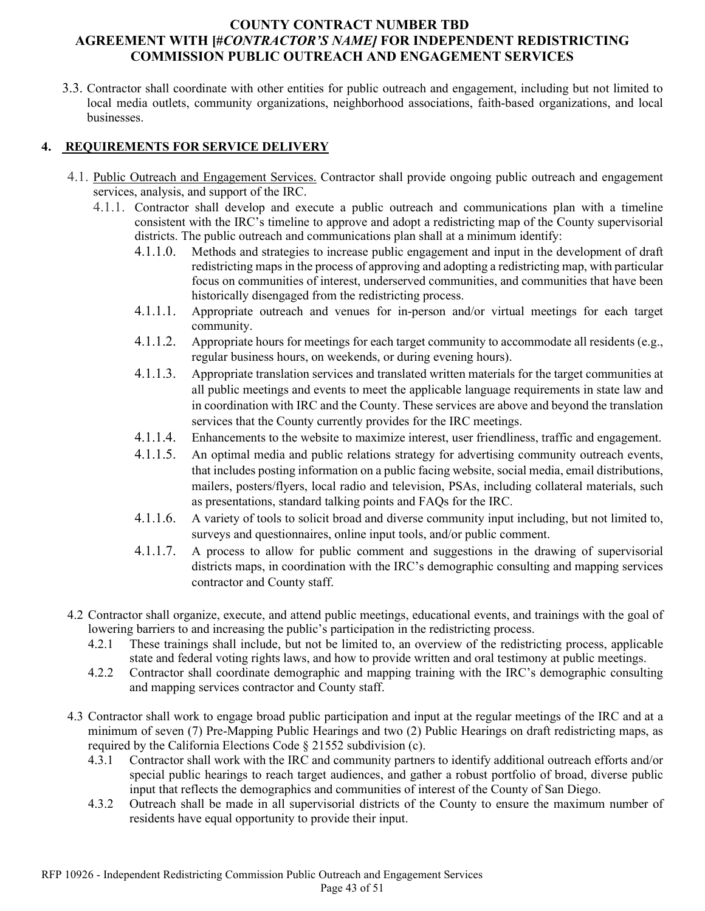3.3. Contractor shall coordinate with other entities for public outreach and engagement, including but not limited to local media outlets, community organizations, neighborhood associations, faith-based organizations, and local businesses.

# **4. REQUIREMENTS FOR SERVICE DELIVERY**

- 4.1. Public Outreach and Engagement Services. Contractor shall provide ongoing public outreach and engagement services, analysis, and support of the IRC.
	- 4.1.1. Contractor shall develop and execute a public outreach and communications plan with a timeline consistent with the IRC's timeline to approve and adopt a redistricting map of the County supervisorial districts. The public outreach and communications plan shall at a minimum identify:
		- 4.1.1.0. Methods and strategies to increase public engagement and input in the development of draft redistricting maps in the process of approving and adopting a redistricting map, with particular focus on communities of interest, underserved communities, and communities that have been historically disengaged from the redistricting process.
		- 4.1.1.1. Appropriate outreach and venues for in-person and/or virtual meetings for each target community.
		- 4.1.1.2. Appropriate hours for meetings for each target community to accommodate all residents (e.g., regular business hours, on weekends, or during evening hours).
		- 4.1.1.3. Appropriate translation services and translated written materials for the target communities at all public meetings and events to meet the applicable language requirements in state law and in coordination with IRC and the County. These services are above and beyond the translation services that the County currently provides for the IRC meetings.
		- 4.1.1.4. Enhancements to the website to maximize interest, user friendliness, traffic and engagement.
		- 4.1.1.5. An optimal media and public relations strategy for advertising community outreach events, that includes posting information on a public facing website, social media, email distributions, mailers, posters/flyers, local radio and television, PSAs, including collateral materials, such as presentations, standard talking points and FAQs for the IRC.
		- 4.1.1.6. A variety of tools to solicit broad and diverse community input including, but not limited to, surveys and questionnaires, online input tools, and/or public comment.
		- 4.1.1.7. A process to allow for public comment and suggestions in the drawing of supervisorial districts maps, in coordination with the IRC's demographic consulting and mapping services contractor and County staff.
- 4.2 Contractor shall organize, execute, and attend public meetings, educational events, and trainings with the goal of lowering barriers to and increasing the public's participation in the redistricting process.
	- 4.2.1 These trainings shall include, but not be limited to, an overview of the redistricting process, applicable state and federal voting rights laws, and how to provide written and oral testimony at public meetings.
	- 4.2.2 Contractor shall coordinate demographic and mapping training with the IRC's demographic consulting and mapping services contractor and County staff.
- 4.3 Contractor shall work to engage broad public participation and input at the regular meetings of the IRC and at a minimum of seven (7) Pre-Mapping Public Hearings and two (2) Public Hearings on draft redistricting maps, as required by the California Elections Code § 21552 subdivision (c).
	- 4.3.1 Contractor shall work with the IRC and community partners to identify additional outreach efforts and/or special public hearings to reach target audiences, and gather a robust portfolio of broad, diverse public input that reflects the demographics and communities of interest of the County of San Diego.
	- 4.3.2 Outreach shall be made in all supervisorial districts of the County to ensure the maximum number of residents have equal opportunity to provide their input.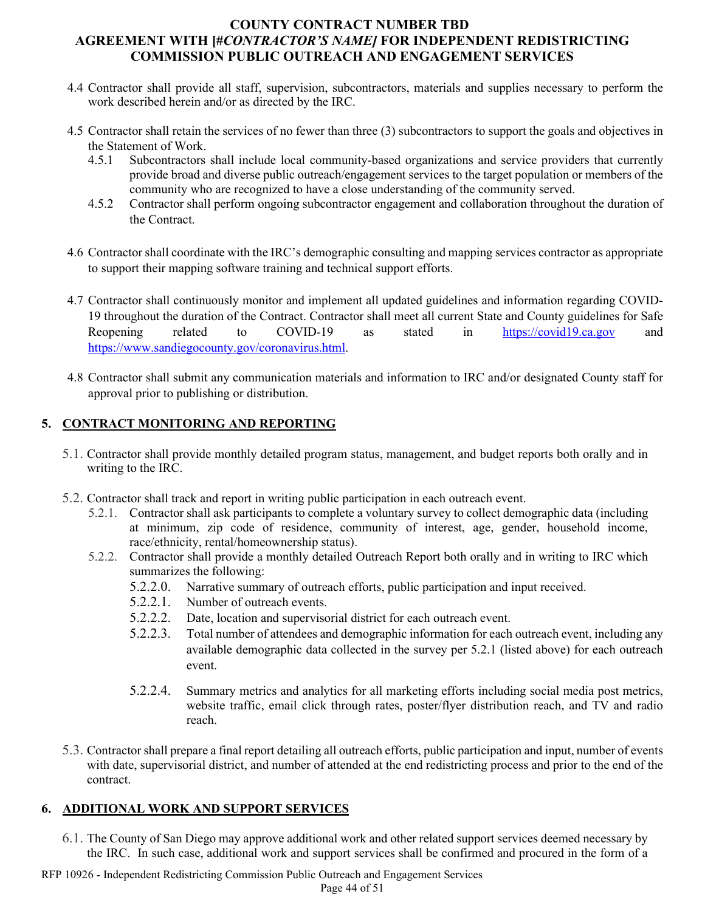- 4.4 Contractor shall provide all staff, supervision, subcontractors, materials and supplies necessary to perform the work described herein and/or as directed by the IRC.
- 4.5 Contractor shall retain the services of no fewer than three (3) subcontractors to support the goals and objectives in the Statement of Work.
	- 4.5.1 Subcontractors shall include local community-based organizations and service providers that currently provide broad and diverse public outreach/engagement services to the target population or members of the community who are recognized to have a close understanding of the community served.
	- 4.5.2 Contractor shall perform ongoing subcontractor engagement and collaboration throughout the duration of the Contract.
- 4.6 Contractor shall coordinate with the IRC's demographic consulting and mapping services contractor as appropriate to support their mapping software training and technical support efforts.
- 4.7 Contractor shall continuously monitor and implement all updated guidelines and information regarding COVID-19 throughout the duration of the Contract. Contractor shall meet all current State and County guidelines for Safe Reopening related to COVID-19 as stated in [https://covid19.ca.gov](https://covid19.ca.gov/) and [https://www.sandiegocounty.gov/coronavirus.html.](https://www.sandiegocounty.gov/coronavirus.html)
- 4.8 Contractor shall submit any communication materials and information to IRC and/or designated County staff for approval prior to publishing or distribution.

# **5. CONTRACT MONITORING AND REPORTING**

- 5.1. Contractor shall provide monthly detailed program status, management, and budget reports both orally and in writing to the IRC.
- 5.2. Contractor shall track and report in writing public participation in each outreach event.
	- 5.2.1. Contractor shall ask participants to complete a voluntary survey to collect demographic data (including at minimum, zip code of residence, community of interest, age, gender, household income, race/ethnicity, rental/homeownership status).
	- 5.2.2. Contractor shall provide a monthly detailed Outreach Report both orally and in writing to IRC which summarizes the following:
		- 5.2.2.0. Narrative summary of outreach efforts, public participation and input received.
		- 5.2.2.1. Number of outreach events.
		- 5.2.2.2. Date, location and supervisorial district for each outreach event.
		- 5.2.2.3. Total number of attendees and demographic information for each outreach event, including any available demographic data collected in the survey per 5.2.1 (listed above) for each outreach event.
		- 5.2.2.4. Summary metrics and analytics for all marketing efforts including social media post metrics, website traffic, email click through rates, poster/flyer distribution reach, and TV and radio reach.
- 5.3. Contractor shall prepare a final report detailing all outreach efforts, public participation and input, number of events with date, supervisorial district, and number of attended at the end redistricting process and prior to the end of the contract.

# **6. ADDITIONAL WORK AND SUPPORT SERVICES**

- 6.1. The County of San Diego may approve additional work and other related support services deemed necessary by the IRC. In such case, additional work and support services shall be confirmed and procured in the form of a
- RFP 10926 Independent Redistricting Commission Public Outreach and Engagement Services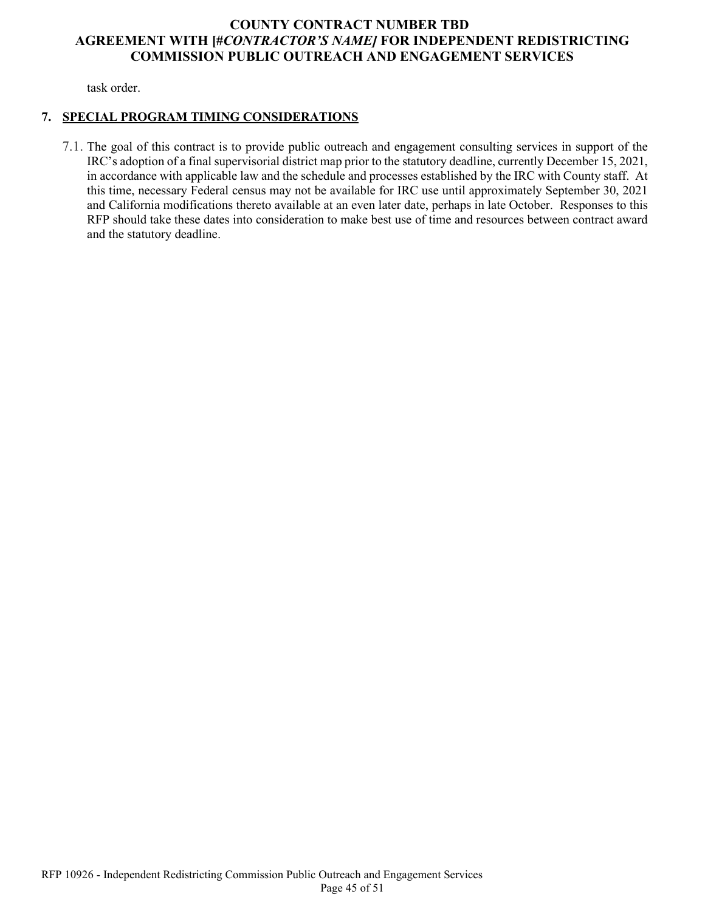task order.

# **7. SPECIAL PROGRAM TIMING CONSIDERATIONS**

7.1. The goal of this contract is to provide public outreach and engagement consulting services in support of the IRC's adoption of a final supervisorial district map prior to the statutory deadline, currently December 15, 2021, in accordance with applicable law and the schedule and processes established by the IRC with County staff. At this time, necessary Federal census may not be available for IRC use until approximately September 30, 2021 and California modifications thereto available at an even later date, perhaps in late October. Responses to this RFP should take these dates into consideration to make best use of time and resources between contract award and the statutory deadline.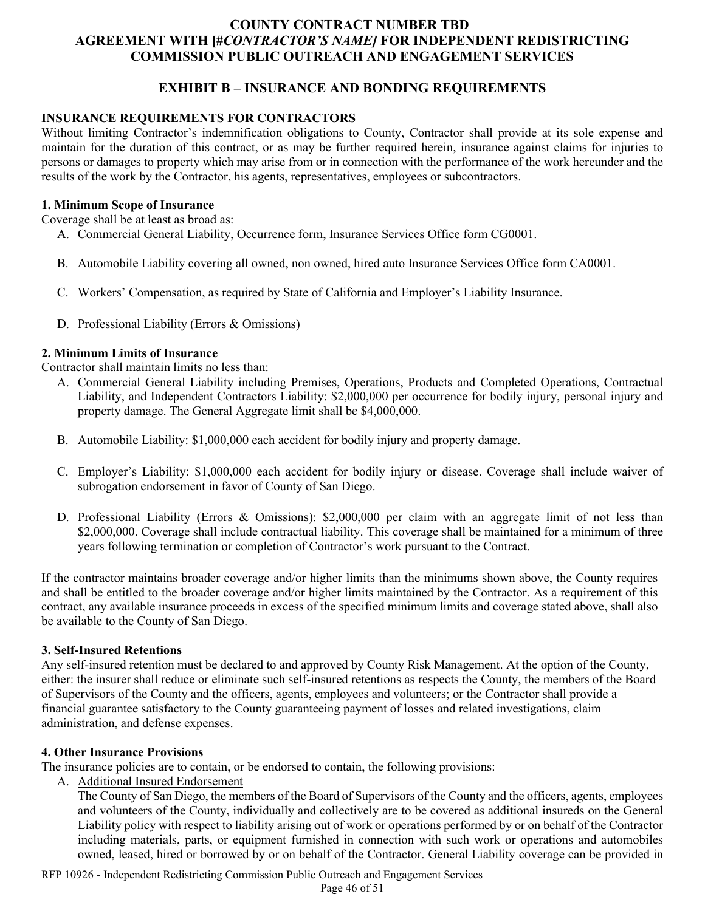# **EXHIBIT B – INSURANCE AND BONDING REQUIREMENTS**

### **INSURANCE REQUIREMENTS FOR CONTRACTORS**

Without limiting Contractor's indemnification obligations to County, Contractor shall provide at its sole expense and maintain for the duration of this contract, or as may be further required herein, insurance against claims for injuries to persons or damages to property which may arise from or in connection with the performance of the work hereunder and the results of the work by the Contractor, his agents, representatives, employees or subcontractors.

#### **1. Minimum Scope of Insurance**

Coverage shall be at least as broad as:

- A. Commercial General Liability, Occurrence form, Insurance Services Office form CG0001.
- B. Automobile Liability covering all owned, non owned, hired auto Insurance Services Office form CA0001.
- C. Workers' Compensation, as required by State of California and Employer's Liability Insurance.
- D. Professional Liability (Errors & Omissions)

#### **2. Minimum Limits of Insurance**

Contractor shall maintain limits no less than:

- A. Commercial General Liability including Premises, Operations, Products and Completed Operations, Contractual Liability, and Independent Contractors Liability: \$2,000,000 per occurrence for bodily injury, personal injury and property damage. The General Aggregate limit shall be \$4,000,000.
- B. Automobile Liability: \$1,000,000 each accident for bodily injury and property damage.
- C. Employer's Liability: \$1,000,000 each accident for bodily injury or disease. Coverage shall include waiver of subrogation endorsement in favor of County of San Diego.
- D. Professional Liability (Errors & Omissions): \$2,000,000 per claim with an aggregate limit of not less than \$2,000,000. Coverage shall include contractual liability. This coverage shall be maintained for a minimum of three years following termination or completion of Contractor's work pursuant to the Contract.

If the contractor maintains broader coverage and/or higher limits than the minimums shown above, the County requires and shall be entitled to the broader coverage and/or higher limits maintained by the Contractor. As a requirement of this contract, any available insurance proceeds in excess of the specified minimum limits and coverage stated above, shall also be available to the County of San Diego.

#### **3. Self-Insured Retentions**

Any self-insured retention must be declared to and approved by County Risk Management. At the option of the County, either: the insurer shall reduce or eliminate such self-insured retentions as respects the County, the members of the Board of Supervisors of the County and the officers, agents, employees and volunteers; or the Contractor shall provide a financial guarantee satisfactory to the County guaranteeing payment of losses and related investigations, claim administration, and defense expenses.

#### **4. Other Insurance Provisions**

The insurance policies are to contain, or be endorsed to contain, the following provisions:

A. Additional Insured Endorsement

The County of San Diego, the members of the Board of Supervisors of the County and the officers, agents, employees and volunteers of the County, individually and collectively are to be covered as additional insureds on the General Liability policy with respect to liability arising out of work or operations performed by or on behalf of the Contractor including materials, parts, or equipment furnished in connection with such work or operations and automobiles owned, leased, hired or borrowed by or on behalf of the Contractor. General Liability coverage can be provided in

RFP 10926 - Independent Redistricting Commission Public Outreach and Engagement Services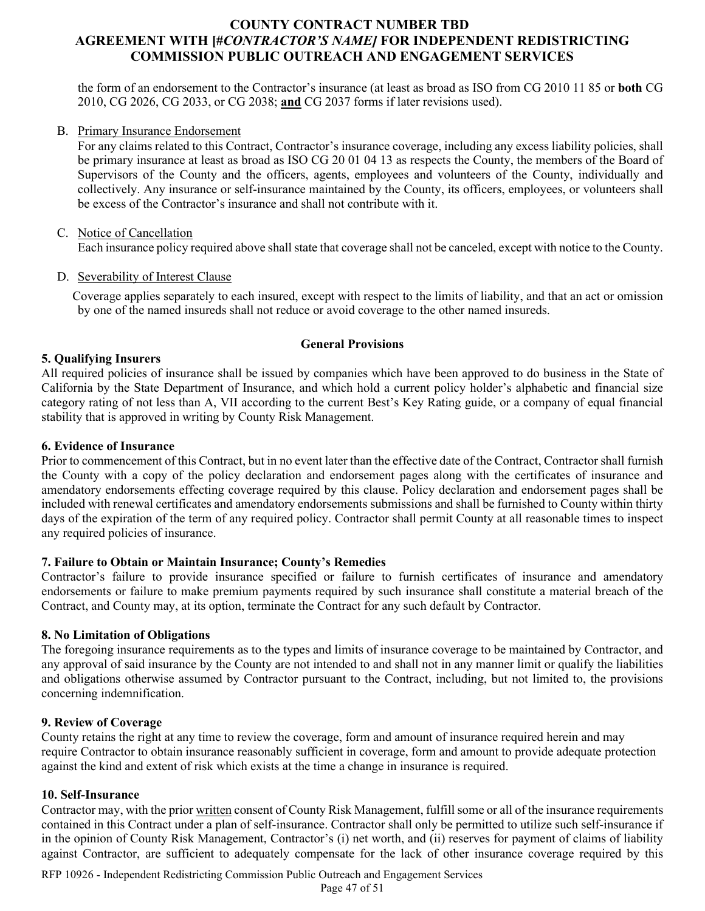the form of an endorsement to the Contractor's insurance (at least as broad as ISO from CG 2010 11 85 or **both** CG 2010, CG 2026, CG 2033, or CG 2038; **and** CG 2037 forms if later revisions used).

#### B. Primary Insurance Endorsement

For any claims related to this Contract, Contractor's insurance coverage, including any excess liability policies, shall be primary insurance at least as broad as ISO CG 20 01 04 13 as respects the County, the members of the Board of Supervisors of the County and the officers, agents, employees and volunteers of the County, individually and collectively. Any insurance or self-insurance maintained by the County, its officers, employees, or volunteers shall be excess of the Contractor's insurance and shall not contribute with it.

#### C. Notice of Cancellation

Each insurance policy required above shall state that coverage shall not be canceled, except with notice to the County.

#### D. Severability of Interest Clause

Coverage applies separately to each insured, except with respect to the limits of liability, and that an act or omission by one of the named insureds shall not reduce or avoid coverage to the other named insureds.

#### **General Provisions**

#### **5. Qualifying Insurers**

All required policies of insurance shall be issued by companies which have been approved to do business in the State of California by the State Department of Insurance, and which hold a current policy holder's alphabetic and financial size category rating of not less than A, VII according to the current Best's Key Rating guide, or a company of equal financial stability that is approved in writing by County Risk Management.

#### **6. Evidence of Insurance**

Prior to commencement of this Contract, but in no event later than the effective date of the Contract, Contractor shall furnish the County with a copy of the policy declaration and endorsement pages along with the certificates of insurance and amendatory endorsements effecting coverage required by this clause. Policy declaration and endorsement pages shall be included with renewal certificates and amendatory endorsements submissions and shall be furnished to County within thirty days of the expiration of the term of any required policy. Contractor shall permit County at all reasonable times to inspect any required policies of insurance.

#### **7. Failure to Obtain or Maintain Insurance; County's Remedies**

Contractor's failure to provide insurance specified or failure to furnish certificates of insurance and amendatory endorsements or failure to make premium payments required by such insurance shall constitute a material breach of the Contract, and County may, at its option, terminate the Contract for any such default by Contractor.

#### **8. No Limitation of Obligations**

The foregoing insurance requirements as to the types and limits of insurance coverage to be maintained by Contractor, and any approval of said insurance by the County are not intended to and shall not in any manner limit or qualify the liabilities and obligations otherwise assumed by Contractor pursuant to the Contract, including, but not limited to, the provisions concerning indemnification.

#### **9. Review of Coverage**

County retains the right at any time to review the coverage, form and amount of insurance required herein and may require Contractor to obtain insurance reasonably sufficient in coverage, form and amount to provide adequate protection against the kind and extent of risk which exists at the time a change in insurance is required.

#### **10. Self-Insurance**

Contractor may, with the prior written consent of County Risk Management, fulfill some or all of the insurance requirements contained in this Contract under a plan of self-insurance. Contractor shall only be permitted to utilize such self-insurance if in the opinion of County Risk Management, Contractor's (i) net worth, and (ii) reserves for payment of claims of liability against Contractor, are sufficient to adequately compensate for the lack of other insurance coverage required by this

RFP 10926 - Independent Redistricting Commission Public Outreach and Engagement Services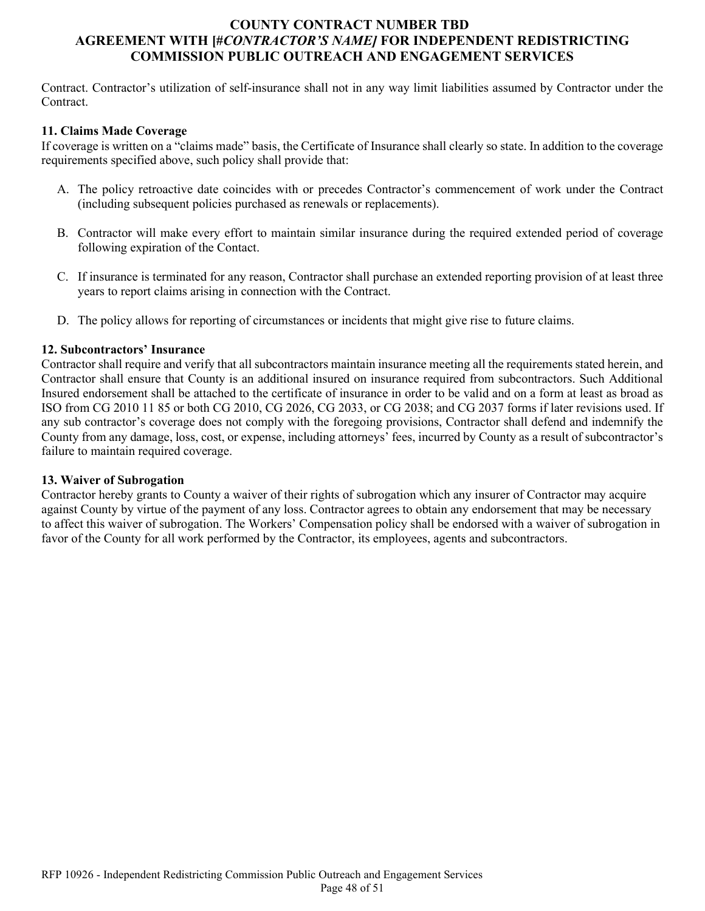Contract. Contractor's utilization of self-insurance shall not in any way limit liabilities assumed by Contractor under the Contract.

#### **11. Claims Made Coverage**

If coverage is written on a "claims made" basis, the Certificate of Insurance shall clearly so state. In addition to the coverage requirements specified above, such policy shall provide that:

- A. The policy retroactive date coincides with or precedes Contractor's commencement of work under the Contract (including subsequent policies purchased as renewals or replacements).
- B. Contractor will make every effort to maintain similar insurance during the required extended period of coverage following expiration of the Contact.
- C. If insurance is terminated for any reason, Contractor shall purchase an extended reporting provision of at least three years to report claims arising in connection with the Contract.
- D. The policy allows for reporting of circumstances or incidents that might give rise to future claims.

#### **12. Subcontractors' Insurance**

Contractor shall require and verify that all subcontractors maintain insurance meeting all the requirements stated herein, and Contractor shall ensure that County is an additional insured on insurance required from subcontractors. Such Additional Insured endorsement shall be attached to the certificate of insurance in order to be valid and on a form at least as broad as ISO from CG 2010 11 85 or both CG 2010, CG 2026, CG 2033, or CG 2038; and CG 2037 forms if later revisions used. If any sub contractor's coverage does not comply with the foregoing provisions, Contractor shall defend and indemnify the County from any damage, loss, cost, or expense, including attorneys' fees, incurred by County as a result of subcontractor's failure to maintain required coverage.

#### **13. Waiver of Subrogation**

Contractor hereby grants to County a waiver of their rights of subrogation which any insurer of Contractor may acquire against County by virtue of the payment of any loss. Contractor agrees to obtain any endorsement that may be necessary to affect this waiver of subrogation. The Workers' Compensation policy shall be endorsed with a waiver of subrogation in favor of the County for all work performed by the Contractor, its employees, agents and subcontractors.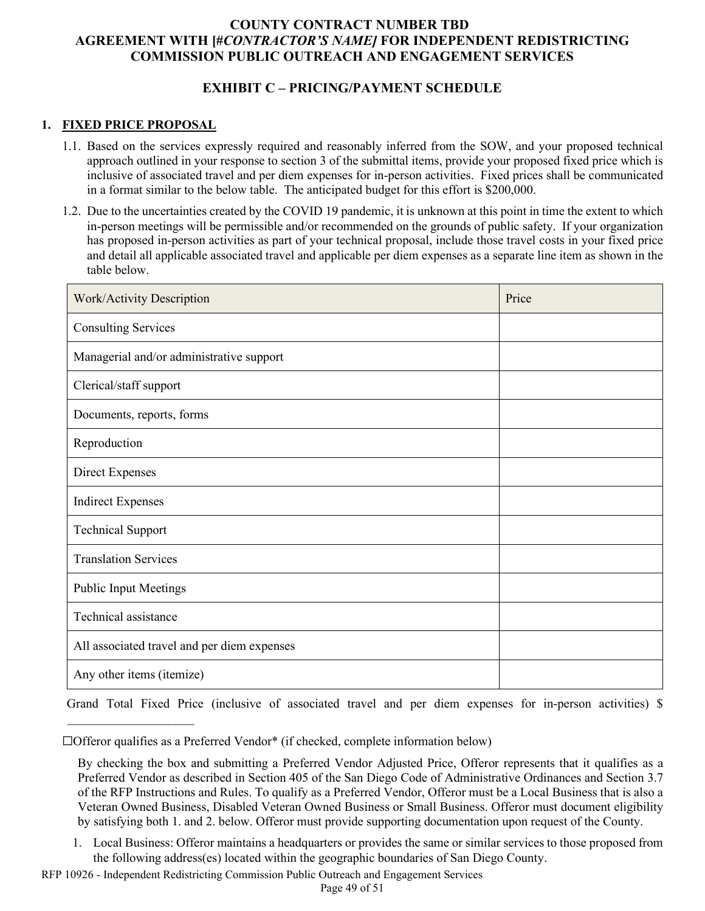# **EXHIBIT C – PRICING/PAYMENT SCHEDULE**

#### **1. FIXED PRICE PROPOSAL**

 $\mathcal{L}_\text{max}$  , where  $\mathcal{L}_\text{max}$  is the set of the set of the set of the set of the set of the set of the set of the set of the set of the set of the set of the set of the set of the set of the set of the set of the se

- 1.1. Based on the services expressly required and reasonably inferred from the SOW, and your proposed technical approach outlined in your response to section 3 of the submittal items, provide your proposed fixed price which is inclusive of associated travel and per diem expenses for in-person activities. Fixed prices shall be communicated in a format similar to the below table. The anticipated budget for this effort is \$200,000.
- 1.2. Due to the uncertainties created by the COVID 19 pandemic, it is unknown at this point in time the extent to which in-person meetings will be permissible and/or recommended on the grounds of public safety. If your organization has proposed in-person activities as part of your technical proposal, include those travel costs in your fixed price and detail all applicable associated travel and applicable per diem expenses as a separate line item as shown in the table below.

| Work/Activity Description                   | Price |
|---------------------------------------------|-------|
| <b>Consulting Services</b>                  |       |
| Managerial and/or administrative support    |       |
| Clerical/staff support                      |       |
| Documents, reports, forms                   |       |
| Reproduction                                |       |
| <b>Direct Expenses</b>                      |       |
| <b>Indirect Expenses</b>                    |       |
| <b>Technical Support</b>                    |       |
| <b>Translation Services</b>                 |       |
| <b>Public Input Meetings</b>                |       |
| Technical assistance                        |       |
| All associated travel and per diem expenses |       |
| Any other items (itemize)                   |       |

Grand Total Fixed Price (inclusive of associated travel and per diem expenses for in-person activities) \$

RFP 10926 - Independent Redistricting Commission Public Outreach and Engagement Services

<sup>☐</sup>Offeror qualifies as a Preferred Vendor\* (if checked, complete information below)

By checking the box and submitting a Preferred Vendor Adjusted Price, Offeror represents that it qualifies as a Preferred Vendor as described in Section 405 of the San Diego Code of Administrative Ordinances and Section 3.7 of the RFP Instructions and Rules. To qualify as a Preferred Vendor, Offeror must be a Local Business that is also a Veteran Owned Business, Disabled Veteran Owned Business or Small Business. Offeror must document eligibility by satisfying both 1. and 2. below. Offeror must provide supporting documentation upon request of the County.

<sup>1.</sup> Local Business: Offeror maintains a headquarters or provides the same or similar services to those proposed from the following address(es) located within the geographic boundaries of San Diego County.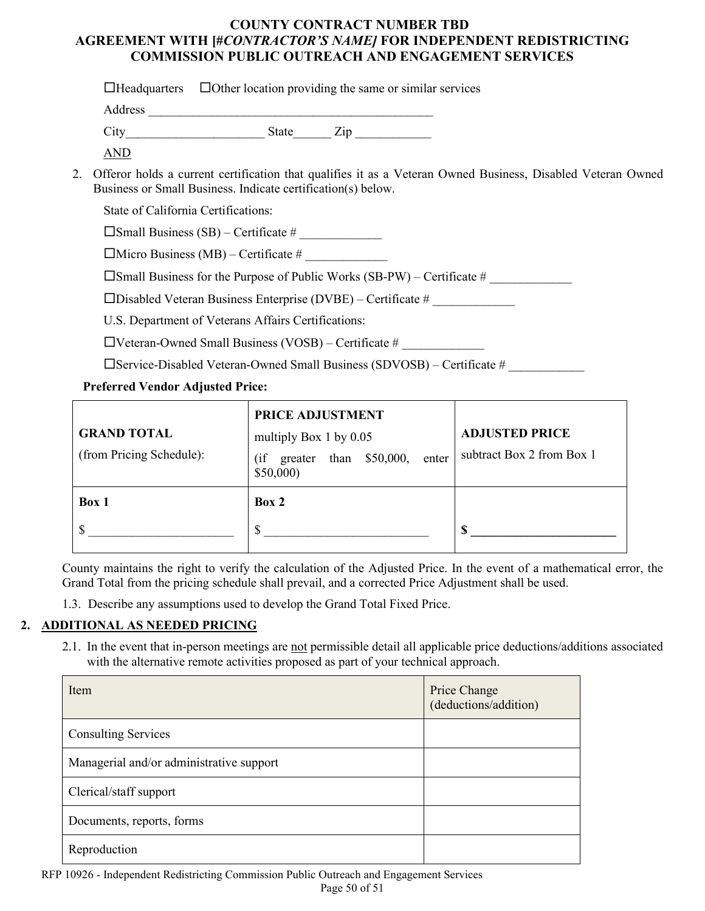| $\Box$ Other location providing the same or similar services<br>$\Box$ Headquarters                                                                                            |  |  |  |  |
|--------------------------------------------------------------------------------------------------------------------------------------------------------------------------------|--|--|--|--|
| Address                                                                                                                                                                        |  |  |  |  |
| State Zip                                                                                                                                                                      |  |  |  |  |
| AND                                                                                                                                                                            |  |  |  |  |
| 2. Offeror holds a current certification that qualifies it as a Veteran Owned Business, Disabled Veteran Owned<br>Business or Small Business. Indicate certification(s) below. |  |  |  |  |
| State of California Certifications:                                                                                                                                            |  |  |  |  |
| $\square$ Small Business (SB) – Certificate #                                                                                                                                  |  |  |  |  |
| $\Box$ Micro Business (MB) – Certificate #                                                                                                                                     |  |  |  |  |
| $\Box$ a 11 D $\Box$ a 1 D $\Box$ a 11' W 1 $\Box$ a DW) $\Box$ a 10' $\Box$                                                                                                   |  |  |  |  |

 $\square$  Small Business for the Purpose of Public Works (SB-PW) – Certificate #

 $\square$ Disabled Veteran Business Enterprise (DVBE) – Certificate #

U.S. Department of Veterans Affairs Certifications:

 $\Box$ Veteran-Owned Small Business (VOSB) – Certificate #

 $\square$ Service-Disabled Veteran-Owned Small Business (SDVOSB) – Certificate #

# **Preferred Vendor Adjusted Price:**

| <b>GRAND TOTAL</b><br>(from Pricing Schedule): | PRICE ADJUSTMENT<br>multiply Box 1 by $0.05$<br>than $$50,000$ ,<br>(i f)<br>enter<br>greater<br>\$50,000 | <b>ADJUSTED PRICE</b><br>subtract Box 2 from Box 1 |
|------------------------------------------------|-----------------------------------------------------------------------------------------------------------|----------------------------------------------------|
| Box 1                                          | Box 2<br>S                                                                                                |                                                    |

County maintains the right to verify the calculation of the Adjusted Price. In the event of a mathematical error, the Grand Total from the pricing schedule shall prevail, and a corrected Price Adjustment shall be used.

1.3. Describe any assumptions used to develop the Grand Total Fixed Price.

# **2. ADDITIONAL AS NEEDED PRICING**

2.1. In the event that in-person meetings are not permissible detail all applicable price deductions/additions associated with the alternative remote activities proposed as part of your technical approach.

| Item                                     | Price Change<br>(deductions/addition) |
|------------------------------------------|---------------------------------------|
| <b>Consulting Services</b>               |                                       |
| Managerial and/or administrative support |                                       |
| Clerical/staff support                   |                                       |
| Documents, reports, forms                |                                       |
| Reproduction                             |                                       |